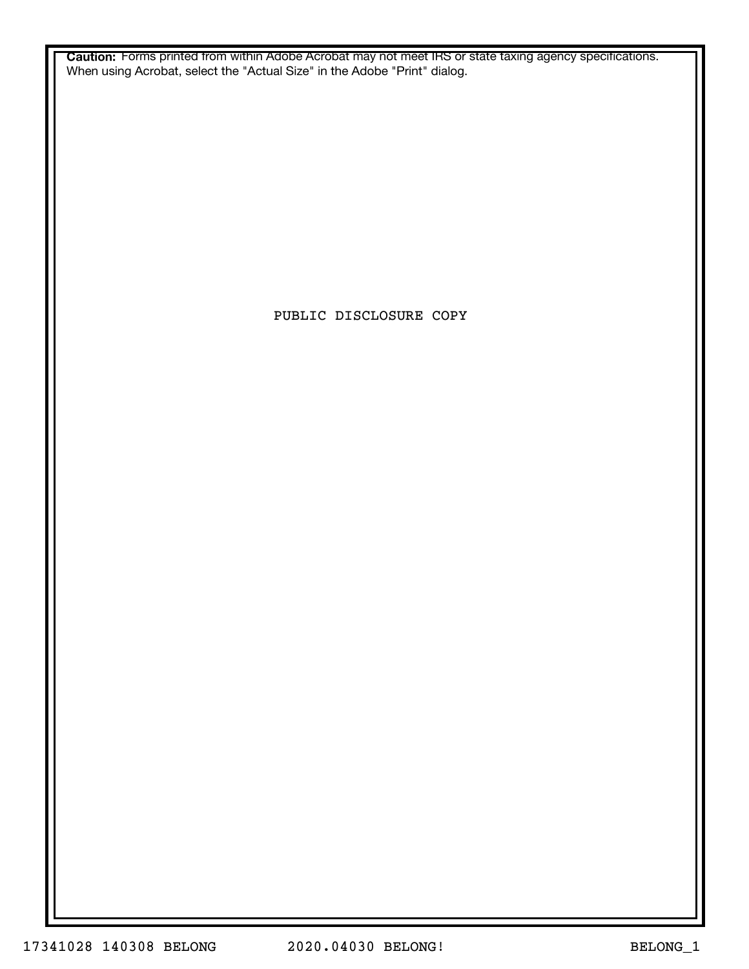**Caution:** Forms printed from within Adobe Acrobat may not meet IRS or state taxing agency specifications. When using Acrobat, select the "Actual Size" in the Adobe "Print" dialog.

PUBLIC DISCLOSURE COPY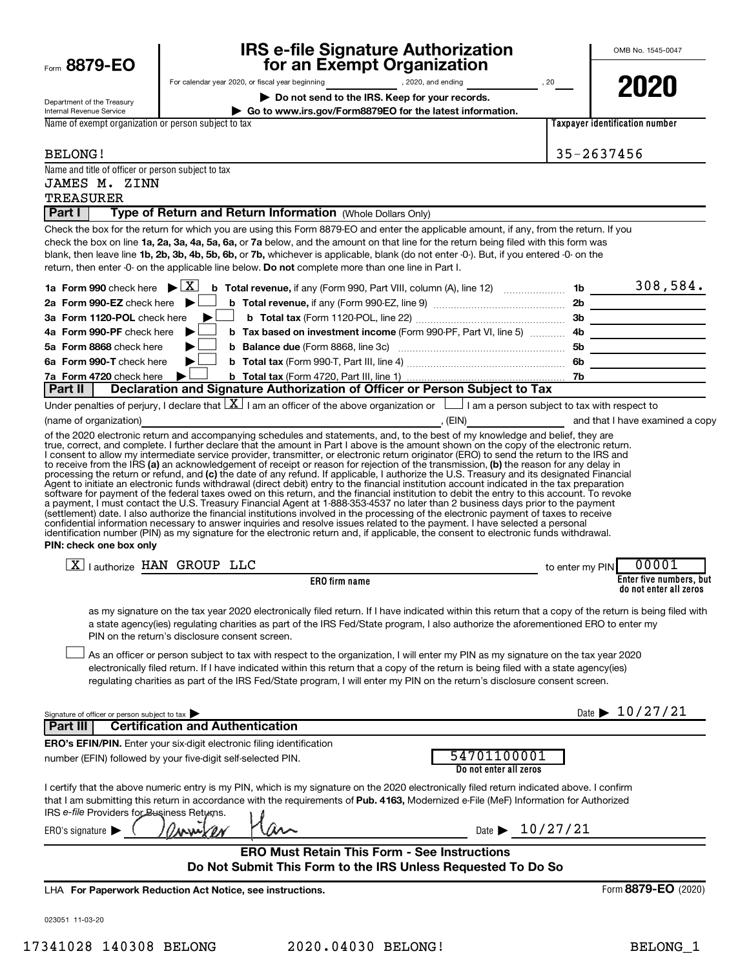|                                                                     | <b>IRS e-file Signature Authorization</b>                                                                                                                                                                                                                                                                                                                                                                                                                                                                                                                                                                                                                                                                                                                 |                 | OMB No. 1545-0047                                 |
|---------------------------------------------------------------------|-----------------------------------------------------------------------------------------------------------------------------------------------------------------------------------------------------------------------------------------------------------------------------------------------------------------------------------------------------------------------------------------------------------------------------------------------------------------------------------------------------------------------------------------------------------------------------------------------------------------------------------------------------------------------------------------------------------------------------------------------------------|-----------------|---------------------------------------------------|
| Form 8879-EO                                                        | for an Exempt Organization                                                                                                                                                                                                                                                                                                                                                                                                                                                                                                                                                                                                                                                                                                                                |                 |                                                   |
| Department of the Treasury<br>Internal Revenue Service              | Do not send to the IRS. Keep for your records.<br>Go to www.irs.gov/Form8879EO for the latest information.                                                                                                                                                                                                                                                                                                                                                                                                                                                                                                                                                                                                                                                |                 | 2020                                              |
| Name of exempt organization or person subject to tax                |                                                                                                                                                                                                                                                                                                                                                                                                                                                                                                                                                                                                                                                                                                                                                           |                 | Taxpayer identification number                    |
|                                                                     |                                                                                                                                                                                                                                                                                                                                                                                                                                                                                                                                                                                                                                                                                                                                                           |                 |                                                   |
| <b>BELONG!</b>                                                      |                                                                                                                                                                                                                                                                                                                                                                                                                                                                                                                                                                                                                                                                                                                                                           |                 | 35-2637456                                        |
| Name and title of officer or person subject to tax<br>JAMES M. ZINN |                                                                                                                                                                                                                                                                                                                                                                                                                                                                                                                                                                                                                                                                                                                                                           |                 |                                                   |
| <b>TREASURER</b>                                                    |                                                                                                                                                                                                                                                                                                                                                                                                                                                                                                                                                                                                                                                                                                                                                           |                 |                                                   |
| Part I                                                              | Type of Return and Return Information (Whole Dollars Only)                                                                                                                                                                                                                                                                                                                                                                                                                                                                                                                                                                                                                                                                                                |                 |                                                   |
|                                                                     | Check the box for the return for which you are using this Form 8879-EO and enter the applicable amount, if any, from the return. If you<br>check the box on line 1a, 2a, 3a, 4a, 5a, 6a, or 7a below, and the amount on that line for the return being filed with this form was<br>blank, then leave line 1b, 2b, 3b, 4b, 5b, 6b, or 7b, whichever is applicable, blank (do not enter -0-). But, if you entered -0- on the<br>return, then enter -0- on the applicable line below. Do not complete more than one line in Part I.                                                                                                                                                                                                                          |                 |                                                   |
| 1a Form 990 check here $\blacktriangleright \boxed{\text{X}}$       | $\frac{1}{2}$ Total revenue, if any (Form 990, Part VIII, column (A), line 12) 2000 10 15 2000 1584.                                                                                                                                                                                                                                                                                                                                                                                                                                                                                                                                                                                                                                                      |                 |                                                   |
| 2a Form 990-EZ check here $\blacktriangleright$ $\Box$              |                                                                                                                                                                                                                                                                                                                                                                                                                                                                                                                                                                                                                                                                                                                                                           |                 |                                                   |
| 3a Form 1120-POL check here                                         | $\blacktriangleright$ 1                                                                                                                                                                                                                                                                                                                                                                                                                                                                                                                                                                                                                                                                                                                                   |                 |                                                   |
| 4a Form 990-PF check here<br>5a Form 8868 check here                |                                                                                                                                                                                                                                                                                                                                                                                                                                                                                                                                                                                                                                                                                                                                                           |                 |                                                   |
| 6a Form 990-T check here                                            |                                                                                                                                                                                                                                                                                                                                                                                                                                                                                                                                                                                                                                                                                                                                                           |                 |                                                   |
| 7a Form 4720 check here                                             | $\blacktriangleright$ !                                                                                                                                                                                                                                                                                                                                                                                                                                                                                                                                                                                                                                                                                                                                   |                 |                                                   |
| Part II                                                             | Declaration and Signature Authorization of Officer or Person Subject to Tax                                                                                                                                                                                                                                                                                                                                                                                                                                                                                                                                                                                                                                                                               |                 |                                                   |
|                                                                     | Under penalties of perjury, I declare that $ X $ I am an officer of the above organization or $ $ I am a person subject to tax with respect to                                                                                                                                                                                                                                                                                                                                                                                                                                                                                                                                                                                                            |                 |                                                   |
|                                                                     | (name of organization) <b>contract and the examined a copy</b> (EIN) (EIN) and that I have examined a copy<br>of the 2020 electronic return and accompanying schedules and statements, and, to the best of my knowledge and belief, they are                                                                                                                                                                                                                                                                                                                                                                                                                                                                                                              |                 |                                                   |
| PIN: check one box only                                             | software for payment of the federal taxes owed on this return, and the financial institution to debit the entry to this account. To revoke<br>a payment, I must contact the U.S. Treasury Financial Agent at 1-888-353-4537 no later than 2 business days prior to the payment<br>(settlement) date. I also authorize the financial institutions involved in the processing of the electronic payment of taxes to receive<br>confidential information necessary to answer inquiries and resolve issues related to the payment. I have selected a personal<br>identification number (PIN) as my signature for the electronic return and, if applicable, the consent to electronic funds withdrawal.                                                        |                 |                                                   |
|                                                                     | $X$   authorize HAN GROUP LLC                                                                                                                                                                                                                                                                                                                                                                                                                                                                                                                                                                                                                                                                                                                             | to enter my PIN | 00001                                             |
|                                                                     | ERO firm name                                                                                                                                                                                                                                                                                                                                                                                                                                                                                                                                                                                                                                                                                                                                             |                 | Enter five numbers, but<br>do not enter all zeros |
|                                                                     | as my signature on the tax year 2020 electronically filed return. If I have indicated within this return that a copy of the return is being filed with<br>a state agency(ies) regulating charities as part of the IRS Fed/State program, I also authorize the aforementioned ERO to enter my<br>PIN on the return's disclosure consent screen.<br>As an officer or person subject to tax with respect to the organization, I will enter my PIN as my signature on the tax year 2020<br>electronically filed return. If I have indicated within this return that a copy of the return is being filed with a state agency(ies)<br>regulating charities as part of the IRS Fed/State program, I will enter my PIN on the return's disclosure consent screen. |                 |                                                   |
| Signature of officer or person subject to tax                       |                                                                                                                                                                                                                                                                                                                                                                                                                                                                                                                                                                                                                                                                                                                                                           |                 | Date $\blacktriangleright$ 10/27/21               |
| Part III                                                            | <b>Certification and Authentication</b>                                                                                                                                                                                                                                                                                                                                                                                                                                                                                                                                                                                                                                                                                                                   |                 |                                                   |
|                                                                     | <b>ERO's EFIN/PIN.</b> Enter your six-digit electronic filing identification<br>54701100001<br>number (EFIN) followed by your five-digit self-selected PIN.<br>Do not enter all zeros                                                                                                                                                                                                                                                                                                                                                                                                                                                                                                                                                                     |                 |                                                   |
| IRS e-file Providers for Business Retuxns.                          | I certify that the above numeric entry is my PIN, which is my signature on the 2020 electronically filed return indicated above. I confirm<br>that I am submitting this return in accordance with the requirements of Pub. 4163, Modernized e-File (MeF) Information for Authorized                                                                                                                                                                                                                                                                                                                                                                                                                                                                       |                 |                                                   |
| ERO's signature $\blacksquare$                                      | Date $\triangleright$ 10/27/21                                                                                                                                                                                                                                                                                                                                                                                                                                                                                                                                                                                                                                                                                                                            |                 |                                                   |
|                                                                     | <b>ERO Must Retain This Form - See Instructions</b><br>Do Not Submit This Form to the IRS Unless Requested To Do So                                                                                                                                                                                                                                                                                                                                                                                                                                                                                                                                                                                                                                       |                 |                                                   |
|                                                                     | LHA For Paperwork Reduction Act Notice, see instructions.                                                                                                                                                                                                                                                                                                                                                                                                                                                                                                                                                                                                                                                                                                 |                 | Form 8879-EO (2020)                               |
| 023051 11-03-20                                                     |                                                                                                                                                                                                                                                                                                                                                                                                                                                                                                                                                                                                                                                                                                                                                           |                 |                                                   |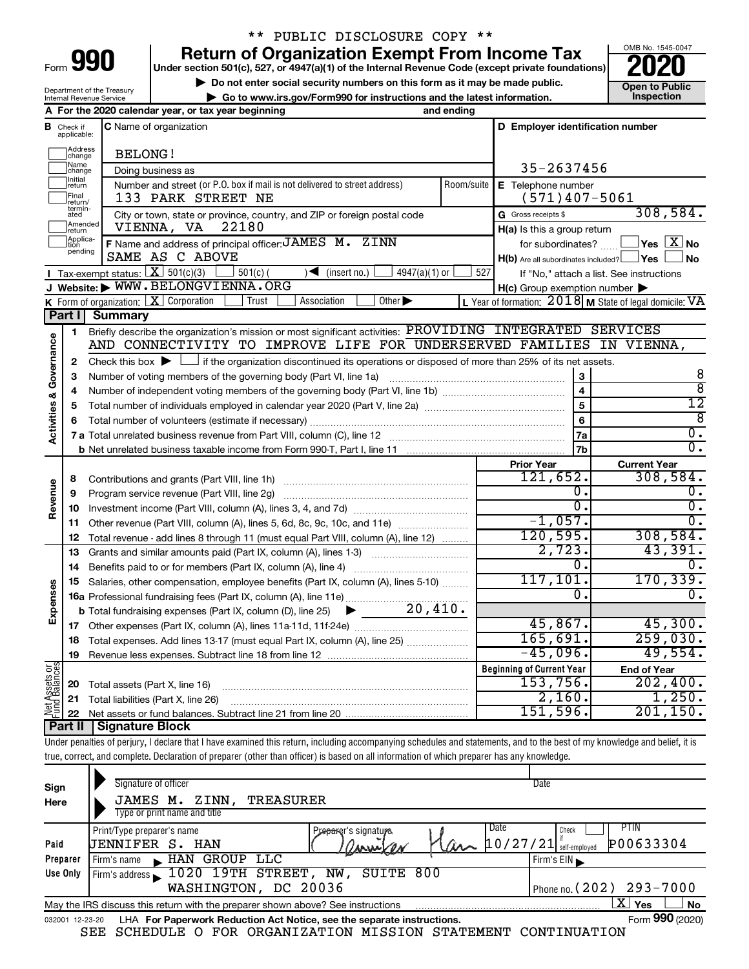| Form |  |  |
|------|--|--|
|      |  |  |

### \*\* PUBLIC DISCLOSURE COPY \*\*

**990** Return of Organization Exempt From Income Tax <br>
Under section 501(c), 527, or 4947(a)(1) of the Internal Revenue Code (except private foundations)<br> **PO20** 

**b** Do not enter social security numbers on this form as it may be made public. **Open to Public**<br>
Co to www.irs gov/Eorm990 for instructions and the latest information **| Go to www.irs.gov/Form990 for instructions and the latest information. Inspection**



|                         |                                     | Department of the Treasury<br>Internal Revenue Service            | <b>Open to Public</b><br>Inspection                                                                                                                                        |                                  |                                                           |                                             |
|-------------------------|-------------------------------------|-------------------------------------------------------------------|----------------------------------------------------------------------------------------------------------------------------------------------------------------------------|----------------------------------|-----------------------------------------------------------|---------------------------------------------|
|                         |                                     | A For the 2020 calendar year, or tax year beginning<br>and ending |                                                                                                                                                                            |                                  |                                                           |                                             |
|                         | <b>B</b> Check if<br>applicable:    |                                                                   | C Name of organization                                                                                                                                                     | D Employer identification number |                                                           |                                             |
|                         | Address<br><b>BELONG!</b><br>change |                                                                   |                                                                                                                                                                            |                                  |                                                           |                                             |
|                         | Name<br>Doing business as<br>change |                                                                   |                                                                                                                                                                            | 35-2637456                       |                                                           |                                             |
|                         | Initial<br> return                  |                                                                   | Number and street (or P.O. box if mail is not delivered to street address)                                                                                                 | Room/suite                       | E Telephone number                                        |                                             |
|                         | Final<br>return/                    |                                                                   | 133 PARK STREET NE                                                                                                                                                         |                                  | $(571)$ 407-5061                                          |                                             |
|                         | termin-<br>ated                     |                                                                   | City or town, state or province, country, and ZIP or foreign postal code                                                                                                   |                                  | G Gross receipts \$                                       | 308,584.                                    |
|                         | Amended<br>return                   |                                                                   | 22180<br>VIENNA, VA                                                                                                                                                        |                                  | H(a) Is this a group return                               |                                             |
|                         | Applica-<br>tion                    |                                                                   | F Name and address of principal officer: JAMES M. ZINN                                                                                                                     |                                  |                                                           | for subordinates? $\Box$ Yes $\boxed{X}$ No |
|                         | pending                             |                                                                   | SAME AS C ABOVE                                                                                                                                                            |                                  | H(b) Are all subordinates included? Ves                   | ∫ No                                        |
|                         |                                     | Tax-exempt status: $X \over 301(c)(3)$                            | $4947(a)(1)$ or<br>$501(c)$ (<br>$\sqrt{\frac{1}{1}}$ (insert no.)                                                                                                         | 527                              | If "No," attach a list. See instructions                  |                                             |
|                         |                                     |                                                                   | J Website: WWW.BELONGVIENNA.ORG                                                                                                                                            |                                  | $H(c)$ Group exemption number $\blacktriangleright$       |                                             |
|                         |                                     |                                                                   | K Form of organization: X Corporation<br>Other $\blacktriangleright$<br>Association<br>Trust                                                                               |                                  | L Year of formation: $2018$ M State of legal domicile: VA |                                             |
|                         | Part II                             | <b>Summary</b>                                                    |                                                                                                                                                                            |                                  |                                                           |                                             |
|                         | 1                                   |                                                                   | Briefly describe the organization's mission or most significant activities: PROVIDING INTEGRATED SERVICES                                                                  |                                  |                                                           |                                             |
| Activities & Governance |                                     |                                                                   | AND CONNECTIVITY TO IMPROVE LIFE FOR UNDERSERVED FAMILIES IN VIENNA,                                                                                                       |                                  |                                                           |                                             |
|                         | 2                                   |                                                                   | Check this box $\blacktriangleright$ $\Box$ if the organization discontinued its operations or disposed of more than 25% of its net assets.                                |                                  |                                                           |                                             |
|                         | З                                   |                                                                   | Number of voting members of the governing body (Part VI, line 1a)                                                                                                          |                                  | З                                                         | 8                                           |
|                         | 4                                   |                                                                   |                                                                                                                                                                            |                                  | $\overline{\mathbf{4}}$                                   | ह                                           |
|                         | 5                                   |                                                                   |                                                                                                                                                                            |                                  | 5                                                         | 12                                          |
|                         | 6                                   |                                                                   |                                                                                                                                                                            |                                  | 6                                                         | 8                                           |
|                         |                                     |                                                                   |                                                                                                                                                                            |                                  | 7a                                                        | $\overline{0}$ .<br>$\overline{0}$ .        |
|                         |                                     |                                                                   |                                                                                                                                                                            |                                  | 7 <sub>b</sub>                                            |                                             |
|                         |                                     |                                                                   |                                                                                                                                                                            |                                  | <b>Prior Year</b><br>121,652.                             | <b>Current Year</b><br>308,584.             |
| Revenue                 | 8                                   |                                                                   |                                                                                                                                                                            |                                  | 0.                                                        | ο.                                          |
|                         | 9                                   |                                                                   |                                                                                                                                                                            |                                  | $\overline{0}$ .                                          | 0.                                          |
|                         | 10<br>11                            |                                                                   | Other revenue (Part VIII, column (A), lines 5, 6d, 8c, 9c, 10c, and 11e)                                                                                                   |                                  | $-1,057.$                                                 | 0.                                          |
|                         | 12                                  |                                                                   | Total revenue - add lines 8 through 11 (must equal Part VIII, column (A), line 12)                                                                                         |                                  | 120, 595.                                                 | 308,584.                                    |
|                         | 13                                  |                                                                   | Grants and similar amounts paid (Part IX, column (A), lines 1-3)                                                                                                           |                                  | 2,723.                                                    | 43,391.                                     |
|                         | 14                                  |                                                                   | Benefits paid to or for members (Part IX, column (A), line 4)                                                                                                              |                                  | 0.                                                        | 0.                                          |
|                         | 15                                  |                                                                   | Salaries, other compensation, employee benefits (Part IX, column (A), lines 5-10)                                                                                          |                                  | 117, 101.                                                 | 170, 339.                                   |
|                         |                                     |                                                                   |                                                                                                                                                                            |                                  | 0.                                                        | $\overline{0}$ .                            |
| Expenses                |                                     |                                                                   |                                                                                                                                                                            |                                  |                                                           |                                             |
|                         |                                     |                                                                   |                                                                                                                                                                            |                                  | 45,867.                                                   | 45,300.                                     |
|                         | 18                                  |                                                                   | Total expenses. Add lines 13-17 (must equal Part IX, column (A), line 25)                                                                                                  |                                  | 165,691.                                                  | 259,030.                                    |
|                         | 19                                  |                                                                   |                                                                                                                                                                            |                                  | $-45,096$ .                                               | 49,554.                                     |
|                         |                                     |                                                                   |                                                                                                                                                                            |                                  | <b>Beginning of Current Year</b>                          | <b>End of Year</b>                          |
| Net Assets or           | 20                                  | Total assets (Part X, line 16)                                    |                                                                                                                                                                            |                                  | 153,756.                                                  | 202,400.                                    |
|                         | 21                                  |                                                                   | Total liabilities (Part X, line 26)                                                                                                                                        |                                  | 2,160.                                                    | 1,250.                                      |
|                         | 22                                  |                                                                   |                                                                                                                                                                            |                                  | 151,596.                                                  | 201, 150.                                   |
|                         | Part II                             | <b>Signature Block</b>                                            |                                                                                                                                                                            |                                  |                                                           |                                             |
|                         |                                     |                                                                   | Under penalties of perjury, I declare that I have examined this return, including accompanying schedules and statements, and to the best of my knowledge and belief, it is |                                  |                                                           |                                             |

true, correct, and complete. Declaration of preparer (other than officer) is based on all information of which preparer has any knowledge.

| Sign<br>Here    | Signature of officer<br>TREASURER<br>ZINN,<br>JAMES M.<br>Type or print name and title |                                            | Date                               |
|-----------------|----------------------------------------------------------------------------------------|--------------------------------------------|------------------------------------|
|                 | Print/Type preparer's name                                                             | Pre <del>par</del> er's signatu <i>r</i> s | Date<br>PTIN<br>Check              |
| Paid            | JENNIFER S. HAN                                                                        | ANNU/ON                                    | P00633304<br>$\text{Var}$ 10/27/21 |
| Preparer        | GROUP<br>LLC<br>HAN<br>Firm's name<br>$\blacksquare$                                   |                                            | Firm's $EIN$                       |
| Use Only        | 1020 19TH STREET,<br>Firm's address                                                    | SUITE 800<br>NW.                           |                                    |
|                 | WASHINGTON, DC 20036                                                                   |                                            | Phone no. $(202)$ 293-7000         |
|                 | May the IRS discuss this return with the preparer shown above? See instructions        |                                            | $\mathbf{X}$<br><b>No</b><br>Yes   |
| 032001 12-23-20 | LHA For Paperwork Reduction Act Notice, see the separate instructions.                 |                                            | Form 990 (2020)                    |
|                 | SEE<br>SCHEDULE O                                                                      | FOR ORGANIZATION MISSION<br>STATEMENT      | CONTINUATION                       |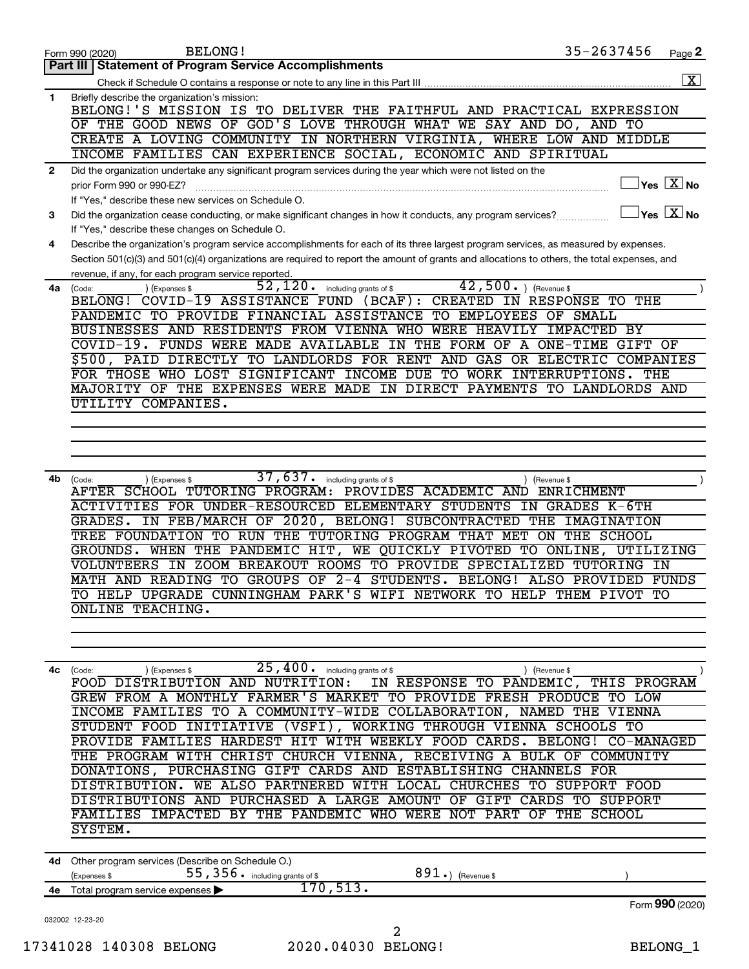|                | <b>BELONG!</b><br>Form 990 (2020)                                                                                                                                                                                                                                                    | 35-2637456         | Page 2                  |
|----------------|--------------------------------------------------------------------------------------------------------------------------------------------------------------------------------------------------------------------------------------------------------------------------------------|--------------------|-------------------------|
|                | Part III   Statement of Program Service Accomplishments                                                                                                                                                                                                                              |                    |                         |
|                |                                                                                                                                                                                                                                                                                      |                    | $\overline{\mathbf{X}}$ |
| 1              | Briefly describe the organization's mission:                                                                                                                                                                                                                                         |                    |                         |
|                | BELONG!'S MISSION IS TO DELIVER THE FAITHFUL AND PRACTICAL EXPRESSION                                                                                                                                                                                                                |                    |                         |
|                | OF THE GOOD NEWS OF GOD'S LOVE THROUGH WHAT WE SAY AND DO, AND TO                                                                                                                                                                                                                    |                    |                         |
|                | CREATE A LOVING COMMUNITY IN NORTHERN VIRGINIA, WHERE LOW AND MIDDLE                                                                                                                                                                                                                 |                    |                         |
|                | INCOME FAMILIES CAN EXPERIENCE SOCIAL, ECONOMIC AND SPIRITUAL                                                                                                                                                                                                                        |                    |                         |
| $\overline{2}$ | Did the organization undertake any significant program services during the year which were not listed on the                                                                                                                                                                         |                    | $Yes$ $\boxed{X}$ No    |
|                | prior Form 990 or 990-EZ?                                                                                                                                                                                                                                                            |                    |                         |
|                | If "Yes," describe these new services on Schedule O.                                                                                                                                                                                                                                 |                    | $Yes$ $X$ No            |
| 3              | Did the organization cease conducting, or make significant changes in how it conducts, any program services?                                                                                                                                                                         |                    |                         |
|                | If "Yes," describe these changes on Schedule O.                                                                                                                                                                                                                                      |                    |                         |
| 4              | Describe the organization's program service accomplishments for each of its three largest program services, as measured by expenses.<br>Section 501(c)(3) and 501(c)(4) organizations are required to report the amount of grants and allocations to others, the total expenses, and |                    |                         |
|                | revenue, if any, for each program service reported.                                                                                                                                                                                                                                  |                    |                         |
| 4a l           | 42,500.<br>52,120.<br>) (Revenue \$<br>including grants of \$<br>(Expenses \$<br>(Code:                                                                                                                                                                                              |                    |                         |
|                | BELONG! COVID-19 ASSISTANCE FUND (BCAF): CREATED                                                                                                                                                                                                                                     | IN RESPONSE TO THE |                         |
|                | PANDEMIC TO PROVIDE FINANCIAL ASSISTANCE<br>TO EMPLOYEES<br>OF                                                                                                                                                                                                                       | SMALL              |                         |
|                | BUSINESSES AND RESIDENTS FROM VIENNA WHO<br><b>WERE HEAVILY</b>                                                                                                                                                                                                                      | IMPACTED BY        |                         |
|                | COVID-19.<br>FUNDS WERE MADE AVAILABLE<br>IN THE FORM OF<br>A<br>ONE-TIME                                                                                                                                                                                                            | GIFT OF            |                         |
|                | \$500, PAID DIRECTLY TO LANDLORDS FOR RENT AND GAS OR ELECTRIC                                                                                                                                                                                                                       | <b>COMPANIES</b>   |                         |
|                | FOR THOSE WHO LOST SIGNIFICANT INCOME DUE TO WORK INTERRUPTIONS.                                                                                                                                                                                                                     | THE                |                         |
|                | MAJORITY OF THE EXPENSES WERE MADE IN DIRECT PAYMENTS TO LANDLORDS AND                                                                                                                                                                                                               |                    |                         |
|                | UTILITY COMPANIES.                                                                                                                                                                                                                                                                   |                    |                         |
|                |                                                                                                                                                                                                                                                                                      |                    |                         |
|                |                                                                                                                                                                                                                                                                                      |                    |                         |
|                |                                                                                                                                                                                                                                                                                      |                    |                         |
|                |                                                                                                                                                                                                                                                                                      |                    |                         |
| 4b             | 37,637.<br>including grants of \$<br>(Expenses \$<br>(Revenue \$<br>(Code:                                                                                                                                                                                                           |                    |                         |
|                | AFTER SCHOOL TUTORING PROGRAM: PROVIDES ACADEMIC AND                                                                                                                                                                                                                                 | ENRICHMENT         |                         |
|                | <b>ACTIVITIES FOR UNDER-RESOURCED ELEMENTARY STUDENTS</b>                                                                                                                                                                                                                            | IN GRADES K-6TH    |                         |
|                | IN FEB/MARCH OF 2020, BELONG! SUBCONTRACTED<br>THE<br>GRADES.                                                                                                                                                                                                                        | <b>IMAGINATION</b> |                         |
|                | TUTORING PROGRAM THAT MET ON THE SCHOOL<br>TREE FOUNDATION<br>TO RUN THE                                                                                                                                                                                                             |                    |                         |
|                | WHEN THE PANDEMIC HIT, WE QUICKLY PIVOTED TO ONLINE, UTILIZING<br>GROUNDS.                                                                                                                                                                                                           |                    |                         |
|                | VOLUNTEERS IN ZOOM BREAKOUT ROOMS TO PROVIDE SPECIALIZED TUTORING IN                                                                                                                                                                                                                 |                    |                         |
|                | MATH AND READING TO GROUPS OF 2-4 STUDENTS. BELONG! ALSO PROVIDED FUNDS                                                                                                                                                                                                              |                    |                         |
|                | TO HELP UPGRADE CUNNINGHAM PARK'S WIFI NETWORK TO HELP THEM PIVOT TO                                                                                                                                                                                                                 |                    |                         |
|                | <b>ONLINE TEACHING.</b>                                                                                                                                                                                                                                                              |                    |                         |
|                |                                                                                                                                                                                                                                                                                      |                    |                         |
|                |                                                                                                                                                                                                                                                                                      |                    |                         |
|                |                                                                                                                                                                                                                                                                                      |                    |                         |
|                | $(1)$ (Expenses \$ $25,400$ or including grants of \$<br>4c (Code:<br>) (Revenue \$                                                                                                                                                                                                  |                    |                         |
|                | FOOD DISTRIBUTION AND NUTRITION: IN RESPONSE TO PANDEMIC, THIS PROGRAM                                                                                                                                                                                                               |                    |                         |
|                | GREW FROM A MONTHLY FARMER'S MARKET TO PROVIDE FRESH PRODUCE TO LOW                                                                                                                                                                                                                  |                    |                         |
|                | INCOME FAMILIES TO A COMMUNITY-WIDE COLLABORATION, NAMED THE VIENNA                                                                                                                                                                                                                  |                    |                         |
|                | STUDENT FOOD INITIATIVE (VSFI), WORKING THROUGH VIENNA SCHOOLS TO                                                                                                                                                                                                                    |                    |                         |
|                | PROVIDE FAMILIES HARDEST HIT WITH WEEKLY FOOD CARDS. BELONG! CO-MANAGED<br>THE PROGRAM WITH CHRIST CHURCH VIENNA, RECEIVING A BULK OF COMMUNITY                                                                                                                                      |                    |                         |
|                |                                                                                                                                                                                                                                                                                      |                    |                         |

| PROVIDE FAMILIES AARDESI AII WIIA WEERLI FOOD CARDS. DELONG: CO-MANAGED |
|-------------------------------------------------------------------------|
| THE PROGRAM WITH CHRIST CHURCH VIENNA, RECEIVING A BULK OF COMMUNITY    |
| DONATIONS, PURCHASING GIFT CARDS AND ESTABLISHING CHANNELS FOR          |
| DISTRIBUTION. WE ALSO PARTNERED WITH LOCAL CHURCHES TO SUPPORT FOOD     |
| DISTRIBUTIONS AND PURCHASED A LARGE AMOUNT OF GIFT CARDS TO SUPPORT     |
| FAMILIES IMPACTED BY THE PANDEMIC WHO WERE NOT PART OF THE SCHOOL       |
| SYSTEM.                                                                 |

|    | 4d Other program services (Describe on Schedule O.)         |          |                      |                 |
|----|-------------------------------------------------------------|----------|----------------------|-----------------|
|    | $55$ , $356$ $\cdot$ including grants of \$<br>(Expenses \$ |          | $891$ .) (Revenue \$ |                 |
| 4е | Total program service expenses $\blacktriangleright$        | '70,513. |                      |                 |
|    |                                                             |          |                      | Form 990 (2020) |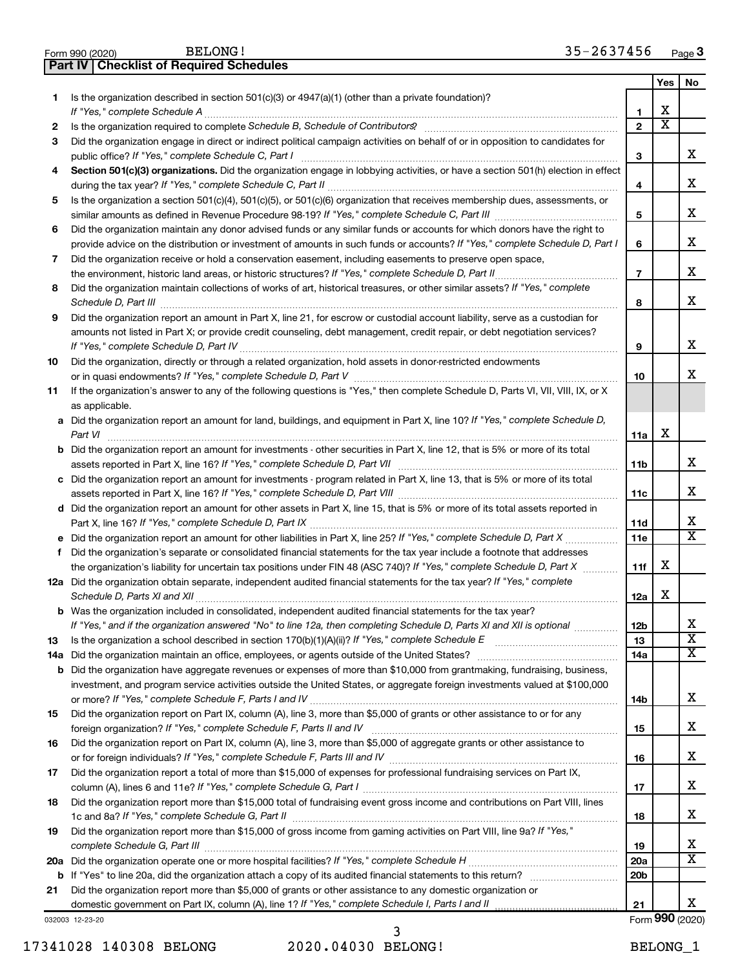|     | <b>Part IV   Checklist of Required Schedules</b>                                                                                                                                                                                    |                 |                         |                         |
|-----|-------------------------------------------------------------------------------------------------------------------------------------------------------------------------------------------------------------------------------------|-----------------|-------------------------|-------------------------|
|     |                                                                                                                                                                                                                                     |                 | Yes                     | No                      |
| 1   | Is the organization described in section 501(c)(3) or $4947(a)(1)$ (other than a private foundation)?                                                                                                                               |                 |                         |                         |
|     |                                                                                                                                                                                                                                     | 1               | х                       |                         |
| 2   |                                                                                                                                                                                                                                     | $\overline{2}$  | $\overline{\textbf{x}}$ |                         |
| 3   | Did the organization engage in direct or indirect political campaign activities on behalf of or in opposition to candidates for                                                                                                     |                 |                         |                         |
|     |                                                                                                                                                                                                                                     | 3               |                         | x                       |
| 4   | Section 501(c)(3) organizations. Did the organization engage in lobbying activities, or have a section 501(h) election in effect                                                                                                    |                 |                         |                         |
|     |                                                                                                                                                                                                                                     | 4               |                         | x                       |
|     |                                                                                                                                                                                                                                     |                 |                         |                         |
| 5   | Is the organization a section 501(c)(4), 501(c)(5), or 501(c)(6) organization that receives membership dues, assessments, or                                                                                                        |                 |                         | x                       |
|     |                                                                                                                                                                                                                                     | 5               |                         |                         |
| 6   | Did the organization maintain any donor advised funds or any similar funds or accounts for which donors have the right to                                                                                                           |                 |                         |                         |
|     | provide advice on the distribution or investment of amounts in such funds or accounts? If "Yes," complete Schedule D, Part I                                                                                                        | 6               |                         | x                       |
| 7   | Did the organization receive or hold a conservation easement, including easements to preserve open space,                                                                                                                           |                 |                         |                         |
|     | the environment, historic land areas, or historic structures? If "Yes," complete Schedule D, Part II                                                                                                                                | $\overline{7}$  |                         | x                       |
| 8   | Did the organization maintain collections of works of art, historical treasures, or other similar assets? If "Yes," complete                                                                                                        |                 |                         |                         |
|     | Schedule D, Part III <b>Marting Constructs</b> 2014 11 2014 12:00 12:00 12:00 12:00 12:00 12:00 12:00 12:00 12:00 12:00 12:00 12:00 12:00 12:00 12:00 12:00 12:00 12:00 12:00 12:00 12:00 12:00 12:00 12:00 12:00 12:00 12:00 12:00 | 8               |                         | x                       |
| 9   | Did the organization report an amount in Part X, line 21, for escrow or custodial account liability, serve as a custodian for                                                                                                       |                 |                         |                         |
|     | amounts not listed in Part X; or provide credit counseling, debt management, credit repair, or debt negotiation services?                                                                                                           |                 |                         |                         |
|     |                                                                                                                                                                                                                                     | 9               |                         | х                       |
| 10  | Did the organization, directly or through a related organization, hold assets in donor-restricted endowments                                                                                                                        |                 |                         |                         |
|     |                                                                                                                                                                                                                                     | 10              |                         | x                       |
| 11  | If the organization's answer to any of the following questions is "Yes," then complete Schedule D, Parts VI, VII, VIII, IX, or X                                                                                                    |                 |                         |                         |
|     | as applicable.                                                                                                                                                                                                                      |                 |                         |                         |
|     | a Did the organization report an amount for land, buildings, and equipment in Part X, line 10? If "Yes," complete Schedule D,                                                                                                       |                 |                         |                         |
|     | Part VI                                                                                                                                                                                                                             | 11a             | X                       |                         |
|     | <b>b</b> Did the organization report an amount for investments - other securities in Part X, line 12, that is 5% or more of its total                                                                                               |                 |                         |                         |
|     |                                                                                                                                                                                                                                     | 11 <sub>b</sub> |                         | х                       |
|     | c Did the organization report an amount for investments - program related in Part X, line 13, that is 5% or more of its total                                                                                                       |                 |                         |                         |
|     |                                                                                                                                                                                                                                     | 11c             |                         | х                       |
|     | d Did the organization report an amount for other assets in Part X, line 15, that is 5% or more of its total assets reported in                                                                                                     |                 |                         |                         |
|     |                                                                                                                                                                                                                                     |                 |                         | x                       |
|     |                                                                                                                                                                                                                                     | 11d             |                         | $\overline{\mathtt{x}}$ |
|     | Did the organization report an amount for other liabilities in Part X, line 25? If "Yes," complete Schedule D, Part X                                                                                                               | 11e             |                         |                         |
| f   | Did the organization's separate or consolidated financial statements for the tax year include a footnote that addresses                                                                                                             |                 | х                       |                         |
|     | the organization's liability for uncertain tax positions under FIN 48 (ASC 740)? If "Yes," complete Schedule D, Part X                                                                                                              | 11f             |                         |                         |
|     | 12a Did the organization obtain separate, independent audited financial statements for the tax year? If "Yes," complete                                                                                                             |                 |                         |                         |
|     |                                                                                                                                                                                                                                     | 12a             | х                       |                         |
| b   | Was the organization included in consolidated, independent audited financial statements for the tax year?                                                                                                                           |                 |                         |                         |
|     | If "Yes," and if the organization answered "No" to line 12a, then completing Schedule D, Parts XI and XII is optional                                                                                                               | 12b             |                         | х                       |
| 13  |                                                                                                                                                                                                                                     | 13              |                         | $\overline{\mathbf{X}}$ |
| 14a | Did the organization maintain an office, employees, or agents outside of the United States?                                                                                                                                         | 14a             |                         | $\overline{\text{X}}$   |
| b   | Did the organization have aggregate revenues or expenses of more than \$10,000 from grantmaking, fundraising, business,                                                                                                             |                 |                         |                         |
|     | investment, and program service activities outside the United States, or aggregate foreign investments valued at \$100,000                                                                                                          |                 |                         |                         |
|     |                                                                                                                                                                                                                                     | 14b             |                         | x                       |
| 15  | Did the organization report on Part IX, column (A), line 3, more than \$5,000 of grants or other assistance to or for any                                                                                                           |                 |                         |                         |
|     |                                                                                                                                                                                                                                     | 15              |                         | x                       |
| 16  | Did the organization report on Part IX, column (A), line 3, more than \$5,000 of aggregate grants or other assistance to                                                                                                            |                 |                         |                         |
|     |                                                                                                                                                                                                                                     | 16              |                         | x                       |
| 17  | Did the organization report a total of more than \$15,000 of expenses for professional fundraising services on Part IX,                                                                                                             |                 |                         |                         |
|     |                                                                                                                                                                                                                                     | 17              |                         | x                       |
| 18  | Did the organization report more than \$15,000 total of fundraising event gross income and contributions on Part VIII, lines                                                                                                        |                 |                         |                         |
|     |                                                                                                                                                                                                                                     | 18              |                         | x                       |
| 19  | Did the organization report more than \$15,000 of gross income from gaming activities on Part VIII, line 9a? If "Yes,"                                                                                                              |                 |                         |                         |
|     |                                                                                                                                                                                                                                     | 19              |                         | x                       |
|     |                                                                                                                                                                                                                                     | 20a             |                         | $\overline{\text{X}}$   |
| b   |                                                                                                                                                                                                                                     | 20 <sub>b</sub> |                         |                         |
| 21  | Did the organization report more than \$5,000 of grants or other assistance to any domestic organization or                                                                                                                         |                 |                         |                         |
|     |                                                                                                                                                                                                                                     | 21              |                         | x.                      |
|     | 032003 12-23-20                                                                                                                                                                                                                     |                 |                         | Form 990 (2020)         |

17341028 140308 BELONG 2020.04030 BELONG! BELONG\_1

3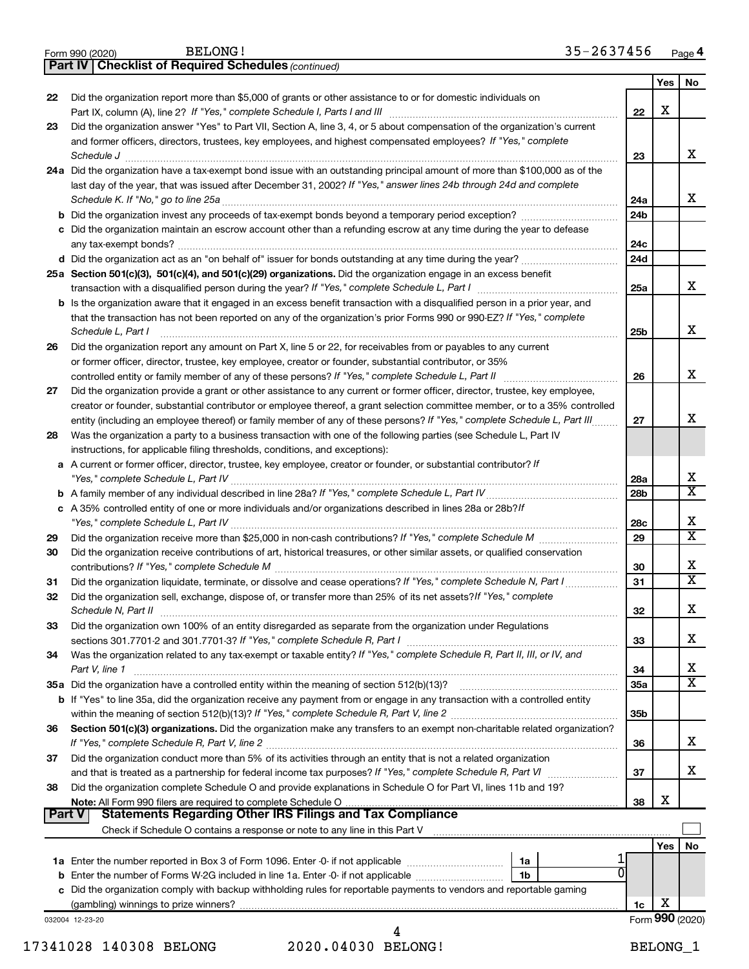|               | <b>Part IV   Checklist of Required Schedules (continued)</b>                                                                        |                 |     |                         |
|---------------|-------------------------------------------------------------------------------------------------------------------------------------|-----------------|-----|-------------------------|
|               |                                                                                                                                     |                 | Yes | No                      |
| 22            | Did the organization report more than \$5,000 of grants or other assistance to or for domestic individuals on                       |                 |     |                         |
|               |                                                                                                                                     | 22              | x   |                         |
|               |                                                                                                                                     |                 |     |                         |
| 23            | Did the organization answer "Yes" to Part VII, Section A, line 3, 4, or 5 about compensation of the organization's current          |                 |     |                         |
|               | and former officers, directors, trustees, key employees, and highest compensated employees? If "Yes," complete                      |                 |     |                         |
|               | Schedule J <b>Exercise Construction Construction Construction Construction Construction</b>                                         | 23              |     | x                       |
|               | 24a Did the organization have a tax-exempt bond issue with an outstanding principal amount of more than \$100,000 as of the         |                 |     |                         |
|               | last day of the year, that was issued after December 31, 2002? If "Yes," answer lines 24b through 24d and complete                  |                 |     |                         |
|               |                                                                                                                                     | 24a             |     | x                       |
|               | b Did the organization invest any proceeds of tax-exempt bonds beyond a temporary period exception?                                 | 24b             |     |                         |
|               | c Did the organization maintain an escrow account other than a refunding escrow at any time during the year to defease              |                 |     |                         |
|               |                                                                                                                                     | 24c             |     |                         |
|               |                                                                                                                                     | 24d             |     |                         |
|               | 25a Section 501(c)(3), 501(c)(4), and 501(c)(29) organizations. Did the organization engage in an excess benefit                    |                 |     |                         |
|               |                                                                                                                                     | 25a             |     | x                       |
|               | <b>b</b> Is the organization aware that it engaged in an excess benefit transaction with a disqualified person in a prior year, and |                 |     |                         |
|               | that the transaction has not been reported on any of the organization's prior Forms 990 or 990-EZ? If "Yes," complete               |                 |     |                         |
|               |                                                                                                                                     |                 |     | x                       |
|               | Schedule L, Part I                                                                                                                  | 25b             |     |                         |
| 26            | Did the organization report any amount on Part X, line 5 or 22, for receivables from or payables to any current                     |                 |     |                         |
|               | or former officer, director, trustee, key employee, creator or founder, substantial contributor, or 35%                             |                 |     |                         |
|               | controlled entity or family member of any of these persons? If "Yes," complete Schedule L, Part II                                  | 26              |     | x                       |
| 27            | Did the organization provide a grant or other assistance to any current or former officer, director, trustee, key employee,         |                 |     |                         |
|               | creator or founder, substantial contributor or employee thereof, a grant selection committee member, or to a 35% controlled         |                 |     |                         |
|               | entity (including an employee thereof) or family member of any of these persons? If "Yes," complete Schedule L, Part III            | 27              |     | x                       |
| 28            | Was the organization a party to a business transaction with one of the following parties (see Schedule L, Part IV                   |                 |     |                         |
|               | instructions, for applicable filing thresholds, conditions, and exceptions):                                                        |                 |     |                         |
|               | a A current or former officer, director, trustee, key employee, creator or founder, or substantial contributor? If                  |                 |     |                         |
|               |                                                                                                                                     | 28a             |     | х                       |
|               |                                                                                                                                     | 28b             |     | $\overline{\textbf{X}}$ |
|               | c A 35% controlled entity of one or more individuals and/or organizations described in lines 28a or 28b?/f                          |                 |     |                         |
|               |                                                                                                                                     | 28c             |     | х                       |
| 29            |                                                                                                                                     | 29              |     | $\overline{\mathtt{x}}$ |
| 30            | Did the organization receive contributions of art, historical treasures, or other similar assets, or qualified conservation         |                 |     |                         |
|               |                                                                                                                                     | 30              |     | х                       |
|               |                                                                                                                                     |                 |     | $\overline{\mathbf{x}}$ |
| 31            | Did the organization liquidate, terminate, or dissolve and cease operations? If "Yes," complete Schedule N, Part I                  | 31              |     |                         |
| 32            | Did the organization sell, exchange, dispose of, or transfer more than 25% of its net assets? If "Yes," complete                    |                 |     | X                       |
|               | Schedule N, Part II                                                                                                                 | 32              |     |                         |
| 33            | Did the organization own 100% of an entity disregarded as separate from the organization under Regulations                          |                 |     |                         |
|               |                                                                                                                                     | 33              |     | х                       |
| 34            | Was the organization related to any tax-exempt or taxable entity? If "Yes," complete Schedule R, Part II, III, or IV, and           |                 |     |                         |
|               | Part V, line 1                                                                                                                      | 34              |     | x                       |
|               |                                                                                                                                     | <b>35a</b>      |     | X                       |
|               | b If "Yes" to line 35a, did the organization receive any payment from or engage in any transaction with a controlled entity         |                 |     |                         |
|               |                                                                                                                                     | 35 <sub>b</sub> |     |                         |
| 36            | Section 501(c)(3) organizations. Did the organization make any transfers to an exempt non-charitable related organization?          |                 |     |                         |
|               |                                                                                                                                     | 36              |     | х                       |
| 37            | Did the organization conduct more than 5% of its activities through an entity that is not a related organization                    |                 |     |                         |
|               |                                                                                                                                     | 37              |     | х                       |
| 38            | Did the organization complete Schedule O and provide explanations in Schedule O for Part VI, lines 11b and 19?                      |                 |     |                         |
|               |                                                                                                                                     | 38              | х   |                         |
| <b>Part V</b> | <b>Statements Regarding Other IRS Filings and Tax Compliance</b>                                                                    |                 |     |                         |
|               |                                                                                                                                     |                 |     |                         |
|               |                                                                                                                                     |                 | Yes | No                      |
|               |                                                                                                                                     |                 |     |                         |
|               | 0                                                                                                                                   |                 |     |                         |
|               | 1b                                                                                                                                  |                 |     |                         |
|               | c Did the organization comply with backup withholding rules for reportable payments to vendors and reportable gaming                |                 |     |                         |
|               |                                                                                                                                     | 1c              | х   |                         |
|               | 032004 12-23-20                                                                                                                     |                 |     | Form 990 (2020)         |
|               | 4                                                                                                                                   |                 |     |                         |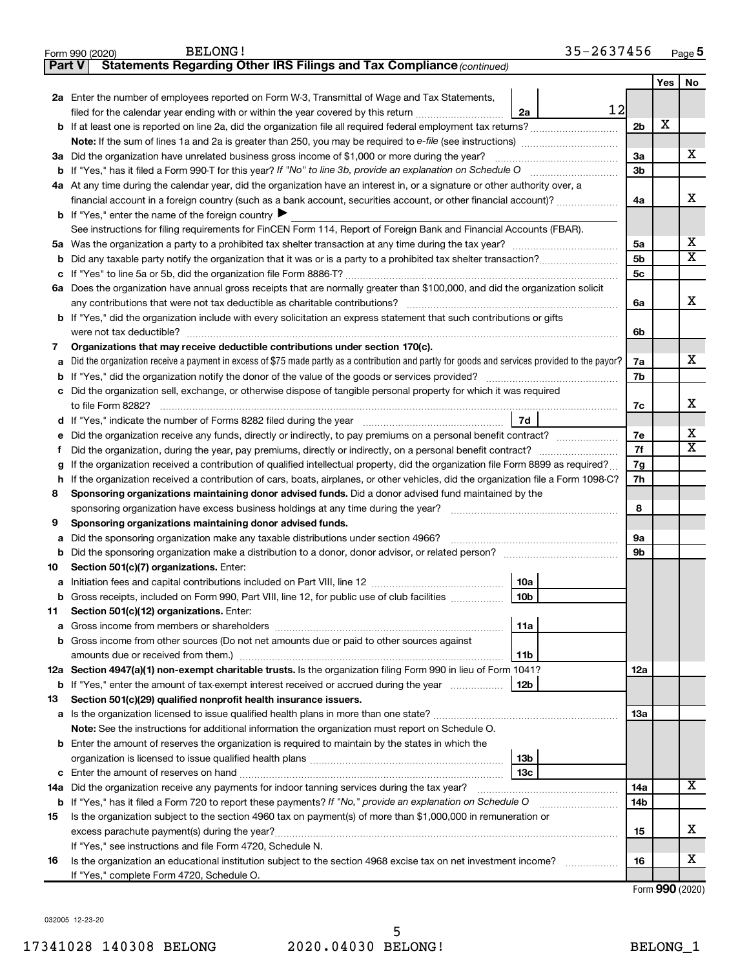|               | 35-2637456<br><b>BELONG!</b><br>Form 990 (2020)                                                                                                                                                                                              |                 |     | Page 5                  |
|---------------|----------------------------------------------------------------------------------------------------------------------------------------------------------------------------------------------------------------------------------------------|-----------------|-----|-------------------------|
| <b>Part V</b> | Statements Regarding Other IRS Filings and Tax Compliance (continued)                                                                                                                                                                        |                 |     |                         |
|               |                                                                                                                                                                                                                                              |                 | Yes | No                      |
|               | 2a Enter the number of employees reported on Form W-3, Transmittal of Wage and Tax Statements,                                                                                                                                               |                 |     |                         |
|               | 12<br>filed for the calendar year ending with or within the year covered by this return<br>2a                                                                                                                                                |                 |     |                         |
|               |                                                                                                                                                                                                                                              | 2 <sub>b</sub>  | X   |                         |
|               |                                                                                                                                                                                                                                              |                 |     |                         |
|               | 3a Did the organization have unrelated business gross income of \$1,000 or more during the year?                                                                                                                                             | 3a              |     | X                       |
|               |                                                                                                                                                                                                                                              | 3 <sub>b</sub>  |     |                         |
|               | 4a At any time during the calendar year, did the organization have an interest in, or a signature or other authority over, a                                                                                                                 |                 |     |                         |
|               | financial account in a foreign country (such as a bank account, securities account, or other financial account)?                                                                                                                             | 4a              |     | х                       |
|               | <b>b</b> If "Yes," enter the name of the foreign country $\blacktriangleright$                                                                                                                                                               |                 |     |                         |
|               | See instructions for filing requirements for FinCEN Form 114, Report of Foreign Bank and Financial Accounts (FBAR).                                                                                                                          |                 |     |                         |
|               |                                                                                                                                                                                                                                              | 5a              |     | x                       |
| b             |                                                                                                                                                                                                                                              | 5 <sub>b</sub>  |     | $\overline{\mathbf{X}}$ |
| с             |                                                                                                                                                                                                                                              | 5c              |     |                         |
|               | 6a Does the organization have annual gross receipts that are normally greater than \$100,000, and did the organization solicit                                                                                                               |                 |     |                         |
|               |                                                                                                                                                                                                                                              | 6а              |     | X                       |
|               | <b>b</b> If "Yes," did the organization include with every solicitation an express statement that such contributions or gifts                                                                                                                |                 |     |                         |
|               | were not tax deductible?                                                                                                                                                                                                                     | 6b              |     |                         |
| 7             | Organizations that may receive deductible contributions under section 170(c).                                                                                                                                                                |                 |     |                         |
| a             | Did the organization receive a payment in excess of \$75 made partly as a contribution and partly for goods and services provided to the payor?                                                                                              | 7a              |     | x                       |
| b             | If "Yes," did the organization notify the donor of the value of the goods or services provided?                                                                                                                                              | 7b              |     |                         |
| с             | Did the organization sell, exchange, or otherwise dispose of tangible personal property for which it was required                                                                                                                            |                 |     |                         |
|               |                                                                                                                                                                                                                                              | 7c              |     | x                       |
| d             |                                                                                                                                                                                                                                              |                 |     |                         |
| е             | Did the organization receive any funds, directly or indirectly, to pay premiums on a personal benefit contract?                                                                                                                              | 7e              |     | x                       |
| Ť             | Did the organization, during the year, pay premiums, directly or indirectly, on a personal benefit contract?                                                                                                                                 | 7f              |     | $\overline{\mathbf{x}}$ |
|               | If the organization received a contribution of qualified intellectual property, did the organization file Form 8899 as required?                                                                                                             | 7g<br>7h        |     |                         |
| h             | If the organization received a contribution of cars, boats, airplanes, or other vehicles, did the organization file a Form 1098-C?                                                                                                           |                 |     |                         |
| 8             | Sponsoring organizations maintaining donor advised funds. Did a donor advised fund maintained by the                                                                                                                                         |                 |     |                         |
|               | sponsoring organization have excess business holdings at any time during the year?                                                                                                                                                           | 8               |     |                         |
| 9             | Sponsoring organizations maintaining donor advised funds.                                                                                                                                                                                    |                 |     |                         |
| а             | Did the sponsoring organization make any taxable distributions under section 4966?                                                                                                                                                           | 9а              |     |                         |
| b             |                                                                                                                                                                                                                                              | 9b              |     |                         |
| 10            | Section 501(c)(7) organizations. Enter:                                                                                                                                                                                                      |                 |     |                         |
|               | <b>10a</b><br>a Initiation fees and capital contributions included on Part VIII, line 12 [111] [11] [12] [11] [12] [11] [12] [11] [12] [11] [12] [11] [12] [11] [12] [11] [12] [11] [12] [11] [12] [11] [12] [11] [12] [11] [12] [11] [12] [ |                 |     |                         |
|               | 10 <sub>b</sub><br>Gross receipts, included on Form 990, Part VIII, line 12, for public use of club facilities                                                                                                                               |                 |     |                         |
| 11            | Section 501(c)(12) organizations. Enter:                                                                                                                                                                                                     |                 |     |                         |
| а             | 11a                                                                                                                                                                                                                                          |                 |     |                         |
| b             | Gross income from other sources (Do not net amounts due or paid to other sources against                                                                                                                                                     |                 |     |                         |
|               | 11b                                                                                                                                                                                                                                          |                 |     |                         |
|               | 12a Section 4947(a)(1) non-exempt charitable trusts. Is the organization filing Form 990 in lieu of Form 1041?                                                                                                                               | 12a             |     |                         |
|               | 12b<br><b>b</b> If "Yes," enter the amount of tax-exempt interest received or accrued during the year                                                                                                                                        |                 |     |                         |
| 13            | Section 501(c)(29) qualified nonprofit health insurance issuers.                                                                                                                                                                             | 1За             |     |                         |
| а             | Note: See the instructions for additional information the organization must report on Schedule O.                                                                                                                                            |                 |     |                         |
| b             | Enter the amount of reserves the organization is required to maintain by the states in which the                                                                                                                                             |                 |     |                         |
|               | 13 <sub>b</sub>                                                                                                                                                                                                                              |                 |     |                         |
| с             | 13 <sub>c</sub><br>Enter the amount of reserves on hand                                                                                                                                                                                      |                 |     |                         |
| 14a           | Did the organization receive any payments for indoor tanning services during the tax year?                                                                                                                                                   | 14a             |     | $\overline{\mathbf{X}}$ |
|               | <b>b</b> If "Yes," has it filed a Form 720 to report these payments? If "No," provide an explanation on Schedule O                                                                                                                           | 14 <sub>b</sub> |     |                         |
| 15            | Is the organization subject to the section 4960 tax on payment(s) of more than \$1,000,000 in remuneration or                                                                                                                                |                 |     |                         |
|               | excess parachute payment(s) during the year?                                                                                                                                                                                                 | 15              |     | х                       |
|               | If "Yes," see instructions and file Form 4720, Schedule N.                                                                                                                                                                                   |                 |     |                         |
| 16            | Is the organization an educational institution subject to the section 4968 excise tax on net investment income?                                                                                                                              | 16              |     | х                       |
|               | If "Yes," complete Form 4720, Schedule O.                                                                                                                                                                                                    |                 |     |                         |

Form (2020) **990**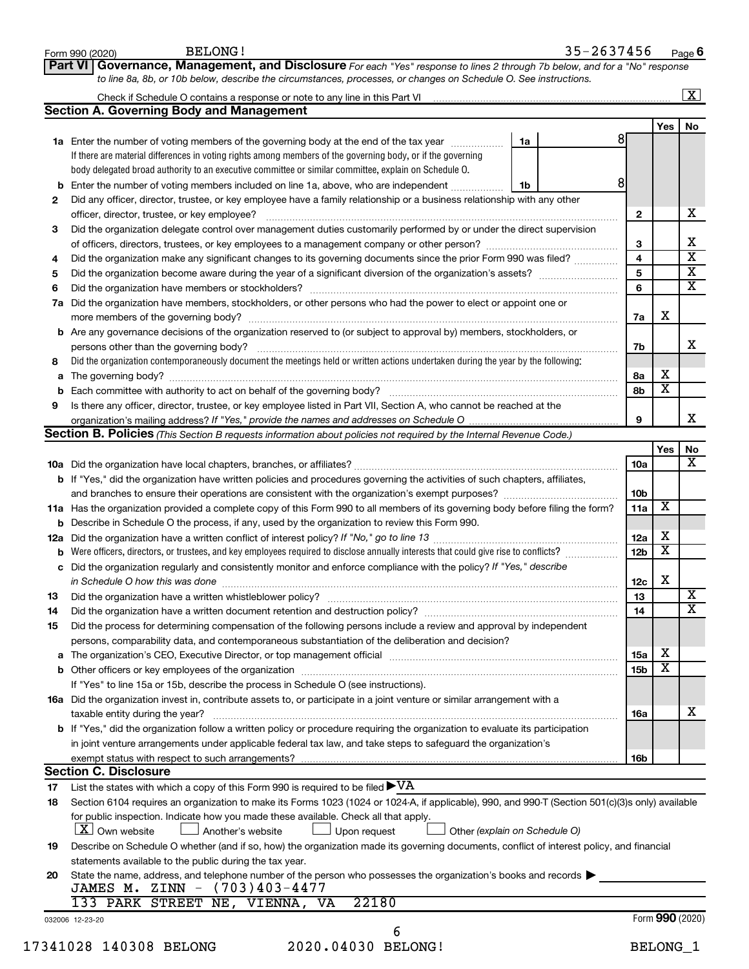|    | <b>BELONG!</b><br>Form 990 (2020)                                                                                                                                             |    | 35-2637456 |                 |                 | Page 6                  |
|----|-------------------------------------------------------------------------------------------------------------------------------------------------------------------------------|----|------------|-----------------|-----------------|-------------------------|
|    | Governance, Management, and Disclosure For each "Yes" response to lines 2 through 7b below, and for a "No" response<br>Part VI                                                |    |            |                 |                 |                         |
|    | to line 8a, 8b, or 10b below, describe the circumstances, processes, or changes on Schedule O. See instructions.                                                              |    |            |                 |                 |                         |
|    |                                                                                                                                                                               |    |            |                 |                 | $\boxed{\text{X}}$      |
|    | <b>Section A. Governing Body and Management</b>                                                                                                                               |    |            |                 |                 |                         |
|    |                                                                                                                                                                               |    |            |                 | Yes             | No                      |
|    | 1a Enter the number of voting members of the governing body at the end of the tax year manuscom                                                                               | 1a |            | 81              |                 |                         |
|    | If there are material differences in voting rights among members of the governing body, or if the governing                                                                   |    |            |                 |                 |                         |
|    | body delegated broad authority to an executive committee or similar committee, explain on Schedule O.                                                                         |    |            |                 |                 |                         |
|    | b Enter the number of voting members included on line 1a, above, who are independent                                                                                          | 1b |            | 8               |                 |                         |
| 2  | Did any officer, director, trustee, or key employee have a family relationship or a business relationship with any other                                                      |    |            |                 |                 | x                       |
| З  | officer, director, trustee, or key employee?<br>Did the organization delegate control over management duties customarily performed by or under the direct supervision         |    |            | 2               |                 |                         |
|    |                                                                                                                                                                               |    |            | 3               |                 | х                       |
| 4  | Did the organization make any significant changes to its governing documents since the prior Form 990 was filed?                                                              |    |            | 4               |                 | $\overline{\mathbf{x}}$ |
| 5  |                                                                                                                                                                               |    |            | 5               |                 | $\overline{\mathbf{x}}$ |
| 6  |                                                                                                                                                                               |    |            | 6               |                 | $\overline{\mathbf{x}}$ |
| 7a | Did the organization have members, stockholders, or other persons who had the power to elect or appoint one or                                                                |    |            |                 |                 |                         |
|    |                                                                                                                                                                               |    |            | 7a              | х               |                         |
|    | <b>b</b> Are any governance decisions of the organization reserved to (or subject to approval by) members, stockholders, or                                                   |    |            |                 |                 |                         |
|    | persons other than the governing body?                                                                                                                                        |    |            | 7b              |                 | x                       |
| 8  | Did the organization contemporaneously document the meetings held or written actions undertaken during the year by the following:                                             |    |            |                 |                 |                         |
|    |                                                                                                                                                                               |    |            | 8а              | х               |                         |
| b  |                                                                                                                                                                               |    |            | 8b              | X               |                         |
| 9  | Is there any officer, director, trustee, or key employee listed in Part VII, Section A, who cannot be reached at the                                                          |    |            |                 |                 |                         |
|    |                                                                                                                                                                               |    |            | 9               |                 | x                       |
|    | <b>Section B. Policies</b> (This Section B requests information about policies not required by the Internal Revenue Code.)                                                    |    |            |                 |                 |                         |
|    |                                                                                                                                                                               |    |            |                 | Yes             | No                      |
|    |                                                                                                                                                                               |    |            | 10a             |                 | x                       |
|    | b If "Yes," did the organization have written policies and procedures governing the activities of such chapters, affiliates,                                                  |    |            |                 |                 |                         |
|    |                                                                                                                                                                               |    |            | 10b             | X               |                         |
|    | 11a Has the organization provided a complete copy of this Form 990 to all members of its governing body before filing the form?                                               |    |            | 11a             |                 |                         |
|    | <b>b</b> Describe in Schedule O the process, if any, used by the organization to review this Form 990.                                                                        |    |            | 12a             | х               |                         |
|    | <b>b</b> Were officers, directors, or trustees, and key employees required to disclose annually interests that could give rise to conflicts?                                  |    |            | 12 <sub>b</sub> | X               |                         |
|    | c Did the organization regularly and consistently monitor and enforce compliance with the policy? If "Yes," describe                                                          |    |            |                 |                 |                         |
|    | in Schedule O how this was done <i>manufacture contract to the schedule O</i> how this was done                                                                               |    |            | 12c             | Х               |                         |
| 13 |                                                                                                                                                                               |    |            | 13              |                 | $\overline{\text{X}}$   |
| 14 | Did the organization have a written document retention and destruction policy? [11] manufaction in the organization have a written document retention and destruction policy? |    |            | 14              |                 | $\overline{\textbf{x}}$ |
| 15 | Did the process for determining compensation of the following persons include a review and approval by independent                                                            |    |            |                 |                 |                         |
|    | persons, comparability data, and contemporaneous substantiation of the deliberation and decision?                                                                             |    |            |                 |                 |                         |
|    |                                                                                                                                                                               |    |            | 15a             | х               |                         |
|    |                                                                                                                                                                               |    |            | 15 <sub>b</sub> | X               |                         |
|    | If "Yes" to line 15a or 15b, describe the process in Schedule O (see instructions).                                                                                           |    |            |                 |                 |                         |
|    | 16a Did the organization invest in, contribute assets to, or participate in a joint venture or similar arrangement with a                                                     |    |            |                 |                 |                         |
|    | taxable entity during the year?                                                                                                                                               |    |            | 16a             |                 | х                       |
|    | b If "Yes," did the organization follow a written policy or procedure requiring the organization to evaluate its participation                                                |    |            |                 |                 |                         |
|    | in joint venture arrangements under applicable federal tax law, and take steps to safequard the organization's                                                                |    |            |                 |                 |                         |
|    | exempt status with respect to such arrangements?                                                                                                                              |    |            | 16b             |                 |                         |
|    | <b>Section C. Disclosure</b>                                                                                                                                                  |    |            |                 |                 |                         |
| 17 | List the states with which a copy of this Form 990 is required to be filed $\blacktriangleright\mathrm{VA}$                                                                   |    |            |                 |                 |                         |
| 18 | Section 6104 requires an organization to make its Forms 1023 (1024 or 1024-A, if applicable), 990, and 990-T (Section 501(c)(3)s only) available                              |    |            |                 |                 |                         |
|    | for public inspection. Indicate how you made these available. Check all that apply.                                                                                           |    |            |                 |                 |                         |
|    | $ \mathbf{X} $ Own website<br>Another's website<br>Upon request<br>Other (explain on Schedule O)                                                                              |    |            |                 |                 |                         |
| 19 | Describe on Schedule O whether (and if so, how) the organization made its governing documents, conflict of interest policy, and financial                                     |    |            |                 |                 |                         |
|    | statements available to the public during the tax year.                                                                                                                       |    |            |                 |                 |                         |
| 20 | State the name, address, and telephone number of the person who possesses the organization's books and records<br>JAMES M. ZINN - (703)403-4477                               |    |            |                 |                 |                         |
|    | 133 PARK STREET NE, VIENNA, VA<br>22180                                                                                                                                       |    |            |                 |                 |                         |
|    | 032006 12-23-20                                                                                                                                                               |    |            |                 | Form 990 (2020) |                         |
|    | 6                                                                                                                                                                             |    |            |                 |                 |                         |
|    | 17341028 140308 BELONG<br>2020.04030 BELONG!                                                                                                                                  |    |            |                 | <b>BELONG 1</b> |                         |
|    |                                                                                                                                                                               |    |            |                 |                 |                         |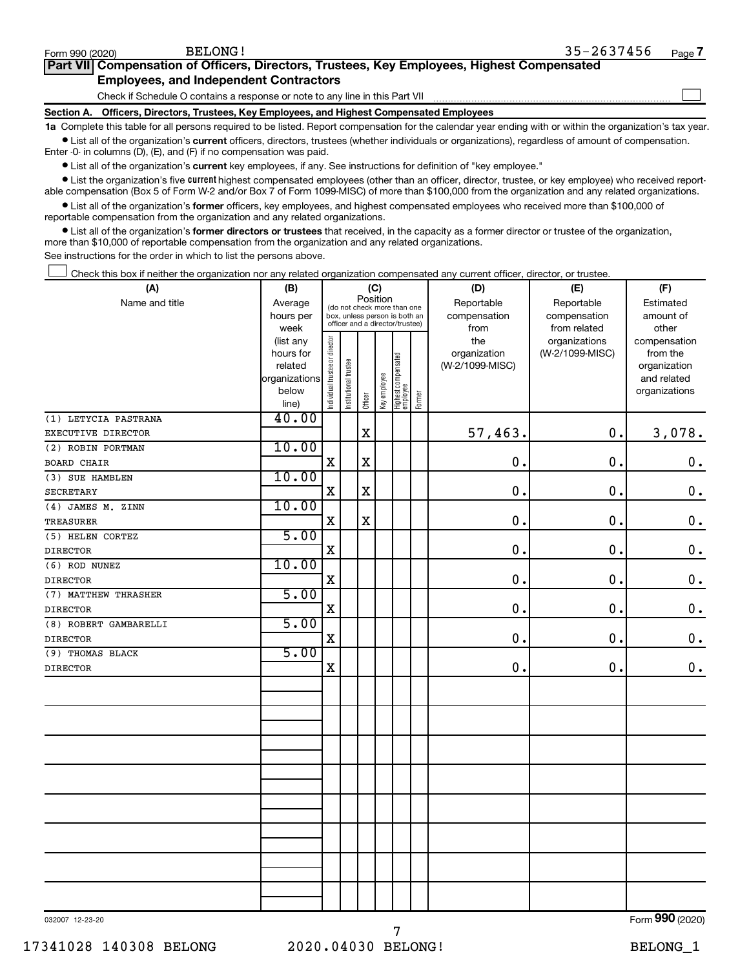$\Box$ 

| Part VII Compensation of Officers, Directors, Trustees, Key Employees, Highest Compensated |  |
|--------------------------------------------------------------------------------------------|--|
| <b>Employees, and Independent Contractors</b>                                              |  |

Check if Schedule O contains a response or note to any line in this Part VII

**Section A. Officers, Directors, Trustees, Key Employees, and Highest Compensated Employees**

**1a**  Complete this table for all persons required to be listed. Report compensation for the calendar year ending with or within the organization's tax year.  $\bullet$  List all of the organization's current officers, directors, trustees (whether individuals or organizations), regardless of amount of compensation.

Enter -0- in columns (D), (E), and (F) if no compensation was paid.

**•** List all of the organization's current key employees, if any. See instructions for definition of "key employee."

• List the organization's five *current* highest compensated employees (other than an officer, director, trustee, or key employee) who received reportable compensation (Box 5 of Form W-2 and/or Box 7 of Form 1099-MISC) of more than \$100,000 from the organization and any related organizations.

 $\bullet$  List all of the organization's former officers, key employees, and highest compensated employees who received more than \$100,000 of reportable compensation from the organization and any related organizations.

**•** List all of the organization's former directors or trustees that received, in the capacity as a former director or trustee of the organization, more than \$10,000 of reportable compensation from the organization and any related organizations.

See instructions for the order in which to list the persons above.

Check this box if neither the organization nor any related organization compensated any current officer, director, or trustee.  $\Box$ 

| (A)                   | (B)               | (C)                                     |                                                                  |             |              |                                 |        | (D)             | (E)                           | (F)                   |  |  |
|-----------------------|-------------------|-----------------------------------------|------------------------------------------------------------------|-------------|--------------|---------------------------------|--------|-----------------|-------------------------------|-----------------------|--|--|
| Name and title        | Average           | Position<br>(do not check more than one |                                                                  |             |              |                                 |        | Reportable      | Reportable                    | Estimated             |  |  |
|                       | hours per         |                                         | box, unless person is both an<br>officer and a director/trustee) |             |              |                                 |        | compensation    | compensation                  | amount of             |  |  |
|                       | week<br>(list any |                                         |                                                                  |             |              |                                 |        | from<br>the     | from related<br>organizations | other<br>compensation |  |  |
|                       | hours for         |                                         |                                                                  |             |              |                                 |        | organization    | (W-2/1099-MISC)               | from the              |  |  |
|                       | related           |                                         |                                                                  |             |              |                                 |        | (W-2/1099-MISC) |                               | organization          |  |  |
|                       | organizations     |                                         |                                                                  |             |              |                                 |        |                 |                               | and related           |  |  |
|                       | below             | Individual trustee or director          | Institutional trustee                                            |             | Key employee | Highest compensated<br>employee |        |                 |                               | organizations         |  |  |
|                       | line)             |                                         |                                                                  | Officer     |              |                                 | Former |                 |                               |                       |  |  |
| (1) LETYCIA PASTRANA  | 40.00             |                                         |                                                                  |             |              |                                 |        |                 |                               |                       |  |  |
| EXECUTIVE DIRECTOR    |                   |                                         |                                                                  | $\mathbf X$ |              |                                 |        | 57,463.         | $\mathbf 0$ .                 | 3,078.                |  |  |
| (2) ROBIN PORTMAN     | 10.00             |                                         |                                                                  |             |              |                                 |        |                 |                               |                       |  |  |
| <b>BOARD CHAIR</b>    |                   | $\mathbf X$                             |                                                                  | $\mathbf X$ |              |                                 |        | $\mathbf 0$     | 0.                            | $\mathbf 0$ .         |  |  |
| (3) SUE HAMBLEN       | 10.00             |                                         |                                                                  |             |              |                                 |        |                 |                               |                       |  |  |
| <b>SECRETARY</b>      |                   | X                                       |                                                                  | $\mathbf X$ |              |                                 |        | $\mathbf 0$     | $\mathbf 0$                   | $\mathbf 0$ .         |  |  |
| (4) JAMES M. ZINN     | 10.00             |                                         |                                                                  |             |              |                                 |        |                 |                               |                       |  |  |
| TREASURER             |                   | $\mathbf X$                             |                                                                  | $\mathbf X$ |              |                                 |        | $\mathbf 0$     | 0.                            | $\mathbf 0$ .         |  |  |
| (5) HELEN CORTEZ      | 5.00              |                                         |                                                                  |             |              |                                 |        |                 |                               |                       |  |  |
| <b>DIRECTOR</b>       |                   | $\mathbf X$                             |                                                                  |             |              |                                 |        | $\mathbf 0$     | $\mathbf 0$                   | $\boldsymbol{0}$ .    |  |  |
| (6) ROD NUNEZ         | 10.00             |                                         |                                                                  |             |              |                                 |        |                 |                               |                       |  |  |
| <b>DIRECTOR</b>       |                   | $\mathbf X$                             |                                                                  |             |              |                                 |        | 0               | $\mathbf 0$ .                 | $\mathbf 0$ .         |  |  |
| (7) MATTHEW THRASHER  | 5.00              |                                         |                                                                  |             |              |                                 |        |                 |                               |                       |  |  |
| <b>DIRECTOR</b>       |                   | $\mathbf X$                             |                                                                  |             |              |                                 |        | $\mathbf 0$     | $\mathbf 0$ .                 | $\mathbf 0$ .         |  |  |
| (8) ROBERT GAMBARELLI | 5.00              |                                         |                                                                  |             |              |                                 |        |                 |                               |                       |  |  |
| <b>DIRECTOR</b>       |                   | $\mathbf X$                             |                                                                  |             |              |                                 |        | $\mathbf 0$     | 0.                            | $\mathbf 0$ .         |  |  |
| (9) THOMAS BLACK      | 5.00              |                                         |                                                                  |             |              |                                 |        |                 |                               |                       |  |  |
| <b>DIRECTOR</b>       |                   | $\mathbf X$                             |                                                                  |             |              |                                 |        | $\mathbf 0$     | 0.                            | $\mathbf 0$ .         |  |  |
|                       |                   |                                         |                                                                  |             |              |                                 |        |                 |                               |                       |  |  |
|                       |                   |                                         |                                                                  |             |              |                                 |        |                 |                               |                       |  |  |
|                       |                   |                                         |                                                                  |             |              |                                 |        |                 |                               |                       |  |  |
|                       |                   |                                         |                                                                  |             |              |                                 |        |                 |                               |                       |  |  |
|                       |                   |                                         |                                                                  |             |              |                                 |        |                 |                               |                       |  |  |
|                       |                   |                                         |                                                                  |             |              |                                 |        |                 |                               |                       |  |  |
|                       |                   |                                         |                                                                  |             |              |                                 |        |                 |                               |                       |  |  |
|                       |                   |                                         |                                                                  |             |              |                                 |        |                 |                               |                       |  |  |
|                       |                   |                                         |                                                                  |             |              |                                 |        |                 |                               |                       |  |  |
|                       |                   |                                         |                                                                  |             |              |                                 |        |                 |                               |                       |  |  |
|                       |                   |                                         |                                                                  |             |              |                                 |        |                 |                               |                       |  |  |
|                       |                   |                                         |                                                                  |             |              |                                 |        |                 |                               |                       |  |  |
|                       |                   |                                         |                                                                  |             |              |                                 |        |                 |                               |                       |  |  |
|                       |                   |                                         |                                                                  |             |              |                                 |        |                 |                               |                       |  |  |
|                       |                   |                                         |                                                                  |             |              |                                 |        |                 |                               |                       |  |  |
|                       |                   |                                         |                                                                  |             |              |                                 |        |                 |                               |                       |  |  |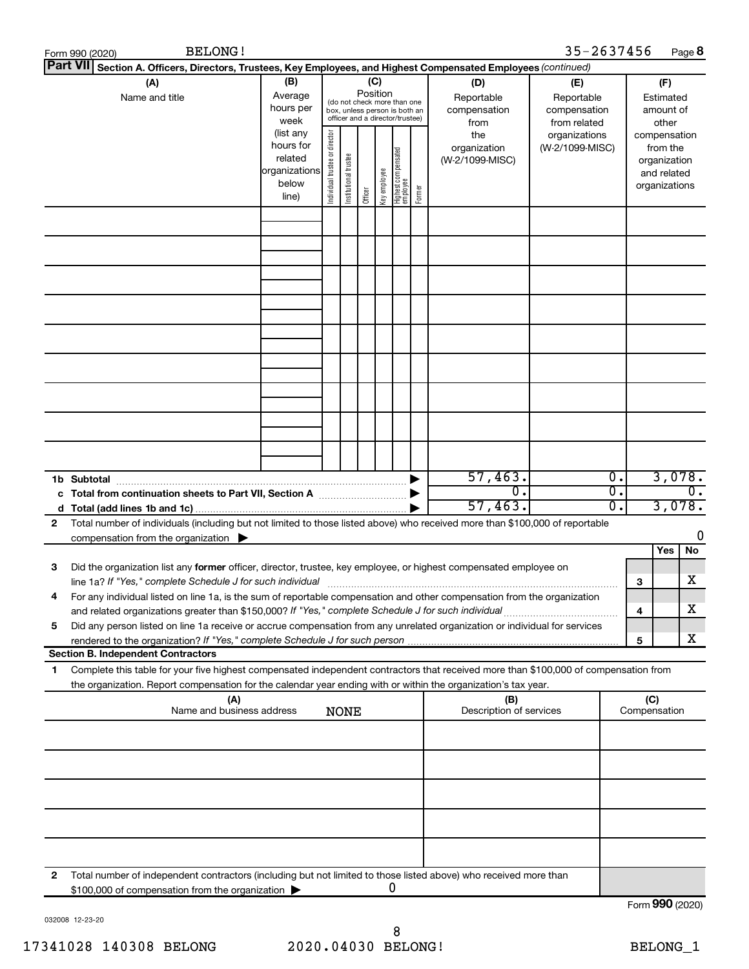|                 | <b>BELONG!</b><br>Form 990 (2020)                                                                                                                                                                                                             |                |  |                                                                                                                                                      |         |             |                                   |        |                                                                                     | 35-2637456                                                                            |                                      | Page 8                                                                                            |
|-----------------|-----------------------------------------------------------------------------------------------------------------------------------------------------------------------------------------------------------------------------------------------|----------------|--|------------------------------------------------------------------------------------------------------------------------------------------------------|---------|-------------|-----------------------------------|--------|-------------------------------------------------------------------------------------|---------------------------------------------------------------------------------------|--------------------------------------|---------------------------------------------------------------------------------------------------|
| <b>Part VII</b> | Section A. Officers, Directors, Trustees, Key Employees, and Highest Compensated Employees (continued)                                                                                                                                        |                |  |                                                                                                                                                      |         |             |                                   |        |                                                                                     |                                                                                       |                                      |                                                                                                   |
|                 | (B)<br>(A)<br>Average<br>Name and title<br>hours per<br>week<br>(list any<br>hours for<br>related<br>organizations                                                                                                                            |                |  | (C)<br>Position<br>(do not check more than one<br>box, unless person is both an<br>officer and a director/trustee)<br>Individual trustee or director |         |             |                                   |        | (D)<br>Reportable<br>compensation<br>from<br>the<br>organization<br>(W-2/1099-MISC) | (E)<br>Reportable<br>compensation<br>from related<br>organizations<br>(W-2/1099-MISC) |                                      | (F)<br>Estimated<br>amount of<br>other<br>compensation<br>from the<br>organization<br>and related |
|                 |                                                                                                                                                                                                                                               | below<br>line) |  | Institutional trustee                                                                                                                                | Officer | Keyemployee | Highest compensated<br>  employee | Former |                                                                                     |                                                                                       |                                      | organizations                                                                                     |
|                 |                                                                                                                                                                                                                                               |                |  |                                                                                                                                                      |         |             |                                   |        |                                                                                     |                                                                                       |                                      |                                                                                                   |
|                 |                                                                                                                                                                                                                                               |                |  |                                                                                                                                                      |         |             |                                   |        |                                                                                     |                                                                                       |                                      |                                                                                                   |
|                 | c Total from continuation sheets to Part VII, Section A                                                                                                                                                                                       |                |  |                                                                                                                                                      |         |             |                                   | ▶      | 57,463.<br>$\overline{0}$                                                           |                                                                                       | $\overline{0}$ .<br>$\overline{0}$ . | 3,078.<br>$\overline{0}$ .                                                                        |
| 2               | Total number of individuals (including but not limited to those listed above) who received more than \$100,000 of reportable<br>compensation from the organization $\blacktriangleright$                                                      |                |  |                                                                                                                                                      |         |             |                                   |        | 57,463.                                                                             |                                                                                       | $\overline{0}$ .                     | 3,078.<br>0                                                                                       |
| 3               | Did the organization list any former officer, director, trustee, key employee, or highest compensated employee on<br>For any individual listed on line 1a, is the sum of reportable compensation and other compensation from the organization |                |  |                                                                                                                                                      |         |             |                                   |        |                                                                                     |                                                                                       | 3                                    | Yes<br>No<br>х                                                                                    |
| 5               | and related organizations greater than \$150,000? If "Yes," complete Schedule J for such individual<br>Did any person listed on line 1a receive or accrue compensation from any unrelated organization or individual for services             |                |  |                                                                                                                                                      |         |             |                                   |        |                                                                                     |                                                                                       | 4<br>5                               | х<br>х                                                                                            |
| 1.              | <b>Section B. Independent Contractors</b><br>Complete this table for your five highest compensated independent contractors that received more than \$100,000 of compensation from                                                             |                |  |                                                                                                                                                      |         |             |                                   |        |                                                                                     |                                                                                       |                                      |                                                                                                   |
|                 | the organization. Report compensation for the calendar year ending with or within the organization's tax year.<br>(A)                                                                                                                         |                |  |                                                                                                                                                      |         |             |                                   |        | (B)                                                                                 |                                                                                       | (C)                                  |                                                                                                   |
|                 | Name and business address                                                                                                                                                                                                                     |                |  | <b>NONE</b>                                                                                                                                          |         |             |                                   |        | Description of services                                                             |                                                                                       | Compensation                         |                                                                                                   |
|                 |                                                                                                                                                                                                                                               |                |  |                                                                                                                                                      |         |             |                                   |        |                                                                                     |                                                                                       |                                      |                                                                                                   |
|                 |                                                                                                                                                                                                                                               |                |  |                                                                                                                                                      |         |             |                                   |        |                                                                                     |                                                                                       |                                      |                                                                                                   |
| 2               | Total number of independent contractors (including but not limited to those listed above) who received more than<br>\$100,000 of compensation from the organization                                                                           |                |  |                                                                                                                                                      |         |             | 0                                 |        |                                                                                     |                                                                                       |                                      | Form 990 (2020)                                                                                   |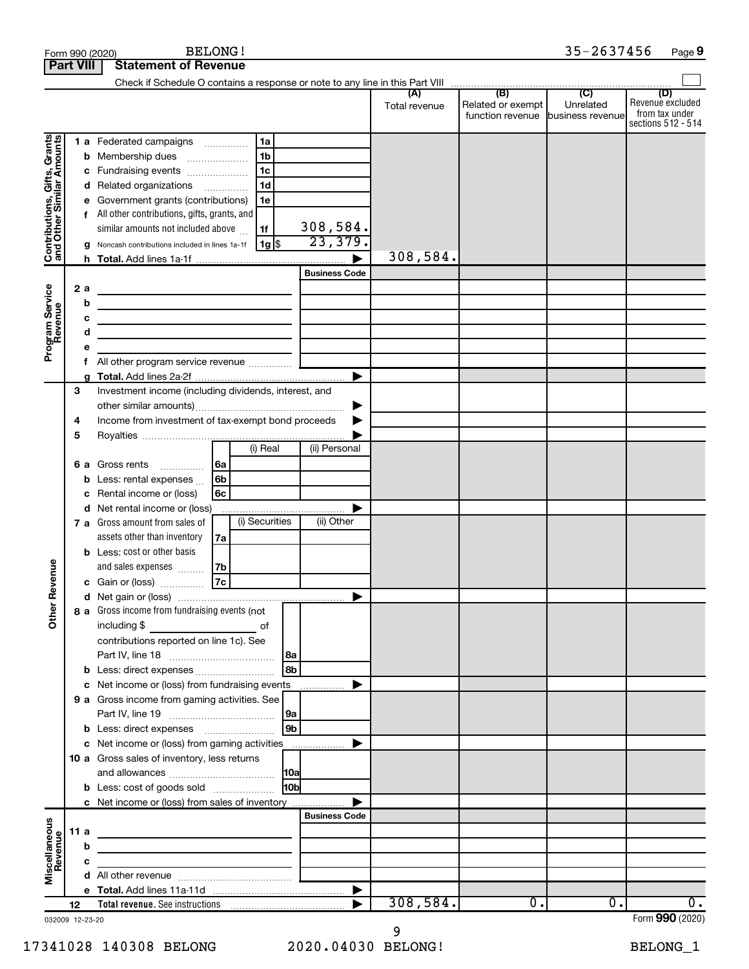|                                                           |     |        | <b>BELONG!</b><br>Form 990 (2020)                                                                                                                                                                                                    |                       |                      |                                                                               | 35-2637456       | Page 9                                                          |
|-----------------------------------------------------------|-----|--------|--------------------------------------------------------------------------------------------------------------------------------------------------------------------------------------------------------------------------------------|-----------------------|----------------------|-------------------------------------------------------------------------------|------------------|-----------------------------------------------------------------|
| <b>Part VIII</b>                                          |     |        | <b>Statement of Revenue</b>                                                                                                                                                                                                          |                       |                      |                                                                               |                  |                                                                 |
|                                                           |     |        | Check if Schedule O contains a response or note to any line in this Part VIII                                                                                                                                                        |                       |                      | $\overline{(\mathsf{B})}$ $\overline{(\mathsf{C})}$ $\overline{(\mathsf{C})}$ |                  |                                                                 |
|                                                           |     |        |                                                                                                                                                                                                                                      |                       | (A)<br>Total revenue | Related or exempt<br>function revenue business revenue                        | Unrelated        | (D)<br>Revenue excluded<br>from tax under<br>sections 512 - 514 |
|                                                           |     |        | 1a<br>1 a Federated campaigns                                                                                                                                                                                                        |                       |                      |                                                                               |                  |                                                                 |
| Contributions, Gifts, Grants<br>and Other Similar Amounts |     | b      | 1 <sub>b</sub><br>Membership dues<br>$\overline{\phantom{a}}$                                                                                                                                                                        |                       |                      |                                                                               |                  |                                                                 |
|                                                           |     | с      | 1 <sub>c</sub><br>Fundraising events                                                                                                                                                                                                 |                       |                      |                                                                               |                  |                                                                 |
|                                                           |     | d      | 1 <sub>d</sub><br>Related organizations                                                                                                                                                                                              |                       |                      |                                                                               |                  |                                                                 |
|                                                           |     | е      | Government grants (contributions)<br>1e                                                                                                                                                                                              |                       |                      |                                                                               |                  |                                                                 |
|                                                           |     |        | f All other contributions, gifts, grants, and                                                                                                                                                                                        |                       |                      |                                                                               |                  |                                                                 |
|                                                           |     |        | similar amounts not included above<br>l 1f                                                                                                                                                                                           | 308,584.              |                      |                                                                               |                  |                                                                 |
|                                                           |     | g      | 1g <br>Noncash contributions included in lines 1a-1f                                                                                                                                                                                 | 23,379.               |                      |                                                                               |                  |                                                                 |
|                                                           |     |        |                                                                                                                                                                                                                                      |                       | 308,584.             |                                                                               |                  |                                                                 |
|                                                           |     |        |                                                                                                                                                                                                                                      | <b>Business Code</b>  |                      |                                                                               |                  |                                                                 |
| Program Service                                           | 2a  |        | <u> 1980 - Johann Barbara, martxa alemaniar amerikan personal (h. 1980).</u>                                                                                                                                                         |                       |                      |                                                                               |                  |                                                                 |
|                                                           |     | b      | <u> 1989 - Johann Barbara, martin a bhaile an t-Alban an t-Alban an t-Alban an t-Alban an t-Alban an t-Alban an t-</u>                                                                                                               |                       |                      |                                                                               |                  |                                                                 |
|                                                           |     | c<br>d | the control of the control of the control of the control of the control of                                                                                                                                                           |                       |                      |                                                                               |                  |                                                                 |
|                                                           |     | е      | <u> 1989 - Johann Barbara, martin a</u>                                                                                                                                                                                              |                       |                      |                                                                               |                  |                                                                 |
|                                                           |     | f      |                                                                                                                                                                                                                                      |                       |                      |                                                                               |                  |                                                                 |
|                                                           |     | g      |                                                                                                                                                                                                                                      | ▶                     |                      |                                                                               |                  |                                                                 |
|                                                           | 3   |        | Investment income (including dividends, interest, and                                                                                                                                                                                |                       |                      |                                                                               |                  |                                                                 |
|                                                           |     |        |                                                                                                                                                                                                                                      | ▶                     |                      |                                                                               |                  |                                                                 |
|                                                           | 4   |        | Income from investment of tax-exempt bond proceeds                                                                                                                                                                                   |                       |                      |                                                                               |                  |                                                                 |
|                                                           | 5   |        |                                                                                                                                                                                                                                      |                       |                      |                                                                               |                  |                                                                 |
|                                                           |     |        | (i) Real                                                                                                                                                                                                                             | (ii) Personal         |                      |                                                                               |                  |                                                                 |
|                                                           | 6а  |        | Gross rents<br>∣6a                                                                                                                                                                                                                   |                       |                      |                                                                               |                  |                                                                 |
|                                                           |     | b      | 6b<br>Less: rental expenses                                                                                                                                                                                                          |                       |                      |                                                                               |                  |                                                                 |
|                                                           |     | с      | Rental income or (loss)<br>6с                                                                                                                                                                                                        |                       |                      |                                                                               |                  |                                                                 |
|                                                           |     | d      | Net rental income or (loss)                                                                                                                                                                                                          | ▶                     |                      |                                                                               |                  |                                                                 |
|                                                           |     |        | (i) Securities<br>7 a Gross amount from sales of                                                                                                                                                                                     | (ii) Other            |                      |                                                                               |                  |                                                                 |
|                                                           |     |        | assets other than inventory<br>7a                                                                                                                                                                                                    |                       |                      |                                                                               |                  |                                                                 |
|                                                           |     |        | <b>b</b> Less: cost or other basis                                                                                                                                                                                                   |                       |                      |                                                                               |                  |                                                                 |
| evenue                                                    |     |        | and sales expenses<br>7b<br>7c<br>c Gain or (loss)                                                                                                                                                                                   |                       |                      |                                                                               |                  |                                                                 |
|                                                           |     |        |                                                                                                                                                                                                                                      |                       |                      |                                                                               |                  |                                                                 |
| Œ                                                         |     |        | 8 a Gross income from fundraising events (not                                                                                                                                                                                        |                       |                      |                                                                               |                  |                                                                 |
| Other                                                     |     |        | including \$<br>оf                                                                                                                                                                                                                   |                       |                      |                                                                               |                  |                                                                 |
|                                                           |     |        | contributions reported on line 1c). See                                                                                                                                                                                              |                       |                      |                                                                               |                  |                                                                 |
|                                                           |     |        | 8a                                                                                                                                                                                                                                   |                       |                      |                                                                               |                  |                                                                 |
|                                                           |     | b      | l 8b<br>Less: direct expenses                                                                                                                                                                                                        |                       |                      |                                                                               |                  |                                                                 |
|                                                           |     | с      | Net income or (loss) from fundraising events                                                                                                                                                                                         | ▶                     |                      |                                                                               |                  |                                                                 |
|                                                           |     |        | 9 a Gross income from gaming activities. See                                                                                                                                                                                         |                       |                      |                                                                               |                  |                                                                 |
|                                                           |     |        | 9a                                                                                                                                                                                                                                   |                       |                      |                                                                               |                  |                                                                 |
|                                                           |     | b      | 9b                                                                                                                                                                                                                                   |                       |                      |                                                                               |                  |                                                                 |
|                                                           |     |        | c Net income or (loss) from gaming activities                                                                                                                                                                                        | ▶                     |                      |                                                                               |                  |                                                                 |
|                                                           |     |        | 10 a Gross sales of inventory, less returns                                                                                                                                                                                          |                       |                      |                                                                               |                  |                                                                 |
|                                                           |     |        |                                                                                                                                                                                                                                      |                       |                      |                                                                               |                  |                                                                 |
|                                                           |     |        | 10 <sub>b</sub><br><b>b</b> Less: cost of goods sold                                                                                                                                                                                 | ▶                     |                      |                                                                               |                  |                                                                 |
|                                                           |     |        | c Net income or (loss) from sales of inventory                                                                                                                                                                                       | <b>Business Code</b>  |                      |                                                                               |                  |                                                                 |
| Miscellaneous<br>Revenue                                  | 11a |        |                                                                                                                                                                                                                                      |                       |                      |                                                                               |                  |                                                                 |
|                                                           |     | b      | <u>state of the control of the control of the control of the control of the control of the control of the control of the control of the control of the control of the control of the control of the control of the control of th</u> |                       |                      |                                                                               |                  |                                                                 |
|                                                           |     | с      | <u> 1989 - Johann Barbara, martin a</u>                                                                                                                                                                                              |                       |                      |                                                                               |                  |                                                                 |
|                                                           |     |        |                                                                                                                                                                                                                                      |                       |                      |                                                                               |                  |                                                                 |
|                                                           |     |        |                                                                                                                                                                                                                                      | $\blacktriangleright$ |                      |                                                                               |                  |                                                                 |
|                                                           | 12  |        |                                                                                                                                                                                                                                      |                       | 308,584.             | $\overline{0}$ .                                                              | $\overline{0}$ . | $\overline{0}$ .                                                |
| 032009 12-23-20                                           |     |        |                                                                                                                                                                                                                                      |                       |                      |                                                                               |                  | Form 990 (2020)                                                 |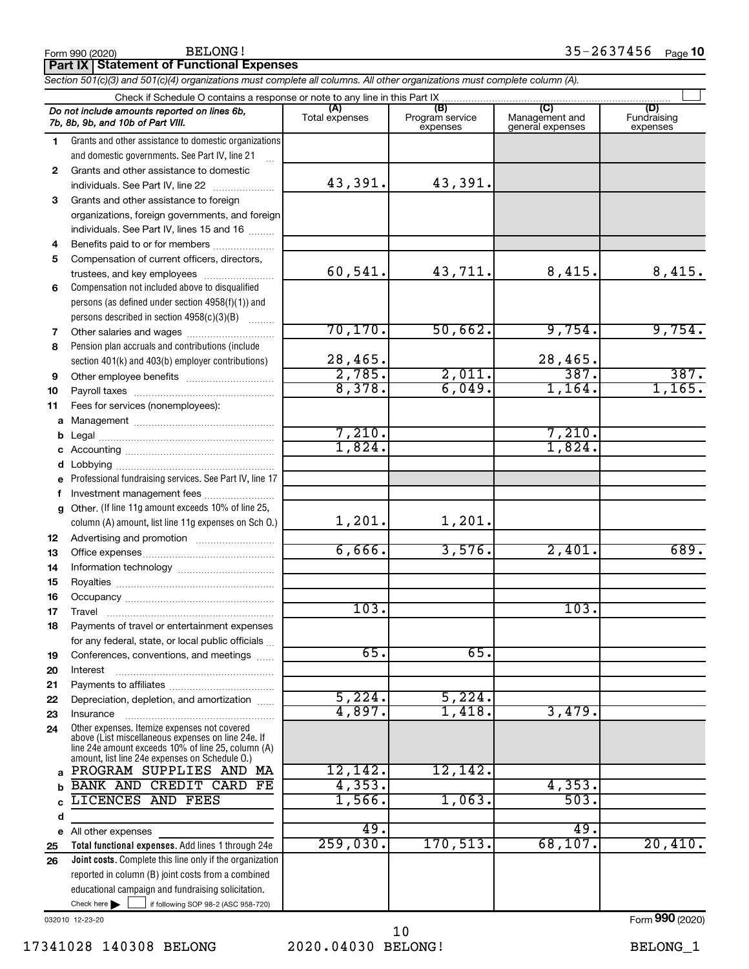|              | Section 50 HC)(3) and 50 HC)(4) organizations must complete all columns. All other organizations must complete column (A).                                 |                |                             |                                    |                         |  |  |  |  |  |  |
|--------------|------------------------------------------------------------------------------------------------------------------------------------------------------------|----------------|-----------------------------|------------------------------------|-------------------------|--|--|--|--|--|--|
|              | Check if Schedule O contains a response or note to any line in this Part IX                                                                                | (A)            | (B)                         | (C)                                | (D)                     |  |  |  |  |  |  |
|              | Do not include amounts reported on lines 6b,<br>7b, 8b, 9b, and 10b of Part VIII.                                                                          | Total expenses | Program service<br>expenses | Management and<br>general expenses | Fundraising<br>expenses |  |  |  |  |  |  |
| 1.           | Grants and other assistance to domestic organizations                                                                                                      |                |                             |                                    |                         |  |  |  |  |  |  |
|              | and domestic governments. See Part IV, line 21                                                                                                             |                |                             |                                    |                         |  |  |  |  |  |  |
| $\mathbf{2}$ | Grants and other assistance to domestic                                                                                                                    |                |                             |                                    |                         |  |  |  |  |  |  |
|              | individuals. See Part IV, line 22                                                                                                                          | 43,391.        | 43,391.                     |                                    |                         |  |  |  |  |  |  |
| 3            | Grants and other assistance to foreign                                                                                                                     |                |                             |                                    |                         |  |  |  |  |  |  |
|              | organizations, foreign governments, and foreign                                                                                                            |                |                             |                                    |                         |  |  |  |  |  |  |
|              | individuals. See Part IV, lines 15 and 16                                                                                                                  |                |                             |                                    |                         |  |  |  |  |  |  |
| 4            | Benefits paid to or for members                                                                                                                            |                |                             |                                    |                         |  |  |  |  |  |  |
| 5            | Compensation of current officers, directors,                                                                                                               |                |                             |                                    |                         |  |  |  |  |  |  |
|              | trustees, and key employees                                                                                                                                | 60,541.        | 43,711.                     | 8,415.                             | 8,415.                  |  |  |  |  |  |  |
| 6            | Compensation not included above to disqualified                                                                                                            |                |                             |                                    |                         |  |  |  |  |  |  |
|              | persons (as defined under section 4958(f)(1)) and                                                                                                          |                |                             |                                    |                         |  |  |  |  |  |  |
|              | persons described in section 4958(c)(3)(B)                                                                                                                 | 70, 170.       | 50,662.                     | 9,754.                             | 9,754.                  |  |  |  |  |  |  |
| 7<br>8       | Pension plan accruals and contributions (include                                                                                                           |                |                             |                                    |                         |  |  |  |  |  |  |
|              | section 401(k) and 403(b) employer contributions)                                                                                                          | 28,465.        |                             | 28,465.                            |                         |  |  |  |  |  |  |
| 9            |                                                                                                                                                            | 2,785.         | 2,011.                      | 387.                               | 387.                    |  |  |  |  |  |  |
| 10           |                                                                                                                                                            | 8,378.         | 6,049.                      | 1,164.                             | 1,165.                  |  |  |  |  |  |  |
| 11           | Fees for services (nonemployees):                                                                                                                          |                |                             |                                    |                         |  |  |  |  |  |  |
|              |                                                                                                                                                            |                |                             |                                    |                         |  |  |  |  |  |  |
| b            |                                                                                                                                                            | 7,210.         |                             | 7,210.                             |                         |  |  |  |  |  |  |
| с            |                                                                                                                                                            | 1,824.         |                             | 1,824.                             |                         |  |  |  |  |  |  |
| d            |                                                                                                                                                            |                |                             |                                    |                         |  |  |  |  |  |  |
| e            | Professional fundraising services. See Part IV, line 17                                                                                                    |                |                             |                                    |                         |  |  |  |  |  |  |
| f            | Investment management fees                                                                                                                                 |                |                             |                                    |                         |  |  |  |  |  |  |
| g            | Other. (If line 11g amount exceeds 10% of line 25,                                                                                                         |                |                             |                                    |                         |  |  |  |  |  |  |
|              | column (A) amount, list line 11g expenses on Sch O.)                                                                                                       | 1,201.         | 1,201.                      |                                    |                         |  |  |  |  |  |  |
| 12           |                                                                                                                                                            |                |                             |                                    |                         |  |  |  |  |  |  |
| 13           |                                                                                                                                                            | 6,666.         | 3,576.                      | 2,401.                             | 689.                    |  |  |  |  |  |  |
| 14           |                                                                                                                                                            |                |                             |                                    |                         |  |  |  |  |  |  |
| 15           |                                                                                                                                                            |                |                             |                                    |                         |  |  |  |  |  |  |
| 16           |                                                                                                                                                            |                |                             |                                    |                         |  |  |  |  |  |  |
| 17           |                                                                                                                                                            | 103.           |                             | 103.                               |                         |  |  |  |  |  |  |
| 18           | Payments of travel or entertainment expenses                                                                                                               |                |                             |                                    |                         |  |  |  |  |  |  |
|              | for any federal, state, or local public officials                                                                                                          |                |                             |                                    |                         |  |  |  |  |  |  |
| 19           | Conferences, conventions, and meetings                                                                                                                     | 65.            | 65.                         |                                    |                         |  |  |  |  |  |  |
| 20           | Interest                                                                                                                                                   |                |                             |                                    |                         |  |  |  |  |  |  |
| 21           | Depreciation, depletion, and amortization                                                                                                                  | 5,224.         | 5,224.                      |                                    |                         |  |  |  |  |  |  |
| 22           | Insurance                                                                                                                                                  | 4,897.         | 1,418.                      | 3,479.                             |                         |  |  |  |  |  |  |
| 23<br>24     | Other expenses. Itemize expenses not covered                                                                                                               |                |                             |                                    |                         |  |  |  |  |  |  |
|              | above (List miscellaneous expenses on line 24e. If<br>line 24e amount exceeds 10% of line 25, column (A)<br>amount, list line 24e expenses on Schedule O.) |                |                             |                                    |                         |  |  |  |  |  |  |
| a            | PROGRAM SUPPLIES AND MA                                                                                                                                    | 12,142.        | 12, 142.                    |                                    |                         |  |  |  |  |  |  |
|              | <b>BANK AND CREDIT CARD</b><br>FE                                                                                                                          | 4,353.         |                             | 4, 353.                            |                         |  |  |  |  |  |  |
| C            | LICENCES AND FEES                                                                                                                                          | 1,566.         | 1,063.                      | 503.                               |                         |  |  |  |  |  |  |
| d            |                                                                                                                                                            |                |                             |                                    |                         |  |  |  |  |  |  |
| e            | All other expenses                                                                                                                                         | 49.            |                             | 49.                                |                         |  |  |  |  |  |  |
| 25           | Total functional expenses. Add lines 1 through 24e                                                                                                         | 259,030.       | 170,513.                    | 68, 107.                           | 20,410.                 |  |  |  |  |  |  |
| 26           | Joint costs. Complete this line only if the organization                                                                                                   |                |                             |                                    |                         |  |  |  |  |  |  |
|              | reported in column (B) joint costs from a combined                                                                                                         |                |                             |                                    |                         |  |  |  |  |  |  |
|              | educational campaign and fundraising solicitation.                                                                                                         |                |                             |                                    |                         |  |  |  |  |  |  |
|              | Check here $\blacktriangleright$<br>if following SOP 98-2 (ASC 958-720)                                                                                    |                |                             |                                    |                         |  |  |  |  |  |  |

032010 12-23-20

Form (2020) **990**

**Part IX Statement of Functional Expenses**

*Section 501(c)(3) and 501(c)(4) organizations must complete all columns. All other organizations must complete column (A).*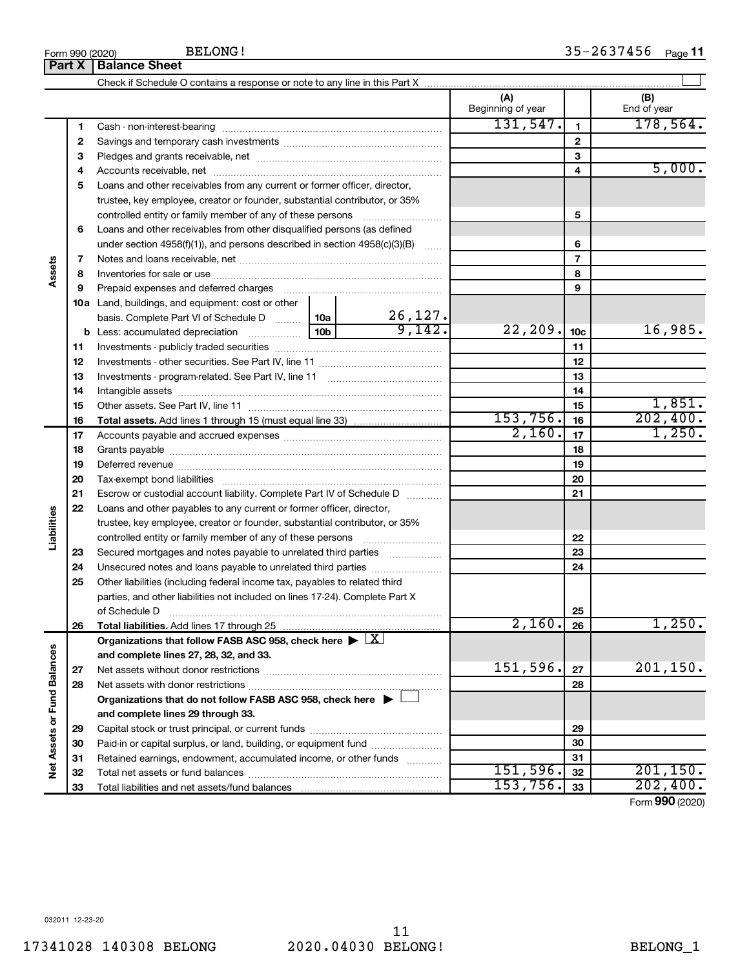17341028 140308 BELONG 2020.04030 BELONG! BELONG\_1 11

|                             |    |                                                                                                        |                 |                          | (A)<br>Beginning of year |                 | (B)<br>End of year |
|-----------------------------|----|--------------------------------------------------------------------------------------------------------|-----------------|--------------------------|--------------------------|-----------------|--------------------|
|                             | 1  |                                                                                                        |                 |                          | 131,547.                 | $\mathbf{1}$    | 178,564.           |
|                             | 2  |                                                                                                        |                 |                          |                          | $\overline{2}$  |                    |
|                             | 3  |                                                                                                        |                 |                          |                          | 3               |                    |
|                             | 4  |                                                                                                        |                 |                          | 4                        | 5,000.          |                    |
|                             | 5  | Loans and other receivables from any current or former officer, director,                              |                 |                          |                          |                 |                    |
|                             |    | trustee, key employee, creator or founder, substantial contributor, or 35%                             |                 |                          |                          |                 |                    |
|                             |    |                                                                                                        |                 |                          |                          | 5               |                    |
|                             | 6  | Loans and other receivables from other disqualified persons (as defined                                |                 |                          |                          |                 |                    |
|                             |    | under section $4958(f)(1)$ , and persons described in section $4958(c)(3)(B)$                          |                 |                          |                          | 6               |                    |
|                             | 7  |                                                                                                        |                 |                          | $\overline{\phantom{a}}$ |                 |                    |
| Assets                      | 8  |                                                                                                        |                 |                          | 8                        |                 |                    |
|                             | 9  | Prepaid expenses and deferred charges                                                                  |                 | 9                        |                          |                 |                    |
|                             |    | 10a Land, buildings, and equipment: cost or other                                                      |                 |                          |                          |                 |                    |
|                             |    | basis. Complete Part VI of Schedule D  10a                                                             |                 | $\frac{26,127.}{9,142.}$ |                          |                 |                    |
|                             |    | <b>b</b> Less: accumulated depreciation <i>mimimimining</i>                                            | 10 <sub>b</sub> |                          | 22, 209.                 | 10 <sub>c</sub> | 16,985.            |
|                             | 11 |                                                                                                        |                 |                          |                          | 11              |                    |
|                             | 12 |                                                                                                        |                 |                          | 12                       |                 |                    |
|                             | 13 |                                                                                                        |                 |                          | 13                       |                 |                    |
|                             | 14 |                                                                                                        |                 |                          |                          | 14              |                    |
|                             | 15 |                                                                                                        |                 |                          |                          | 15              | 1,851.             |
|                             | 16 |                                                                                                        |                 |                          | 153,756.                 | 16              | 202,400.           |
|                             | 17 |                                                                                                        |                 | 2,160.                   | 17                       | 1,250.          |                    |
|                             | 18 |                                                                                                        |                 | 18                       |                          |                 |                    |
|                             | 19 |                                                                                                        |                 | 19                       |                          |                 |                    |
|                             | 20 |                                                                                                        |                 |                          | 20                       |                 |                    |
|                             | 21 | Escrow or custodial account liability. Complete Part IV of Schedule D                                  |                 |                          |                          | 21              |                    |
|                             | 22 | Loans and other payables to any current or former officer, director,                                   |                 |                          |                          |                 |                    |
| Liabilities                 |    | trustee, key employee, creator or founder, substantial contributor, or 35%                             |                 |                          |                          |                 |                    |
|                             |    | controlled entity or family member of any of these persons                                             |                 |                          |                          | 22              |                    |
|                             | 23 | Secured mortgages and notes payable to unrelated third parties                                         |                 |                          |                          | 23              |                    |
|                             | 24 | Unsecured notes and loans payable to unrelated third parties                                           |                 |                          |                          | 24              |                    |
|                             | 25 | Other liabilities (including federal income tax, payables to related third                             |                 |                          |                          |                 |                    |
|                             |    | parties, and other liabilities not included on lines 17-24). Complete Part X                           |                 |                          |                          |                 |                    |
|                             |    | of Schedule D                                                                                          |                 |                          |                          | 25              |                    |
|                             | 26 | Total liabilities. Add lines 17 through 25                                                             |                 |                          | 2,160.                   | 26              | $1,250$ .          |
|                             |    | Organizations that follow FASB ASC 958, check here $\blacktriangleright \lfloor \underline{X} \rfloor$ |                 |                          |                          |                 |                    |
|                             |    | and complete lines 27, 28, 32, and 33.                                                                 |                 |                          |                          |                 |                    |
|                             | 27 |                                                                                                        |                 |                          | 151,596.                 | 27              | 201, 150.          |
|                             | 28 |                                                                                                        |                 |                          |                          | 28              |                    |
|                             |    | Organizations that do not follow FASB ASC 958, check here $\blacktriangleright$ [                      |                 |                          |                          |                 |                    |
| Net Assets or Fund Balances |    | and complete lines 29 through 33.                                                                      |                 |                          |                          |                 |                    |
|                             | 29 |                                                                                                        |                 |                          |                          | 29              |                    |
|                             | 30 | Paid-in or capital surplus, or land, building, or equipment fund                                       |                 |                          |                          | 30              |                    |
|                             | 31 | Retained earnings, endowment, accumulated income, or other funds                                       |                 |                          |                          | 31              |                    |
|                             | 32 |                                                                                                        |                 |                          | 151,596.                 | 32              | 201, 150.          |
|                             | 33 |                                                                                                        |                 |                          | 153,756.                 | 33              | 202,400.           |

Form (2020) **990**

## **Part X Balance Sheet**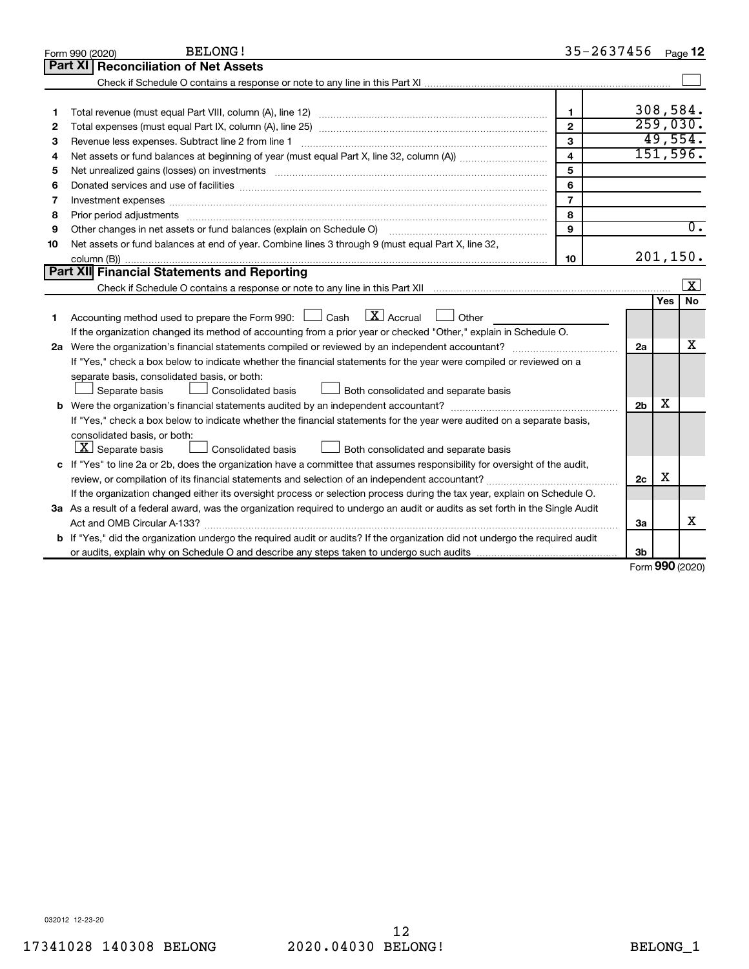|    | <b>BELONG!</b><br>Form 990 (2020)                                                                                                                                                                                              | 35-2637456     |     | Page 12             |
|----|--------------------------------------------------------------------------------------------------------------------------------------------------------------------------------------------------------------------------------|----------------|-----|---------------------|
|    | <b>Reconciliation of Net Assets</b><br>Part XI                                                                                                                                                                                 |                |     |                     |
|    |                                                                                                                                                                                                                                |                |     |                     |
|    |                                                                                                                                                                                                                                |                |     |                     |
| 1  |                                                                                                                                                                                                                                | $\mathbf{1}$   |     | 308,584.            |
| 2  |                                                                                                                                                                                                                                | $\overline{2}$ |     | 259,030.            |
| 3  |                                                                                                                                                                                                                                | $\overline{3}$ |     | 49,554.             |
| 4  |                                                                                                                                                                                                                                | 4              |     | 151,596.            |
| 5  |                                                                                                                                                                                                                                | 5              |     |                     |
| 6  |                                                                                                                                                                                                                                | 6              |     |                     |
| 7  | Investment expenses [[11] has a series and a series of the series of the series and series and series and series and series and series and series and series and series and series and series and series and series and series | $\overline{7}$ |     |                     |
| 8  | Prior period adjustments www.communication.communication.communication.com/                                                                                                                                                    | 8              |     |                     |
| 9  | Other changes in net assets or fund balances (explain on Schedule O)                                                                                                                                                           | 9              |     | $\overline{0}$ .    |
| 10 | Net assets or fund balances at end of year. Combine lines 3 through 9 (must equal Part X, line 32,                                                                                                                             |                |     |                     |
|    |                                                                                                                                                                                                                                | 10             |     | 201, 150.           |
|    | Part XII Financial Statements and Reporting                                                                                                                                                                                    |                |     |                     |
|    |                                                                                                                                                                                                                                |                |     | X                   |
|    |                                                                                                                                                                                                                                |                | Yes | <b>No</b>           |
| 1  | $\boxed{\mathbf{X}}$ Accrual $\boxed{\phantom{0}}$ Other<br>Accounting method used to prepare the Form 990: $\Box$ Cash                                                                                                        |                |     |                     |
|    | If the organization changed its method of accounting from a prior year or checked "Other," explain in Schedule O.                                                                                                              |                |     |                     |
|    | 2a Were the organization's financial statements compiled or reviewed by an independent accountant?                                                                                                                             | 2a             |     | х                   |
|    | If "Yes," check a box below to indicate whether the financial statements for the year were compiled or reviewed on a                                                                                                           |                |     |                     |
|    | separate basis, consolidated basis, or both:                                                                                                                                                                                   |                |     |                     |
|    | Both consolidated and separate basis<br>Separate basis<br>Consolidated basis                                                                                                                                                   |                |     |                     |
|    |                                                                                                                                                                                                                                | 2 <sub>b</sub> | X   |                     |
|    | If "Yes," check a box below to indicate whether the financial statements for the year were audited on a separate basis,                                                                                                        |                |     |                     |
|    | consolidated basis, or both:                                                                                                                                                                                                   |                |     |                     |
|    | $\lfloor \underline{X} \rfloor$ Separate basis<br><b>Consolidated basis</b><br>Both consolidated and separate basis                                                                                                            |                |     |                     |
|    | c If "Yes" to line 2a or 2b, does the organization have a committee that assumes responsibility for oversight of the audit,                                                                                                    |                |     |                     |
|    |                                                                                                                                                                                                                                | 2 <sub>c</sub> | X   |                     |
|    | If the organization changed either its oversight process or selection process during the tax year, explain on Schedule O.                                                                                                      |                |     |                     |
|    | 3a As a result of a federal award, was the organization required to undergo an audit or audits as set forth in the Single Audit                                                                                                |                |     |                     |
|    |                                                                                                                                                                                                                                | За             |     | x                   |
|    | b If "Yes," did the organization undergo the required audit or audits? If the organization did not undergo the required audit                                                                                                  |                |     |                     |
|    |                                                                                                                                                                                                                                | Зb             |     | $000 \, \text{mod}$ |

Form (2020) **990**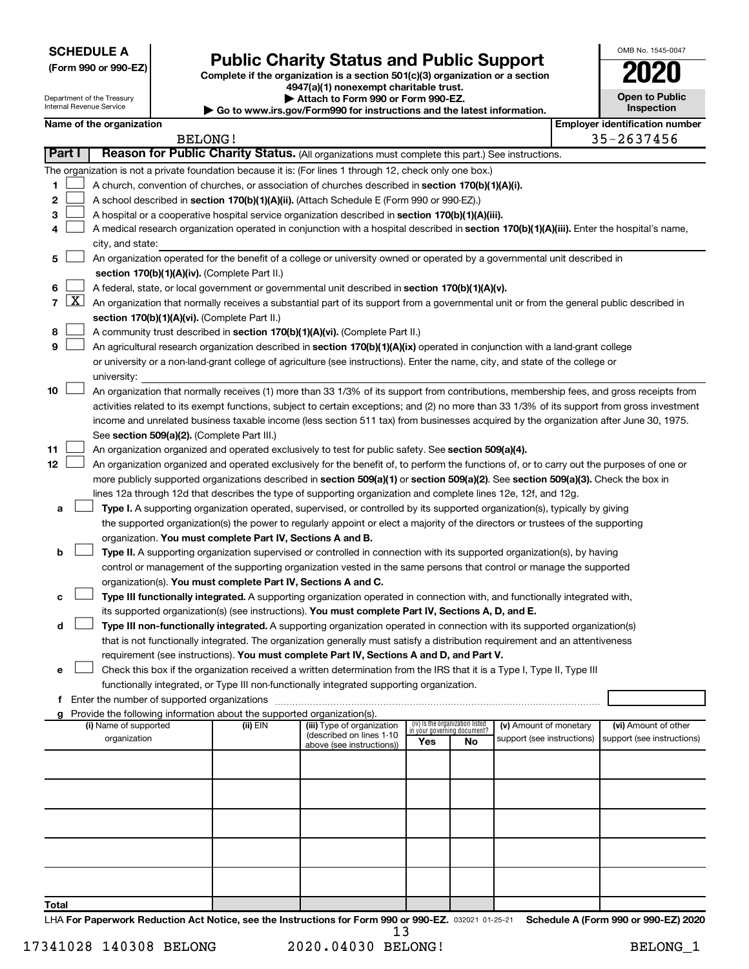| <b>SCHEDULE A</b> |  |
|-------------------|--|
|-------------------|--|

| (Form 990 or 990-EZ) |  |  |  |  |
|----------------------|--|--|--|--|
|----------------------|--|--|--|--|

Department of the Treasury Internal Revenue Service

# Form 990 or 990-EZ) **Public Charity Status and Public Support**<br>
Complete if the organization is a section 501(c)(3) organization or a section<br> **2020**

**4947(a)(1) nonexempt charitable trust. | Attach to Form 990 or Form 990-EZ.** 

| <u>ZUZU</u>                         |  |
|-------------------------------------|--|
| <b>Open to Public</b><br>Inspection |  |

OMB No. 1545-0047

|                                                                                              | <b>PERIODII ID FUITII 330 UF FUITII 330-LL.</b> |  |
|----------------------------------------------------------------------------------------------|-------------------------------------------------|--|
| $\blacktriangleright$ Go to www.irs.gov/Form990 for instructions and the latest information. |                                                 |  |

|                |                    | Name of the organization                                                                                                                     |          |                            |     |                                                                |                            |  | <b>Employer identification number</b> |  |
|----------------|--------------------|----------------------------------------------------------------------------------------------------------------------------------------------|----------|----------------------------|-----|----------------------------------------------------------------|----------------------------|--|---------------------------------------|--|
|                |                    | <b>BELONG!</b>                                                                                                                               |          |                            |     |                                                                |                            |  | 35-2637456                            |  |
| Part I         |                    | Reason for Public Charity Status. (All organizations must complete this part.) See instructions.                                             |          |                            |     |                                                                |                            |  |                                       |  |
|                |                    | The organization is not a private foundation because it is: (For lines 1 through 12, check only one box.)                                    |          |                            |     |                                                                |                            |  |                                       |  |
| 1              |                    | A church, convention of churches, or association of churches described in section 170(b)(1)(A)(i).                                           |          |                            |     |                                                                |                            |  |                                       |  |
| 2              |                    | A school described in section 170(b)(1)(A)(ii). (Attach Schedule E (Form 990 or 990-EZ).)                                                    |          |                            |     |                                                                |                            |  |                                       |  |
| 3              |                    | A hospital or a cooperative hospital service organization described in section 170(b)(1)(A)(iii).                                            |          |                            |     |                                                                |                            |  |                                       |  |
| 4              |                    | A medical research organization operated in conjunction with a hospital described in section 170(b)(1)(A)(iii). Enter the hospital's name,   |          |                            |     |                                                                |                            |  |                                       |  |
|                |                    | city, and state:                                                                                                                             |          |                            |     |                                                                |                            |  |                                       |  |
| 5              |                    | An organization operated for the benefit of a college or university owned or operated by a governmental unit described in                    |          |                            |     |                                                                |                            |  |                                       |  |
|                |                    | section 170(b)(1)(A)(iv). (Complete Part II.)                                                                                                |          |                            |     |                                                                |                            |  |                                       |  |
| 6              |                    | A federal, state, or local government or governmental unit described in section 170(b)(1)(A)(v).                                             |          |                            |     |                                                                |                            |  |                                       |  |
| $\overline{7}$ | $\boxed{\text{X}}$ | An organization that normally receives a substantial part of its support from a governmental unit or from the general public described in    |          |                            |     |                                                                |                            |  |                                       |  |
|                |                    | section 170(b)(1)(A)(vi). (Complete Part II.)                                                                                                |          |                            |     |                                                                |                            |  |                                       |  |
| 8              |                    | A community trust described in section 170(b)(1)(A)(vi). (Complete Part II.)                                                                 |          |                            |     |                                                                |                            |  |                                       |  |
| 9              |                    | An agricultural research organization described in section 170(b)(1)(A)(ix) operated in conjunction with a land-grant college                |          |                            |     |                                                                |                            |  |                                       |  |
|                |                    | or university or a non-land-grant college of agriculture (see instructions). Enter the name, city, and state of the college or               |          |                            |     |                                                                |                            |  |                                       |  |
|                |                    | university:                                                                                                                                  |          |                            |     |                                                                |                            |  |                                       |  |
| 10             |                    | An organization that normally receives (1) more than 33 1/3% of its support from contributions, membership fees, and gross receipts from     |          |                            |     |                                                                |                            |  |                                       |  |
|                |                    | activities related to its exempt functions, subject to certain exceptions; and (2) no more than 33 1/3% of its support from gross investment |          |                            |     |                                                                |                            |  |                                       |  |
|                |                    | income and unrelated business taxable income (less section 511 tax) from businesses acquired by the organization after June 30, 1975.        |          |                            |     |                                                                |                            |  |                                       |  |
|                |                    | See section 509(a)(2). (Complete Part III.)                                                                                                  |          |                            |     |                                                                |                            |  |                                       |  |
| 11             |                    | An organization organized and operated exclusively to test for public safety. See section 509(a)(4).                                         |          |                            |     |                                                                |                            |  |                                       |  |
| 12             |                    | An organization organized and operated exclusively for the benefit of, to perform the functions of, or to carry out the purposes of one or   |          |                            |     |                                                                |                            |  |                                       |  |
|                |                    | more publicly supported organizations described in section 509(a)(1) or section 509(a)(2). See section 509(a)(3). Check the box in           |          |                            |     |                                                                |                            |  |                                       |  |
|                |                    | lines 12a through 12d that describes the type of supporting organization and complete lines 12e, 12f, and 12g.                               |          |                            |     |                                                                |                            |  |                                       |  |
| а              |                    | Type I. A supporting organization operated, supervised, or controlled by its supported organization(s), typically by giving                  |          |                            |     |                                                                |                            |  |                                       |  |
|                |                    | the supported organization(s) the power to regularly appoint or elect a majority of the directors or trustees of the supporting              |          |                            |     |                                                                |                            |  |                                       |  |
|                |                    | organization. You must complete Part IV, Sections A and B.                                                                                   |          |                            |     |                                                                |                            |  |                                       |  |
| b              |                    | Type II. A supporting organization supervised or controlled in connection with its supported organization(s), by having                      |          |                            |     |                                                                |                            |  |                                       |  |
|                |                    | control or management of the supporting organization vested in the same persons that control or manage the supported                         |          |                            |     |                                                                |                            |  |                                       |  |
|                |                    | organization(s). You must complete Part IV, Sections A and C.                                                                                |          |                            |     |                                                                |                            |  |                                       |  |
|                |                    | Type III functionally integrated. A supporting organization operated in connection with, and functionally integrated with,                   |          |                            |     |                                                                |                            |  |                                       |  |
|                |                    | its supported organization(s) (see instructions). You must complete Part IV, Sections A, D, and E.                                           |          |                            |     |                                                                |                            |  |                                       |  |
| d              |                    | Type III non-functionally integrated. A supporting organization operated in connection with its supported organization(s)                    |          |                            |     |                                                                |                            |  |                                       |  |
|                |                    | that is not functionally integrated. The organization generally must satisfy a distribution requirement and an attentiveness                 |          |                            |     |                                                                |                            |  |                                       |  |
|                |                    | requirement (see instructions). You must complete Part IV, Sections A and D, and Part V.                                                     |          |                            |     |                                                                |                            |  |                                       |  |
| е              |                    | Check this box if the organization received a written determination from the IRS that it is a Type I, Type II, Type III                      |          |                            |     |                                                                |                            |  |                                       |  |
|                |                    | functionally integrated, or Type III non-functionally integrated supporting organization.                                                    |          |                            |     |                                                                |                            |  |                                       |  |
|                |                    |                                                                                                                                              |          |                            |     |                                                                |                            |  |                                       |  |
|                |                    | Provide the following information about the supported organization(s).<br>(i) Name of supported                                              | (ii) EIN | (iii) Type of organization |     | (iv) Is the organization listed<br>in your governing document? | (v) Amount of monetary     |  | (vi) Amount of other                  |  |
|                |                    | organization                                                                                                                                 |          | (described on lines 1-10   | Yes | No.                                                            | support (see instructions) |  | support (see instructions)            |  |
|                |                    |                                                                                                                                              |          | above (see instructions))  |     |                                                                |                            |  |                                       |  |
|                |                    |                                                                                                                                              |          |                            |     |                                                                |                            |  |                                       |  |
|                |                    |                                                                                                                                              |          |                            |     |                                                                |                            |  |                                       |  |
|                |                    |                                                                                                                                              |          |                            |     |                                                                |                            |  |                                       |  |
|                |                    |                                                                                                                                              |          |                            |     |                                                                |                            |  |                                       |  |
|                |                    |                                                                                                                                              |          |                            |     |                                                                |                            |  |                                       |  |
|                |                    |                                                                                                                                              |          |                            |     |                                                                |                            |  |                                       |  |
|                |                    |                                                                                                                                              |          |                            |     |                                                                |                            |  |                                       |  |
|                |                    |                                                                                                                                              |          |                            |     |                                                                |                            |  |                                       |  |
|                |                    |                                                                                                                                              |          |                            |     |                                                                |                            |  |                                       |  |
| Total          |                    |                                                                                                                                              |          |                            |     |                                                                |                            |  |                                       |  |

LHA For Paperwork Reduction Act Notice, see the Instructions for Form 990 or 990-EZ. 032021 01-25-21 Schedule A (Form 990 or 990-EZ) 2020

13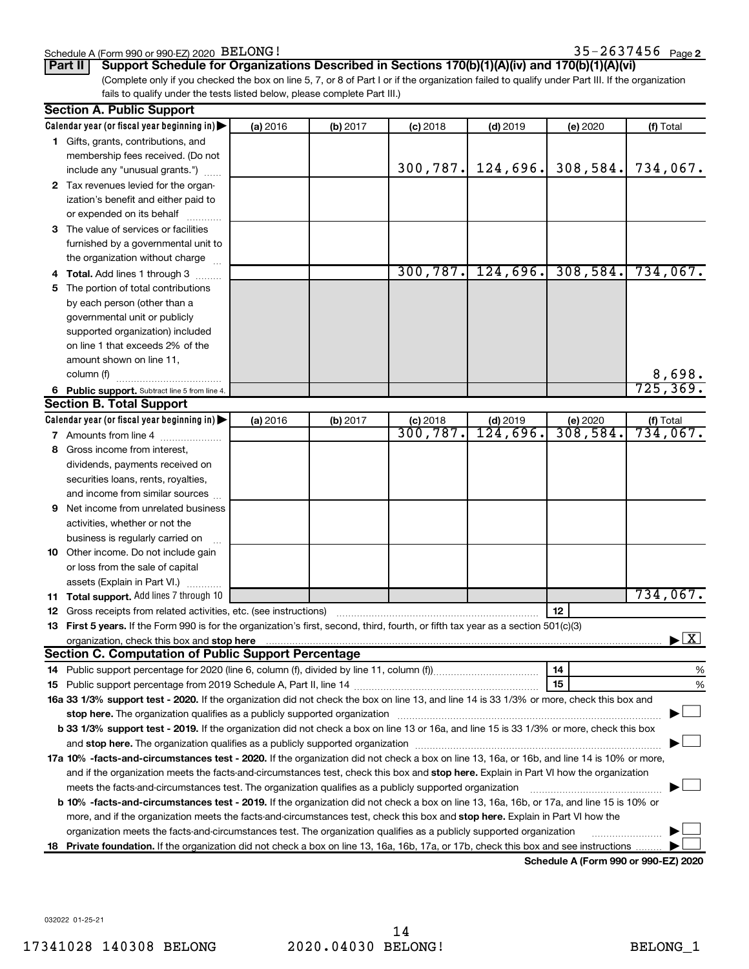### Schedule A (Form 990 or 990-EZ) 2020 BELONG !

(Complete only if you checked the box on line 5, 7, or 8 of Part I or if the organization failed to qualify under Part III. If the organization fails to qualify under the tests listed below, please complete Part III.) **Part II Support Schedule for Organizations Described in Sections 170(b)(1)(A)(iv) and 170(b)(1)(A)(vi)**

|    | <b>Section A. Public Support</b>                                                                                                           |          |          |            |                      |          |                      |
|----|--------------------------------------------------------------------------------------------------------------------------------------------|----------|----------|------------|----------------------|----------|----------------------|
|    | Calendar year (or fiscal year beginning in)                                                                                                | (a) 2016 | (b) 2017 | $(c)$ 2018 | $(d)$ 2019           | (e) 2020 | (f) Total            |
|    | 1 Gifts, grants, contributions, and                                                                                                        |          |          |            |                      |          |                      |
|    | membership fees received. (Do not                                                                                                          |          |          |            |                      |          |                      |
|    | include any "unusual grants.")                                                                                                             |          |          | 300, 787.  | 124,696.             | 308,584. | 734,067.             |
|    | 2 Tax revenues levied for the organ-                                                                                                       |          |          |            |                      |          |                      |
|    | ization's benefit and either paid to                                                                                                       |          |          |            |                      |          |                      |
|    | or expended on its behalf                                                                                                                  |          |          |            |                      |          |                      |
|    | 3 The value of services or facilities                                                                                                      |          |          |            |                      |          |                      |
|    | furnished by a governmental unit to                                                                                                        |          |          |            |                      |          |                      |
|    | the organization without charge                                                                                                            |          |          |            |                      |          |                      |
|    | Total. Add lines 1 through 3                                                                                                               |          |          |            | $300, 787.$ 124,696. | 308,584. | 734,067.             |
| 5. | The portion of total contributions                                                                                                         |          |          |            |                      |          |                      |
|    | by each person (other than a                                                                                                               |          |          |            |                      |          |                      |
|    | governmental unit or publicly                                                                                                              |          |          |            |                      |          |                      |
|    | supported organization) included                                                                                                           |          |          |            |                      |          |                      |
|    | on line 1 that exceeds 2% of the                                                                                                           |          |          |            |                      |          |                      |
|    | amount shown on line 11,                                                                                                                   |          |          |            |                      |          |                      |
|    | column (f)                                                                                                                                 |          |          |            |                      |          | 8,698.               |
|    | 6 Public support. Subtract line 5 from line 4.                                                                                             |          |          |            |                      |          | 725, 369.            |
|    | <b>Section B. Total Support</b>                                                                                                            |          |          |            |                      |          |                      |
|    | Calendar year (or fiscal year beginning in)                                                                                                | (a) 2016 | (b) 2017 | $(c)$ 2018 | $(d)$ 2019           | (e) 2020 | (f) Total            |
|    | 7 Amounts from line 4                                                                                                                      |          |          | 300, 787.  | 124,696.             | 308,584. | 734,067.             |
| 8  | Gross income from interest,                                                                                                                |          |          |            |                      |          |                      |
|    | dividends, payments received on                                                                                                            |          |          |            |                      |          |                      |
|    | securities loans, rents, royalties,                                                                                                        |          |          |            |                      |          |                      |
|    | and income from similar sources                                                                                                            |          |          |            |                      |          |                      |
| 9. | Net income from unrelated business                                                                                                         |          |          |            |                      |          |                      |
|    | activities, whether or not the                                                                                                             |          |          |            |                      |          |                      |
|    | business is regularly carried on                                                                                                           |          |          |            |                      |          |                      |
|    | 10 Other income. Do not include gain                                                                                                       |          |          |            |                      |          |                      |
|    |                                                                                                                                            |          |          |            |                      |          |                      |
|    | or loss from the sale of capital<br>assets (Explain in Part VI.)                                                                           |          |          |            |                      |          |                      |
|    | 11 Total support. Add lines 7 through 10                                                                                                   |          |          |            |                      |          | 734,067.             |
| 12 | Gross receipts from related activities, etc. (see instructions)                                                                            |          |          |            |                      | 12       |                      |
|    | 13 First 5 years. If the Form 990 is for the organization's first, second, third, fourth, or fifth tax year as a section 501(c)(3)         |          |          |            |                      |          |                      |
|    | organization, check this box and stop here                                                                                                 |          |          |            |                      |          | $\boxed{\textbf{X}}$ |
|    | <b>Section C. Computation of Public Support Percentage</b>                                                                                 |          |          |            |                      |          |                      |
|    |                                                                                                                                            |          |          |            |                      | 14       | %                    |
|    |                                                                                                                                            |          |          |            |                      | 15       | %                    |
|    | 16a 33 1/3% support test - 2020. If the organization did not check the box on line 13, and line 14 is 33 1/3% or more, check this box and  |          |          |            |                      |          |                      |
|    | stop here. The organization qualifies as a publicly supported organization manufactured content and the content                            |          |          |            |                      |          |                      |
|    | b 33 1/3% support test - 2019. If the organization did not check a box on line 13 or 16a, and line 15 is 33 1/3% or more, check this box   |          |          |            |                      |          |                      |
|    |                                                                                                                                            |          |          |            |                      |          |                      |
|    | 17a 10% -facts-and-circumstances test - 2020. If the organization did not check a box on line 13, 16a, or 16b, and line 14 is 10% or more, |          |          |            |                      |          |                      |
|    | and if the organization meets the facts-and-circumstances test, check this box and stop here. Explain in Part VI how the organization      |          |          |            |                      |          |                      |
|    | meets the facts-and-circumstances test. The organization qualifies as a publicly supported organization                                    |          |          |            |                      |          |                      |
|    | b 10% -facts-and-circumstances test - 2019. If the organization did not check a box on line 13, 16a, 16b, or 17a, and line 15 is 10% or    |          |          |            |                      |          |                      |
|    | more, and if the organization meets the facts-and-circumstances test, check this box and stop here. Explain in Part VI how the             |          |          |            |                      |          |                      |
|    | organization meets the facts-and-circumstances test. The organization qualifies as a publicly supported organization                       |          |          |            |                      |          |                      |
|    |                                                                                                                                            |          |          |            |                      |          |                      |
| 18 | Private foundation. If the organization did not check a box on line 13, 16a, 16b, 17a, or 17b, check this box and see instructions         |          |          |            |                      |          |                      |

**Schedule A (Form 990 or 990-EZ) 2020**

032022 01-25-21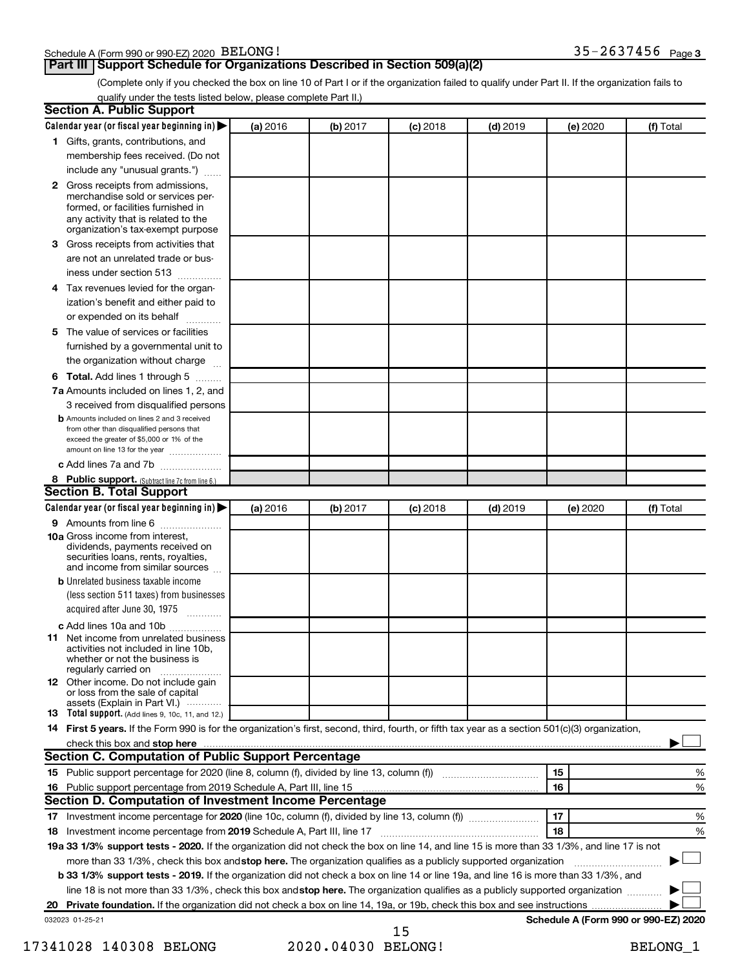### Schedule A (Form 990 or 990-EZ) 2020 BELONG !

**Part III Support Schedule for Organizations Described in Section 509(a)(2)** 

(Complete only if you checked the box on line 10 of Part I or if the organization failed to qualify under Part II. If the organization fails to qualify under the tests listed below, please complete Part II.)

| <b>Section A. Public Support</b>                                                                                                                                                         |          |          |            |            |                                      |           |
|------------------------------------------------------------------------------------------------------------------------------------------------------------------------------------------|----------|----------|------------|------------|--------------------------------------|-----------|
| Calendar year (or fiscal year beginning in)                                                                                                                                              | (a) 2016 | (b) 2017 | $(c)$ 2018 | $(d)$ 2019 | (e) 2020                             | (f) Total |
| 1 Gifts, grants, contributions, and                                                                                                                                                      |          |          |            |            |                                      |           |
| membership fees received. (Do not                                                                                                                                                        |          |          |            |            |                                      |           |
| include any "unusual grants.")                                                                                                                                                           |          |          |            |            |                                      |           |
| 2 Gross receipts from admissions,<br>merchandise sold or services per-<br>formed, or facilities furnished in<br>any activity that is related to the<br>organization's tax-exempt purpose |          |          |            |            |                                      |           |
| <b>3</b> Gross receipts from activities that                                                                                                                                             |          |          |            |            |                                      |           |
| are not an unrelated trade or bus-<br>iness under section 513                                                                                                                            |          |          |            |            |                                      |           |
| 4 Tax revenues levied for the organ-                                                                                                                                                     |          |          |            |            |                                      |           |
| ization's benefit and either paid to<br>or expended on its behalf                                                                                                                        |          |          |            |            |                                      |           |
| 5 The value of services or facilities                                                                                                                                                    |          |          |            |            |                                      |           |
| furnished by a governmental unit to<br>the organization without charge                                                                                                                   |          |          |            |            |                                      |           |
| <b>6 Total.</b> Add lines 1 through 5                                                                                                                                                    |          |          |            |            |                                      |           |
| 7a Amounts included on lines 1, 2, and                                                                                                                                                   |          |          |            |            |                                      |           |
| 3 received from disqualified persons                                                                                                                                                     |          |          |            |            |                                      |           |
| <b>b</b> Amounts included on lines 2 and 3 received<br>from other than disqualified persons that<br>exceed the greater of \$5,000 or 1% of the<br>amount on line 13 for the year         |          |          |            |            |                                      |           |
| c Add lines 7a and 7b                                                                                                                                                                    |          |          |            |            |                                      |           |
| 8 Public support. (Subtract line 7c from line 6.)                                                                                                                                        |          |          |            |            |                                      |           |
| <b>Section B. Total Support</b>                                                                                                                                                          |          |          |            |            |                                      |           |
| Calendar year (or fiscal year beginning in)                                                                                                                                              | (a) 2016 | (b) 2017 | $(c)$ 2018 | $(d)$ 2019 | (e) 2020                             | (f) Total |
| <b>9</b> Amounts from line 6                                                                                                                                                             |          |          |            |            |                                      |           |
| <b>10a</b> Gross income from interest,<br>dividends, payments received on<br>securities loans, rents, royalties,<br>and income from similar sources                                      |          |          |            |            |                                      |           |
| <b>b</b> Unrelated business taxable income                                                                                                                                               |          |          |            |            |                                      |           |
| (less section 511 taxes) from businesses<br>acquired after June 30, 1975                                                                                                                 |          |          |            |            |                                      |           |
| c Add lines 10a and 10b                                                                                                                                                                  |          |          |            |            |                                      |           |
| <b>11</b> Net income from unrelated business<br>activities not included in line 10b.<br>whether or not the business is<br>regularly carried on                                           |          |          |            |            |                                      |           |
| <b>12</b> Other income. Do not include gain<br>or loss from the sale of capital<br>assets (Explain in Part VI.)                                                                          |          |          |            |            |                                      |           |
| <b>13</b> Total support. (Add lines 9, 10c, 11, and 12.)                                                                                                                                 |          |          |            |            |                                      |           |
| 14 First 5 years. If the Form 990 is for the organization's first, second, third, fourth, or fifth tax year as a section 501(c)(3) organization,                                         |          |          |            |            |                                      |           |
| check this box and stop here                                                                                                                                                             |          |          |            |            |                                      |           |
| <b>Section C. Computation of Public Support Percentage</b>                                                                                                                               |          |          |            |            |                                      |           |
| 15 Public support percentage for 2020 (line 8, column (f), divided by line 13, column (f) <i></i>                                                                                        |          |          |            |            | 15                                   | ℅         |
| 16 Public support percentage from 2019 Schedule A, Part III, line 15                                                                                                                     |          |          |            |            | 16                                   | %         |
| Section D. Computation of Investment Income Percentage                                                                                                                                   |          |          |            |            |                                      |           |
|                                                                                                                                                                                          |          |          |            |            | 17                                   | %         |
| 18 Investment income percentage from 2019 Schedule A, Part III, line 17                                                                                                                  |          |          |            |            | 18                                   | %         |
| 19a 33 1/3% support tests - 2020. If the organization did not check the box on line 14, and line 15 is more than 33 1/3%, and line 17 is not                                             |          |          |            |            |                                      |           |
| more than 33 1/3%, check this box and stop here. The organization qualifies as a publicly supported organization                                                                         |          |          |            |            |                                      |           |
| b 33 1/3% support tests - 2019. If the organization did not check a box on line 14 or line 19a, and line 16 is more than 33 1/3%, and                                                    |          |          |            |            |                                      |           |
| line 18 is not more than 33 1/3%, check this box and stop here. The organization qualifies as a publicly supported organization                                                          |          |          |            |            |                                      |           |
|                                                                                                                                                                                          |          |          |            |            |                                      |           |
| 032023 01-25-21                                                                                                                                                                          |          |          | 1 E        |            | Schedule A (Form 990 or 990-EZ) 2020 |           |

 <sup>15</sup>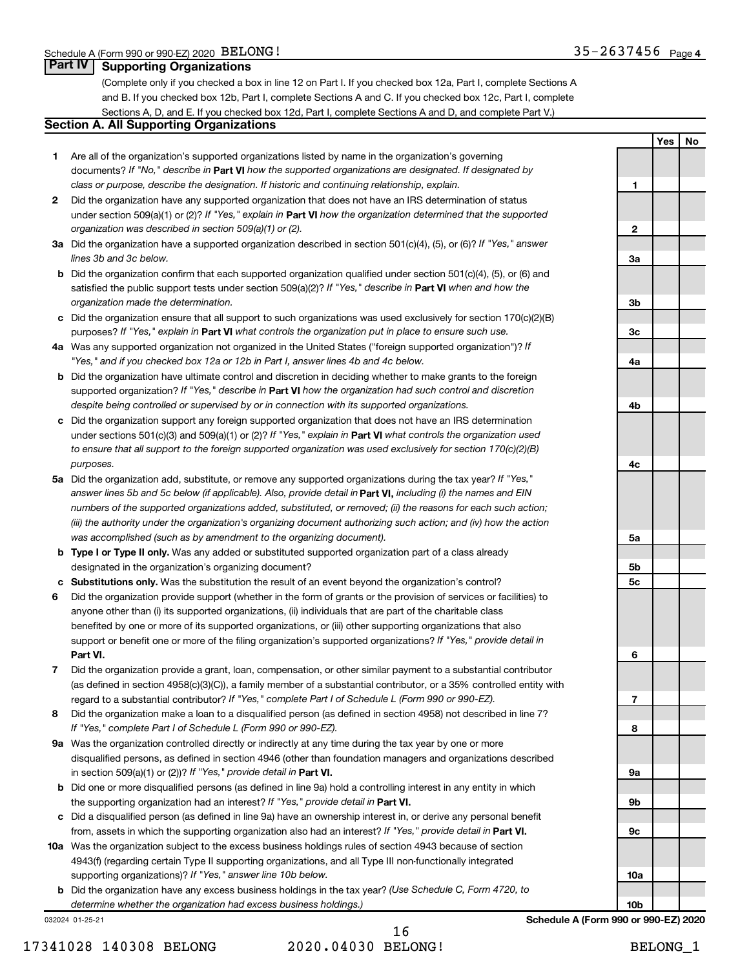**1**

**2**

**3a**

**3b**

**3c**

**4a**

**4b**

**4c**

**5a**

**5b 5c**

**6**

**7**

**8**

**9a**

**9b**

**9c**

**10a**

**10b**

**Yes No**

### **Part IV Supporting Organizations**

(Complete only if you checked a box in line 12 on Part I. If you checked box 12a, Part I, complete Sections A and B. If you checked box 12b, Part I, complete Sections A and C. If you checked box 12c, Part I, complete Sections A, D, and E. If you checked box 12d, Part I, complete Sections A and D, and complete Part V.)

### **Section A. All Supporting Organizations**

- **1** Are all of the organization's supported organizations listed by name in the organization's governing documents? If "No," describe in Part VI how the supported organizations are designated. If designated by *class or purpose, describe the designation. If historic and continuing relationship, explain.*
- **2** Did the organization have any supported organization that does not have an IRS determination of status under section 509(a)(1) or (2)? If "Yes," explain in Part **VI** how the organization determined that the supported *organization was described in section 509(a)(1) or (2).*
- **3a** Did the organization have a supported organization described in section 501(c)(4), (5), or (6)? If "Yes," answer *lines 3b and 3c below.*
- **b** Did the organization confirm that each supported organization qualified under section 501(c)(4), (5), or (6) and satisfied the public support tests under section 509(a)(2)? If "Yes," describe in Part VI when and how the *organization made the determination.*
- **c** Did the organization ensure that all support to such organizations was used exclusively for section 170(c)(2)(B) purposes? If "Yes," explain in Part VI what controls the organization put in place to ensure such use.
- **4 a** *If* Was any supported organization not organized in the United States ("foreign supported organization")? *"Yes," and if you checked box 12a or 12b in Part I, answer lines 4b and 4c below.*
- **b** Did the organization have ultimate control and discretion in deciding whether to make grants to the foreign supported organization? If "Yes," describe in Part VI how the organization had such control and discretion *despite being controlled or supervised by or in connection with its supported organizations.*
- **c** Did the organization support any foreign supported organization that does not have an IRS determination under sections 501(c)(3) and 509(a)(1) or (2)? If "Yes," explain in Part VI what controls the organization used *to ensure that all support to the foreign supported organization was used exclusively for section 170(c)(2)(B) purposes.*
- **5a** Did the organization add, substitute, or remove any supported organizations during the tax year? If "Yes," answer lines 5b and 5c below (if applicable). Also, provide detail in **Part VI,** including (i) the names and EIN *numbers of the supported organizations added, substituted, or removed; (ii) the reasons for each such action; (iii) the authority under the organization's organizing document authorizing such action; and (iv) how the action was accomplished (such as by amendment to the organizing document).*
- **b Type I or Type II only.** Was any added or substituted supported organization part of a class already designated in the organization's organizing document?
- **c Substitutions only.**  Was the substitution the result of an event beyond the organization's control?
- **6** Did the organization provide support (whether in the form of grants or the provision of services or facilities) to **Part VI.** support or benefit one or more of the filing organization's supported organizations? If "Yes," provide detail in anyone other than (i) its supported organizations, (ii) individuals that are part of the charitable class benefited by one or more of its supported organizations, or (iii) other supporting organizations that also
- **7** Did the organization provide a grant, loan, compensation, or other similar payment to a substantial contributor regard to a substantial contributor? If "Yes," complete Part I of Schedule L (Form 990 or 990-EZ). (as defined in section 4958(c)(3)(C)), a family member of a substantial contributor, or a 35% controlled entity with
- **8** Did the organization make a loan to a disqualified person (as defined in section 4958) not described in line 7? *If "Yes," complete Part I of Schedule L (Form 990 or 990-EZ).*
- **9 a** Was the organization controlled directly or indirectly at any time during the tax year by one or more in section 509(a)(1) or (2))? If "Yes," provide detail in **Part VI.** disqualified persons, as defined in section 4946 (other than foundation managers and organizations described
- **b** Did one or more disqualified persons (as defined in line 9a) hold a controlling interest in any entity in which the supporting organization had an interest? If "Yes," provide detail in Part VI.
- **c** Did a disqualified person (as defined in line 9a) have an ownership interest in, or derive any personal benefit from, assets in which the supporting organization also had an interest? If "Yes," provide detail in Part VI.
- **10 a** Was the organization subject to the excess business holdings rules of section 4943 because of section supporting organizations)? If "Yes," answer line 10b below. 4943(f) (regarding certain Type II supporting organizations, and all Type III non-functionally integrated
	- **b** Did the organization have any excess business holdings in the tax year? (Use Schedule C, Form 4720, to *determine whether the organization had excess business holdings.)*

032024 01-25-21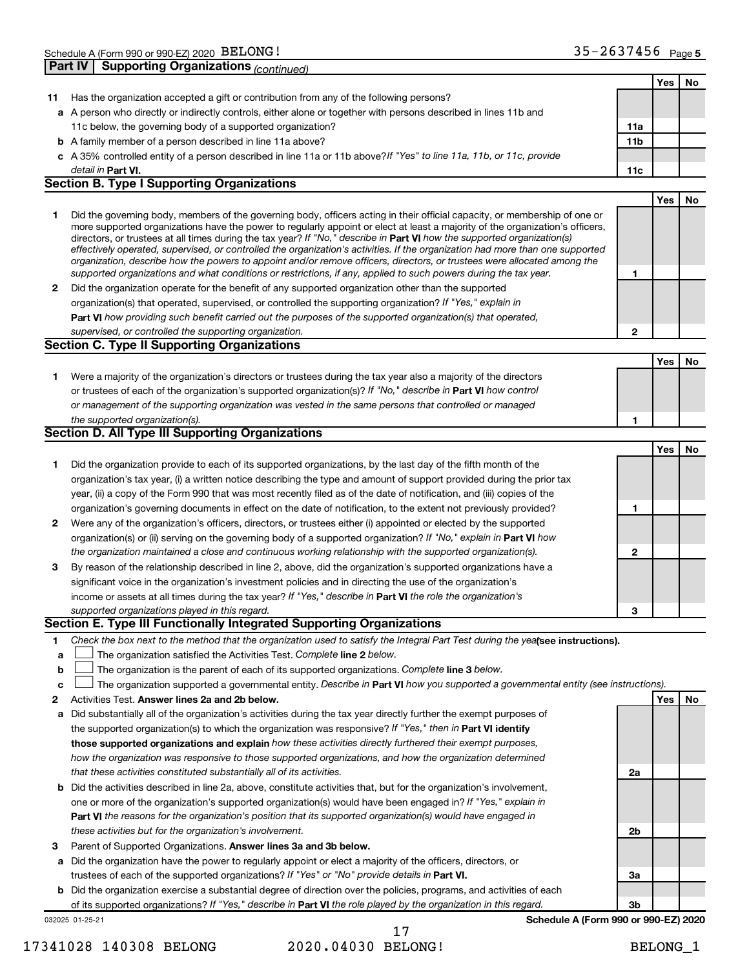|    | <b>Supporting Organizations (continued)</b><br>Part IV                                                                            |                 |     |    |
|----|-----------------------------------------------------------------------------------------------------------------------------------|-----------------|-----|----|
|    |                                                                                                                                   |                 | Yes | No |
| 11 | Has the organization accepted a gift or contribution from any of the following persons?                                           |                 |     |    |
|    | a A person who directly or indirectly controls, either alone or together with persons described in lines 11b and                  |                 |     |    |
|    | 11c below, the governing body of a supported organization?                                                                        | 11a             |     |    |
|    | <b>b</b> A family member of a person described in line 11a above?                                                                 | 11 <sub>b</sub> |     |    |
|    | c A 35% controlled entity of a person described in line 11a or 11b above?If "Yes" to line 11a, 11b, or 11c, provide               |                 |     |    |
|    | detail in Part VI.                                                                                                                | 11c             |     |    |
|    | <b>Section B. Type I Supporting Organizations</b>                                                                                 |                 |     |    |
|    |                                                                                                                                   |                 | Yes | No |
| 1  | Did the governing body, members of the governing body, officers acting in their official capacity, or membership of one or        |                 |     |    |
|    | more supported organizations have the power to regularly appoint or elect at least a majority of the organization's officers,     |                 |     |    |
|    | directors, or trustees at all times during the tax year? If "No," describe in Part VI how the supported organization(s)           |                 |     |    |
|    | effectively operated, supervised, or controlled the organization's activities. If the organization had more than one supported    |                 |     |    |
|    | organization, describe how the powers to appoint and/or remove officers, directors, or trustees were allocated among the          |                 |     |    |
|    | supported organizations and what conditions or restrictions, if any, applied to such powers during the tax year.                  | 1               |     |    |
| 2  | Did the organization operate for the benefit of any supported organization other than the supported                               |                 |     |    |
|    | organization(s) that operated, supervised, or controlled the supporting organization? If "Yes," explain in                        |                 |     |    |
|    | Part VI how providing such benefit carried out the purposes of the supported organization(s) that operated,                       |                 |     |    |
|    | supervised, or controlled the supporting organization.                                                                            | $\mathbf{2}$    |     |    |
|    | <b>Section C. Type II Supporting Organizations</b>                                                                                |                 |     |    |
|    |                                                                                                                                   |                 | Yes | No |
| 1  | Were a majority of the organization's directors or trustees during the tax year also a majority of the directors                  |                 |     |    |
|    | or trustees of each of the organization's supported organization(s)? If "No," describe in Part VI how control                     |                 |     |    |
|    | or management of the supporting organization was vested in the same persons that controlled or managed                            |                 |     |    |
|    | the supported organization(s).                                                                                                    | 1               |     |    |
|    | <b>Section D. All Type III Supporting Organizations</b>                                                                           |                 |     |    |
|    |                                                                                                                                   |                 | Yes | No |
| 1  | Did the organization provide to each of its supported organizations, by the last day of the fifth month of the                    |                 |     |    |
|    | organization's tax year, (i) a written notice describing the type and amount of support provided during the prior tax             |                 |     |    |
|    | year, (ii) a copy of the Form 990 that was most recently filed as of the date of notification, and (iii) copies of the            |                 |     |    |
|    | organization's governing documents in effect on the date of notification, to the extent not previously provided?                  | 1               |     |    |
| 2  | Were any of the organization's officers, directors, or trustees either (i) appointed or elected by the supported                  |                 |     |    |
|    | organization(s) or (ii) serving on the governing body of a supported organization? If "No," explain in Part VI how                |                 |     |    |
|    | the organization maintained a close and continuous working relationship with the supported organization(s).                       | $\mathbf{2}$    |     |    |
| 3  | By reason of the relationship described in line 2, above, did the organization's supported organizations have a                   |                 |     |    |
|    | significant voice in the organization's investment policies and in directing the use of the organization's                        |                 |     |    |
|    | income or assets at all times during the tax year? If "Yes," describe in Part VI the role the organization's                      |                 |     |    |
|    | supported organizations played in this regard.                                                                                    | з               |     |    |
|    | <b>Section E. Type III Functionally Integrated Supporting Organizations</b>                                                       |                 |     |    |
| 1  | Check the box next to the method that the organization used to satisfy the Integral Part Test during the yealsee instructions).   |                 |     |    |
| a  | The organization satisfied the Activities Test. Complete line 2 below.                                                            |                 |     |    |
| b  | The organization is the parent of each of its supported organizations. Complete line 3 below.                                     |                 |     |    |
| C  | The organization supported a governmental entity. Describe in Part VI how you supported a governmental entity (see instructions). |                 |     |    |
| 2  | Activities Test. Answer lines 2a and 2b below.                                                                                    |                 | Yes | No |
| а  | Did substantially all of the organization's activities during the tax year directly further the exempt purposes of                |                 |     |    |
|    | the supported organization(s) to which the organization was responsive? If "Yes," then in Part VI identify                        |                 |     |    |
|    | those supported organizations and explain how these activities directly furthered their exempt purposes,                          |                 |     |    |
|    | how the organization was responsive to those supported organizations, and how the organization determined                         |                 |     |    |
|    | that these activities constituted substantially all of its activities.                                                            | 2a              |     |    |
|    | <b>b</b> Did the activities described in line 2a, above, constitute activities that, but for the organization's involvement,      |                 |     |    |
|    | one or more of the organization's supported organization(s) would have been engaged in? If "Yes," explain in                      |                 |     |    |
|    | Part VI the reasons for the organization's position that its supported organization(s) would have engaged in                      |                 |     |    |
|    | these activities but for the organization's involvement.                                                                          | 2b              |     |    |
| 3  | Parent of Supported Organizations. Answer lines 3a and 3b below.                                                                  |                 |     |    |
| a  | Did the organization have the power to regularly appoint or elect a majority of the officers, directors, or                       |                 |     |    |
|    | trustees of each of the supported organizations? If "Yes" or "No" provide details in Part VI.                                     | За              |     |    |
|    | <b>b</b> Did the organization exercise a substantial degree of direction over the policies, programs, and activities of each      |                 |     |    |
|    | of its supported organizations? If "Yes," describe in Part VI the role played by the organization in this regard.                 | Зb              |     |    |
|    | Schedule A (Form 990 or 990-EZ) 2020<br>032025 01-25-21                                                                           |                 |     |    |

17341028 140308 BELONG 2020.04030 BELONG! BELONG\_1

17

**Schedule A (Form 990 or 990-EZ) 2020**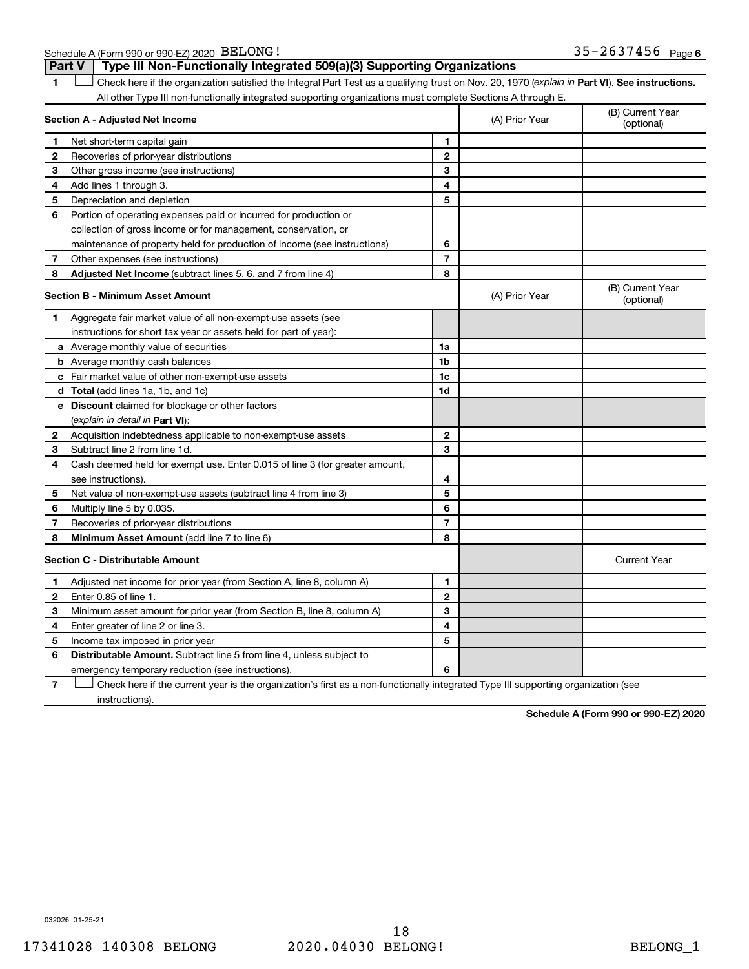Schedule A (Form 990 or 990-EZ) 2020 BELONG!

**Part V Type III Non-Functionally Integrated 509(a)(3) Supporting Organizations** 

**1 Part VI** Check here if the organization satisfied the Integral Part Test as a qualifying trust on Nov. 20, 1970 (*explain in* Part **VI**). See instructions. **Section A - Adjusted Net Income 1 2 3 4 5 6 7 8 1 2 3 4 5 6 7 Adjusted Net Income** (subtract lines 5, 6, and 7 from line 4) **8 8 Section B - Minimum Asset Amount 1 2 3 4 5 6 7 8 a** Average monthly value of securities **b** Average monthly cash balances **c** Fair market value of other non-exempt-use assets **d Total**  (add lines 1a, 1b, and 1c) **e Discount** claimed for blockage or other factors **1a 1b 1c 1d 2 3 4 5 6 7 8** (explain in detail in Part VI): **Minimum Asset Amount**  (add line 7 to line 6) **Section C - Distributable Amount 1 2 3 4 5 6 1 2 3 4 5 6** Distributable Amount. Subtract line 5 from line 4, unless subject to All other Type III non-functionally integrated supporting organizations must complete Sections A through E. (B) Current Year (A) Prior Year Net short-term capital gain Recoveries of prior-year distributions Other gross income (see instructions) Add lines 1 through 3. Depreciation and depletion Portion of operating expenses paid or incurred for production or collection of gross income or for management, conservation, or maintenance of property held for production of income (see instructions) Other expenses (see instructions) (B) Current Year  $(A)$  Prior Year  $\left\{\n\begin{array}{ccc}\n\end{array}\n\right\}$  (optional) Aggregate fair market value of all non-exempt-use assets (see instructions for short tax year or assets held for part of year): Acquisition indebtedness applicable to non-exempt-use assets Subtract line 2 from line 1d. Cash deemed held for exempt use. Enter 0.015 of line 3 (for greater amount, see instructions). Net value of non-exempt-use assets (subtract line 4 from line 3) Multiply line 5 by 0.035. Recoveries of prior-year distributions Current Year Adjusted net income for prior year (from Section A, line 8, column A) Enter 0.85 of line 1. Minimum asset amount for prior year (from Section B, line 8, column A) Enter greater of line 2 or line 3. Income tax imposed in prior year emergency temporary reduction (see instructions).  $\Box$ 

**7** Check here if the current year is the organization's first as a non-functionally integrated Type III supporting organization (see † instructions).

**Schedule A (Form 990 or 990-EZ) 2020**

032026 01-25-21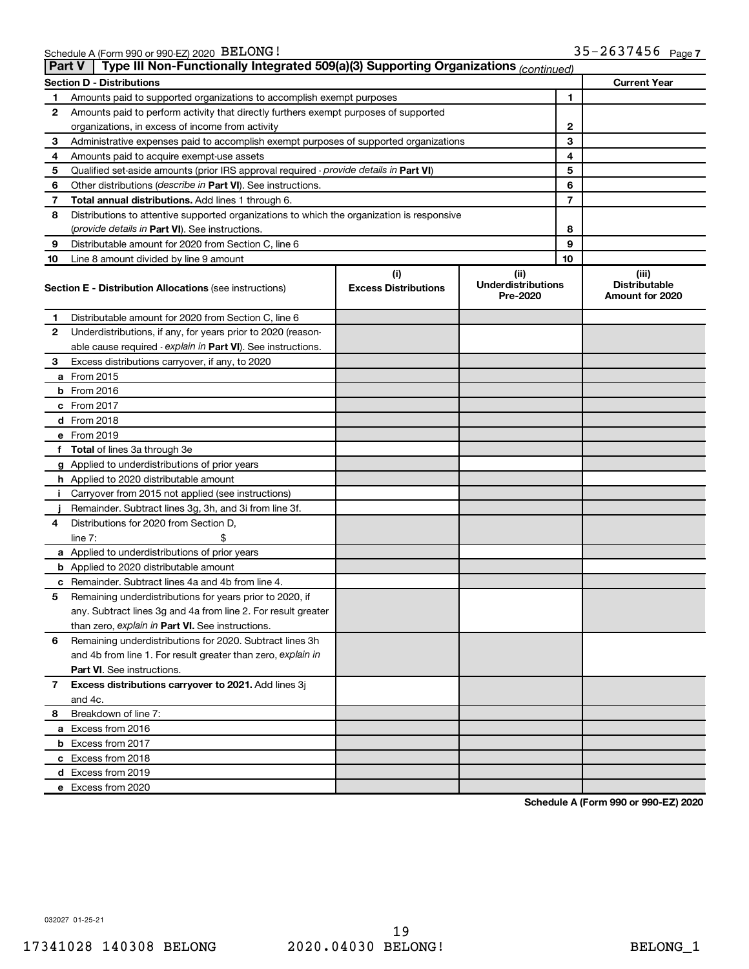|    | Type III Non-Functionally Integrated 509(a)(3) Supporting Organizations (continued)<br><b>Part V</b> |                             |                                       |                                         |  |  |  |  |
|----|------------------------------------------------------------------------------------------------------|-----------------------------|---------------------------------------|-----------------------------------------|--|--|--|--|
|    | <b>Section D - Distributions</b>                                                                     |                             |                                       | <b>Current Year</b>                     |  |  |  |  |
| 1  | Amounts paid to supported organizations to accomplish exempt purposes                                | 1                           |                                       |                                         |  |  |  |  |
| 2  | Amounts paid to perform activity that directly furthers exempt purposes of supported                 |                             |                                       |                                         |  |  |  |  |
|    | organizations, in excess of income from activity                                                     |                             | 2                                     |                                         |  |  |  |  |
| 3  | Administrative expenses paid to accomplish exempt purposes of supported organizations                |                             | 3                                     |                                         |  |  |  |  |
| 4  | Amounts paid to acquire exempt-use assets                                                            |                             | 4                                     |                                         |  |  |  |  |
| 5  | Qualified set-aside amounts (prior IRS approval required - provide details in Part VI)               |                             | 5                                     |                                         |  |  |  |  |
| 6  | Other distributions ( <i>describe in Part VI</i> ). See instructions.                                |                             | 6                                     |                                         |  |  |  |  |
| 7  | Total annual distributions. Add lines 1 through 6.                                                   |                             | 7                                     |                                         |  |  |  |  |
| 8  | Distributions to attentive supported organizations to which the organization is responsive           |                             |                                       |                                         |  |  |  |  |
|    | ( <i>provide details in Part VI</i> ). See instructions.                                             |                             | 8                                     |                                         |  |  |  |  |
| 9  | Distributable amount for 2020 from Section C, line 6                                                 |                             | 9                                     |                                         |  |  |  |  |
| 10 | Line 8 amount divided by line 9 amount                                                               |                             | 10                                    |                                         |  |  |  |  |
|    |                                                                                                      | (i)                         | (ii)                                  | (iii)                                   |  |  |  |  |
|    | <b>Section E - Distribution Allocations (see instructions)</b>                                       | <b>Excess Distributions</b> | <b>Underdistributions</b><br>Pre-2020 | <b>Distributable</b><br>Amount for 2020 |  |  |  |  |
| 1. | Distributable amount for 2020 from Section C, line 6                                                 |                             |                                       |                                         |  |  |  |  |
| 2  | Underdistributions, if any, for years prior to 2020 (reason-                                         |                             |                                       |                                         |  |  |  |  |
|    | able cause required - explain in Part VI). See instructions.                                         |                             |                                       |                                         |  |  |  |  |
| 3  | Excess distributions carryover, if any, to 2020                                                      |                             |                                       |                                         |  |  |  |  |
|    | a From 2015                                                                                          |                             |                                       |                                         |  |  |  |  |
|    | $b$ From 2016                                                                                        |                             |                                       |                                         |  |  |  |  |
|    | c From 2017                                                                                          |                             |                                       |                                         |  |  |  |  |
|    | d From 2018                                                                                          |                             |                                       |                                         |  |  |  |  |
|    | e From 2019                                                                                          |                             |                                       |                                         |  |  |  |  |
|    | f Total of lines 3a through 3e                                                                       |                             |                                       |                                         |  |  |  |  |
|    | g Applied to underdistributions of prior years                                                       |                             |                                       |                                         |  |  |  |  |
|    | <b>h</b> Applied to 2020 distributable amount                                                        |                             |                                       |                                         |  |  |  |  |
| Ť. | Carryover from 2015 not applied (see instructions)                                                   |                             |                                       |                                         |  |  |  |  |
|    | Remainder. Subtract lines 3g, 3h, and 3i from line 3f.                                               |                             |                                       |                                         |  |  |  |  |
| 4  | Distributions for 2020 from Section D,                                                               |                             |                                       |                                         |  |  |  |  |
|    | line $7:$                                                                                            |                             |                                       |                                         |  |  |  |  |
|    | a Applied to underdistributions of prior years                                                       |                             |                                       |                                         |  |  |  |  |
|    | <b>b</b> Applied to 2020 distributable amount                                                        |                             |                                       |                                         |  |  |  |  |
| с  | Remainder. Subtract lines 4a and 4b from line 4.                                                     |                             |                                       |                                         |  |  |  |  |
| 5  | Remaining underdistributions for years prior to 2020, if                                             |                             |                                       |                                         |  |  |  |  |
|    | any. Subtract lines 3g and 4a from line 2. For result greater                                        |                             |                                       |                                         |  |  |  |  |
|    | than zero, explain in Part VI. See instructions.                                                     |                             |                                       |                                         |  |  |  |  |
| 6  | Remaining underdistributions for 2020. Subtract lines 3h                                             |                             |                                       |                                         |  |  |  |  |
|    | and 4b from line 1. For result greater than zero, explain in                                         |                             |                                       |                                         |  |  |  |  |
|    | <b>Part VI.</b> See instructions.                                                                    |                             |                                       |                                         |  |  |  |  |
| 7  | Excess distributions carryover to 2021. Add lines 3j                                                 |                             |                                       |                                         |  |  |  |  |
|    | and 4c.                                                                                              |                             |                                       |                                         |  |  |  |  |
| 8  | Breakdown of line 7:                                                                                 |                             |                                       |                                         |  |  |  |  |
|    | a Excess from 2016                                                                                   |                             |                                       |                                         |  |  |  |  |
|    | <b>b</b> Excess from 2017                                                                            |                             |                                       |                                         |  |  |  |  |
|    |                                                                                                      |                             |                                       |                                         |  |  |  |  |
|    | c Excess from 2018                                                                                   |                             |                                       |                                         |  |  |  |  |
|    | d Excess from 2019                                                                                   |                             |                                       |                                         |  |  |  |  |
|    | e Excess from 2020                                                                                   |                             |                                       |                                         |  |  |  |  |

**Schedule A (Form 990 or 990-EZ) 2020**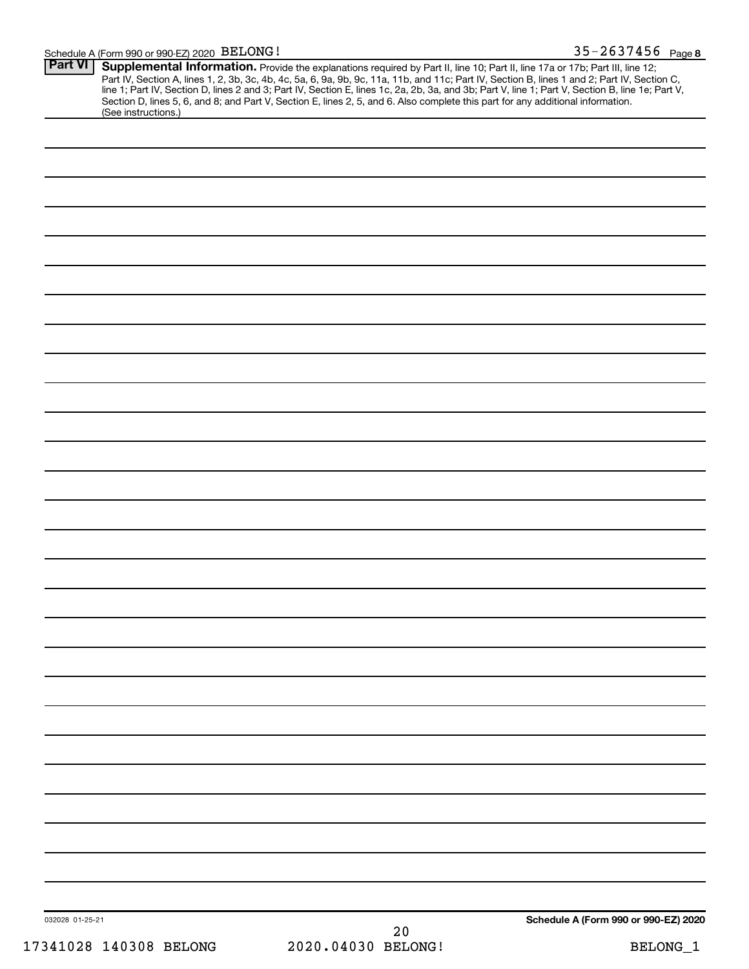| <b>Part VI</b><br>(See instructions.) | Supplemental Information. Provide the explanations required by Part II, line 10; Part II, line 17a or 17b; Part III, line 12;<br>Part IV, Section A, lines 1, 2, 3b, 3c, 4b, 4c, 5a, 6, 9a, 9b, 9c, 11a, 11b, and 11c; Part IV, Section B, lines 1 and 2; Part IV, Section C,<br>line 1; Part IV, Section D, lines 2 and 3; Part IV, Section E, lines 1c, 2a, 2b,<br>Section D, lines 5, 6, and 8; and Part V, Section E, lines 2, 5, and 6. Also complete this part for any additional information. |                                      |
|---------------------------------------|------------------------------------------------------------------------------------------------------------------------------------------------------------------------------------------------------------------------------------------------------------------------------------------------------------------------------------------------------------------------------------------------------------------------------------------------------------------------------------------------------|--------------------------------------|
|                                       |                                                                                                                                                                                                                                                                                                                                                                                                                                                                                                      |                                      |
|                                       |                                                                                                                                                                                                                                                                                                                                                                                                                                                                                                      |                                      |
|                                       |                                                                                                                                                                                                                                                                                                                                                                                                                                                                                                      |                                      |
|                                       |                                                                                                                                                                                                                                                                                                                                                                                                                                                                                                      |                                      |
|                                       |                                                                                                                                                                                                                                                                                                                                                                                                                                                                                                      |                                      |
|                                       |                                                                                                                                                                                                                                                                                                                                                                                                                                                                                                      |                                      |
|                                       |                                                                                                                                                                                                                                                                                                                                                                                                                                                                                                      |                                      |
|                                       |                                                                                                                                                                                                                                                                                                                                                                                                                                                                                                      |                                      |
|                                       |                                                                                                                                                                                                                                                                                                                                                                                                                                                                                                      |                                      |
|                                       |                                                                                                                                                                                                                                                                                                                                                                                                                                                                                                      |                                      |
|                                       |                                                                                                                                                                                                                                                                                                                                                                                                                                                                                                      |                                      |
|                                       |                                                                                                                                                                                                                                                                                                                                                                                                                                                                                                      |                                      |
|                                       |                                                                                                                                                                                                                                                                                                                                                                                                                                                                                                      |                                      |
|                                       |                                                                                                                                                                                                                                                                                                                                                                                                                                                                                                      |                                      |
|                                       |                                                                                                                                                                                                                                                                                                                                                                                                                                                                                                      |                                      |
|                                       |                                                                                                                                                                                                                                                                                                                                                                                                                                                                                                      |                                      |
|                                       |                                                                                                                                                                                                                                                                                                                                                                                                                                                                                                      |                                      |
|                                       |                                                                                                                                                                                                                                                                                                                                                                                                                                                                                                      |                                      |
|                                       |                                                                                                                                                                                                                                                                                                                                                                                                                                                                                                      |                                      |
|                                       |                                                                                                                                                                                                                                                                                                                                                                                                                                                                                                      |                                      |
|                                       |                                                                                                                                                                                                                                                                                                                                                                                                                                                                                                      |                                      |
|                                       |                                                                                                                                                                                                                                                                                                                                                                                                                                                                                                      |                                      |
|                                       |                                                                                                                                                                                                                                                                                                                                                                                                                                                                                                      |                                      |
|                                       |                                                                                                                                                                                                                                                                                                                                                                                                                                                                                                      |                                      |
|                                       |                                                                                                                                                                                                                                                                                                                                                                                                                                                                                                      |                                      |
|                                       |                                                                                                                                                                                                                                                                                                                                                                                                                                                                                                      |                                      |
|                                       |                                                                                                                                                                                                                                                                                                                                                                                                                                                                                                      |                                      |
|                                       |                                                                                                                                                                                                                                                                                                                                                                                                                                                                                                      |                                      |
|                                       |                                                                                                                                                                                                                                                                                                                                                                                                                                                                                                      |                                      |
|                                       |                                                                                                                                                                                                                                                                                                                                                                                                                                                                                                      |                                      |
| 032028 01-25-21                       | 20                                                                                                                                                                                                                                                                                                                                                                                                                                                                                                   | Schedule A (Form 990 or 990-EZ) 2020 |
| 17341028 140308 BELONG                | 2020.04030 BELONG!                                                                                                                                                                                                                                                                                                                                                                                                                                                                                   | BELONG_1                             |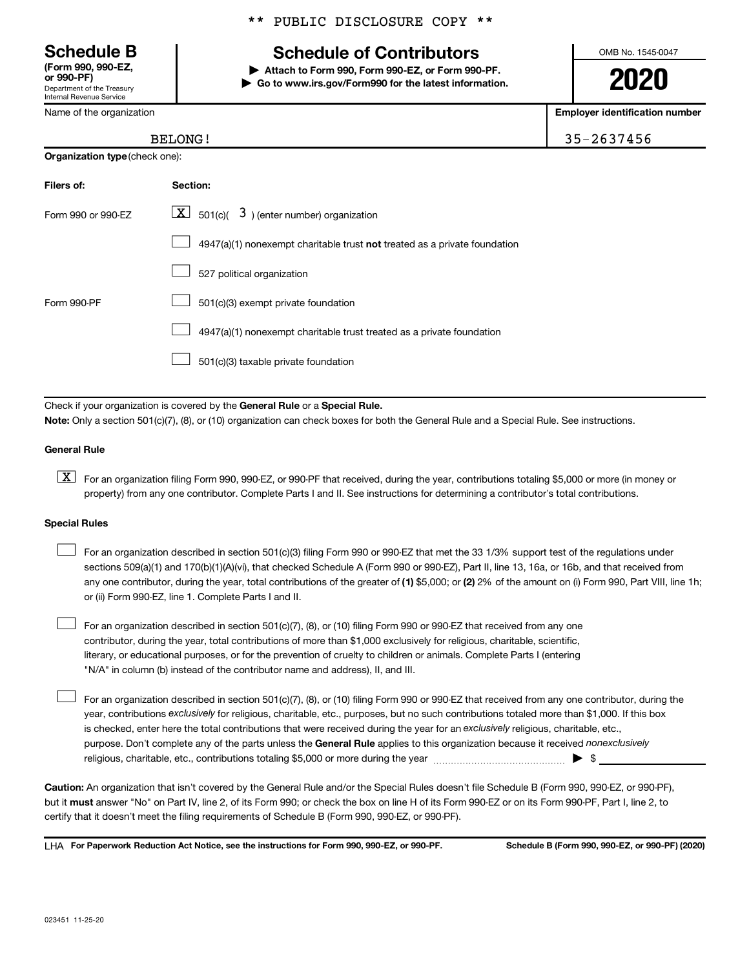Department of the Treasury Internal Revenue Service **(Form 990, 990-EZ,**

**Organizatio** 

Name of the organization

**Filers of: Section:**

### \*\* PUBLIC DISCLOSURE COPY \*\*

### **Schedule B Schedule of Contributors**

**or 990-PF) | Attach to Form 990, Form 990-EZ, or Form 990-PF. | Go to www.irs.gov/Form990 for the latest information.** OMB No. 1545-0047

**2020**

**Employer identification number**

| $-$ 3 $-$ 4 $-$ 4 $-$ 5 $-$ |            |
|-----------------------------|------------|
| <b>BELONG!</b>              | 35-2637456 |
| <b>n type</b> (check one):  |            |
|                             |            |

| Form 990 or 990-EZ | $\boxed{\textbf{X}}$ 501(c)( 3) (enter number) organization               |
|--------------------|---------------------------------------------------------------------------|
|                    | 4947(a)(1) nonexempt charitable trust not treated as a private foundation |
|                    | 527 political organization                                                |
| Form 990-PF        | 501(c)(3) exempt private foundation                                       |
|                    | 4947(a)(1) nonexempt charitable trust treated as a private foundation     |
|                    | 501(c)(3) taxable private foundation                                      |
|                    |                                                                           |

Check if your organization is covered by the General Rule or a Special Rule.

**Note:**  Only a section 501(c)(7), (8), or (10) organization can check boxes for both the General Rule and a Special Rule. See instructions.

#### **General Rule**

**K** For an organization filing Form 990, 990-EZ, or 990-PF that received, during the year, contributions totaling \$5,000 or more (in money or property) from any one contributor. Complete Parts I and II. See instructions for determining a contributor's total contributions.

#### **Special Rules**

 $\Box$ 

any one contributor, during the year, total contributions of the greater of (1) \$5,000; or (2) 2% of the amount on (i) Form 990, Part VIII, line 1h; For an organization described in section 501(c)(3) filing Form 990 or 990-EZ that met the 33 1/3% support test of the regulations under sections 509(a)(1) and 170(b)(1)(A)(vi), that checked Schedule A (Form 990 or 990-EZ), Part II, line 13, 16a, or 16b, and that received from or (ii) Form 990-EZ, line 1. Complete Parts I and II.  $\Box$ 

For an organization described in section 501(c)(7), (8), or (10) filing Form 990 or 990-EZ that received from any one contributor, during the year, total contributions of more than \$1,000 exclusively for religious, charitable, scientific, literary, or educational purposes, or for the prevention of cruelty to children or animals. Complete Parts I (entering "N/A" in column (b) instead of the contributor name and address), II, and III.  $\Box$ 

purpose. Don't complete any of the parts unless the General Rule applies to this organization because it received nonexclusively year, contributions exclusively for religious, charitable, etc., purposes, but no such contributions totaled more than \$1,000. If this box is checked, enter here the total contributions that were received during the year for an exclusively religious, charitable, etc., For an organization described in section 501(c)(7), (8), or (10) filing Form 990 or 990-EZ that received from any one contributor, during the religious, charitable, etc., contributions totaling \$5,000 or more during the year  $\ldots$  $\ldots$  $\ldots$  $\ldots$  $\ldots$  $\ldots$ 

**Caution:**  An organization that isn't covered by the General Rule and/or the Special Rules doesn't file Schedule B (Form 990, 990-EZ, or 990-PF),  **must** but it answer "No" on Part IV, line 2, of its Form 990; or check the box on line H of its Form 990-EZ or on its Form 990-PF, Part I, line 2, to certify that it doesn't meet the filing requirements of Schedule B (Form 990, 990-EZ, or 990-PF).

**For Paperwork Reduction Act Notice, see the instructions for Form 990, 990-EZ, or 990-PF. Schedule B (Form 990, 990-EZ, or 990-PF) (2020)** LHA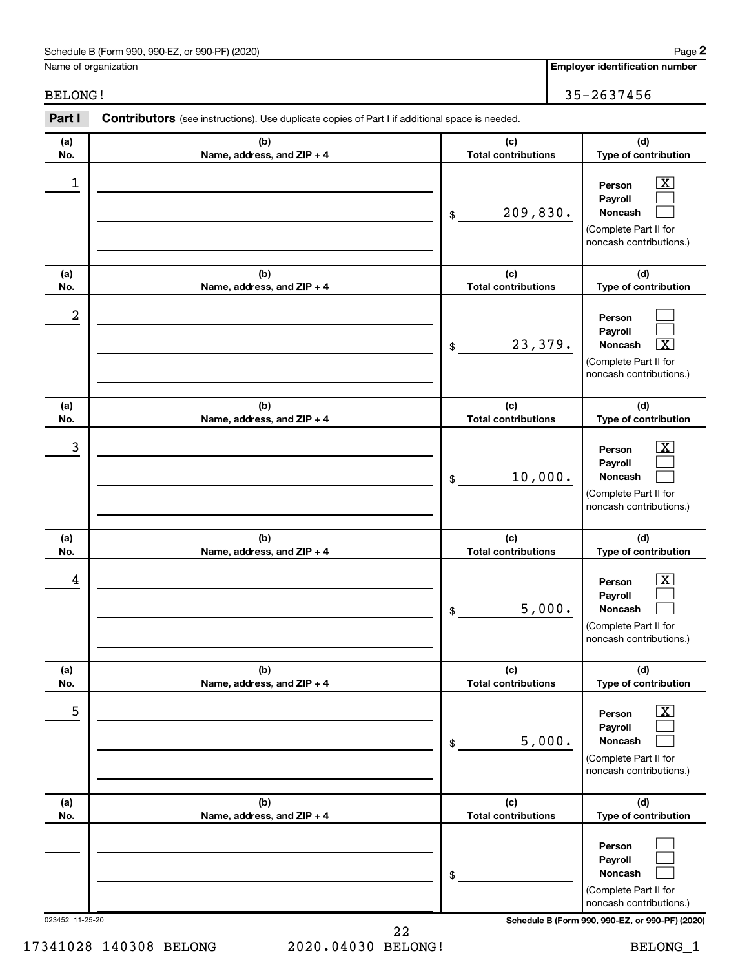### Schedule B (Form 990, 990-EZ, or 990-PF) (2020)

Name of organization

BELONG! 35-2637456

| Part I          | Contributors (see instructions). Use duplicate copies of Part I if additional space is needed. |                                   |                                                                                                             |
|-----------------|------------------------------------------------------------------------------------------------|-----------------------------------|-------------------------------------------------------------------------------------------------------------|
| (a)<br>No.      | (b)<br>Name, address, and ZIP + 4                                                              | (c)<br><b>Total contributions</b> | (d)<br>Type of contribution                                                                                 |
| 1               |                                                                                                | 209,830.<br>\$                    | $\mathbf{X}$<br>Person<br>Payroll<br>Noncash<br>(Complete Part II for<br>noncash contributions.)            |
| (a)<br>No.      | (b)<br>Name, address, and ZIP + 4                                                              | (c)<br><b>Total contributions</b> | (d)<br>Type of contribution                                                                                 |
| 2               |                                                                                                | 23,379.<br>\$                     | Person<br>Payroll<br>Noncash<br>$\overline{\textbf{x}}$<br>(Complete Part II for<br>noncash contributions.) |
| (a)<br>No.      | (b)<br>Name, address, and ZIP + 4                                                              | (c)<br><b>Total contributions</b> | (d)<br>Type of contribution                                                                                 |
| 3               |                                                                                                | 10,000.<br>\$                     | $\mathbf{X}$<br>Person<br>Payroll<br>Noncash<br>(Complete Part II for<br>noncash contributions.)            |
| (a)<br>No.      | (b)<br>Name, address, and ZIP + 4                                                              | (c)<br><b>Total contributions</b> | (d)<br>Type of contribution                                                                                 |
| 4               |                                                                                                | 5,000.<br>\$                      | $\mathbf{X}$<br>Person<br>Payroll<br>Noncash<br>(Complete Part II for<br>noncash contributions.)            |
| (a)<br>No.      | (b)<br>Name, address, and ZIP + 4                                                              | (c)<br><b>Total contributions</b> | (d)<br>Type of contribution                                                                                 |
| 5               |                                                                                                | 5,000.<br>\$                      | $\overline{\text{X}}$<br>Person<br>Payroll<br>Noncash<br>(Complete Part II for<br>noncash contributions.)   |
| (a)<br>No.      | (b)<br>Name, address, and ZIP + 4                                                              | (c)<br><b>Total contributions</b> | (d)<br>Type of contribution                                                                                 |
|                 |                                                                                                | \$                                | Person<br>Payroll<br><b>Noncash</b><br>(Complete Part II for<br>noncash contributions.)                     |
| 023452 11-25-20 |                                                                                                |                                   | Schedule B (Form 990, 990-EZ, or 990-PF) (2020)                                                             |

22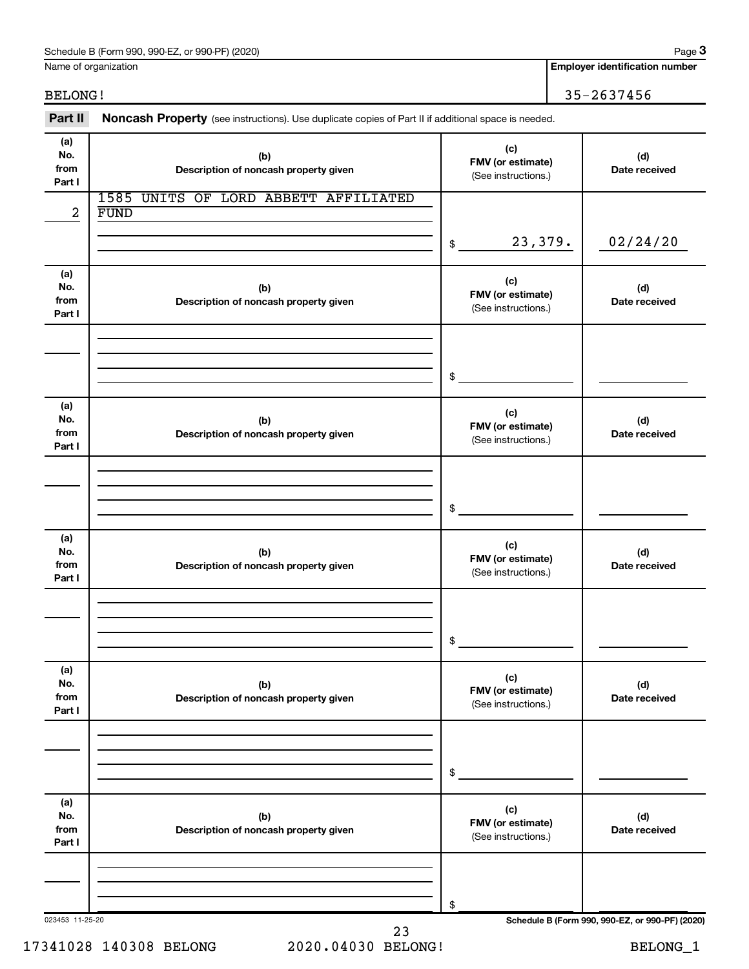### Schedule B (Form 990, 990-EZ, or 990-PF) (2020)

Name of organization

**Employer identification number**

BELONG! 35-2637456

023453 11-25-20 **Schedule B (Form 990, 990-EZ, or 990-PF) (2020) (a) No. from Part I (c) FMV (or estimate) (b) Description of noncash property given (d) Date received (a) No. from Part I (c) FMV (or estimate) (b) Description of noncash property given (d) Date received (a) No. from Part I (c) FMV (or estimate) (b) Description of noncash property given (d) Date received (a) No. from Part I (c) FMV (or estimate) (b) Description of noncash property given (d) Date received (a) No. from Part I (c) FMV (or estimate) (b) Description of noncash property given (d) Date received (a) No. from Part I (c) FMV (or estimate) (b) Description of noncash property given (d) Date received** Part II Noncash Property (see instructions). Use duplicate copies of Part II if additional space is needed. (See instructions.) \$ (See instructions.) \$ (See instructions.) \$ (See instructions.) \$ (See instructions.) \$ (See instructions.) \$ 1585 UNITS OF LORD ABBETT AFFILIATED  $2 |$  FUND 23,379. 02/24/20 23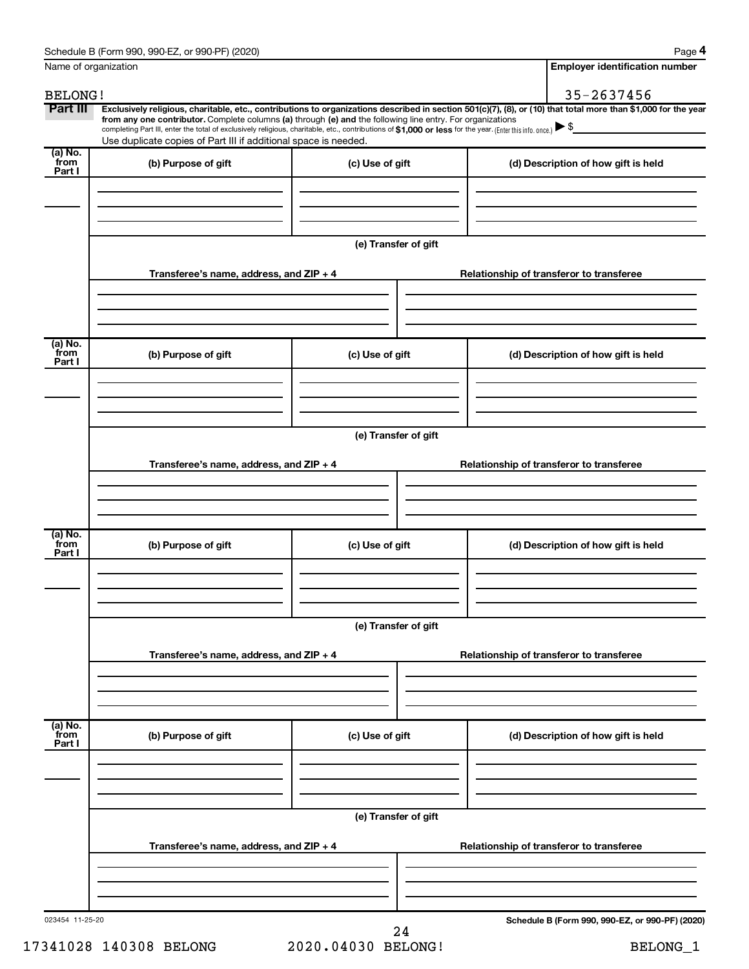| Name of organization        |                                                                                                                                                                                                                                                                                                                                                                                                                                                                                                                                      |                      |  | <b>Employer identification number</b>           |  |  |
|-----------------------------|--------------------------------------------------------------------------------------------------------------------------------------------------------------------------------------------------------------------------------------------------------------------------------------------------------------------------------------------------------------------------------------------------------------------------------------------------------------------------------------------------------------------------------------|----------------------|--|-------------------------------------------------|--|--|
| <b>BELONG!</b>              |                                                                                                                                                                                                                                                                                                                                                                                                                                                                                                                                      |                      |  | 35-2637456                                      |  |  |
| Part III                    | Exclusively religious, charitable, etc., contributions to organizations described in section 501(c)(7), (8), or (10) that total more than \$1,000 for the year<br>from any one contributor. Complete columns (a) through (e) and the following line entry. For organizations<br>completing Part III, enter the total of exclusively religious, charitable, etc., contributions of \$1,000 or less for the year. (Enter this info. once.) $\blacktriangleright$ \$<br>Use duplicate copies of Part III if additional space is needed. |                      |  |                                                 |  |  |
| $(a)$ No.<br>from<br>Part I | (b) Purpose of gift                                                                                                                                                                                                                                                                                                                                                                                                                                                                                                                  | (c) Use of gift      |  | (d) Description of how gift is held             |  |  |
|                             |                                                                                                                                                                                                                                                                                                                                                                                                                                                                                                                                      |                      |  |                                                 |  |  |
|                             |                                                                                                                                                                                                                                                                                                                                                                                                                                                                                                                                      | (e) Transfer of gift |  |                                                 |  |  |
|                             | Transferee's name, address, and $ZIP + 4$                                                                                                                                                                                                                                                                                                                                                                                                                                                                                            |                      |  | Relationship of transferor to transferee        |  |  |
|                             |                                                                                                                                                                                                                                                                                                                                                                                                                                                                                                                                      |                      |  |                                                 |  |  |
| (a) No.<br>`from<br>Part I  | (b) Purpose of gift                                                                                                                                                                                                                                                                                                                                                                                                                                                                                                                  | (c) Use of gift      |  | (d) Description of how gift is held             |  |  |
|                             |                                                                                                                                                                                                                                                                                                                                                                                                                                                                                                                                      |                      |  |                                                 |  |  |
|                             |                                                                                                                                                                                                                                                                                                                                                                                                                                                                                                                                      | (e) Transfer of gift |  |                                                 |  |  |
|                             | Transferee's name, address, and $ZIP + 4$                                                                                                                                                                                                                                                                                                                                                                                                                                                                                            |                      |  | Relationship of transferor to transferee        |  |  |
|                             |                                                                                                                                                                                                                                                                                                                                                                                                                                                                                                                                      |                      |  |                                                 |  |  |
| (a) No.<br>`from<br>Part I  | (b) Purpose of gift                                                                                                                                                                                                                                                                                                                                                                                                                                                                                                                  | (c) Use of gift      |  | (d) Description of how gift is held             |  |  |
|                             |                                                                                                                                                                                                                                                                                                                                                                                                                                                                                                                                      |                      |  |                                                 |  |  |
|                             | (e) Transfer of gift                                                                                                                                                                                                                                                                                                                                                                                                                                                                                                                 |                      |  |                                                 |  |  |
|                             | Transferee's name, address, and $ZIP + 4$                                                                                                                                                                                                                                                                                                                                                                                                                                                                                            |                      |  | Relationship of transferor to transferee        |  |  |
|                             |                                                                                                                                                                                                                                                                                                                                                                                                                                                                                                                                      |                      |  |                                                 |  |  |
| (a) No.<br>from<br>Part I   | (b) Purpose of gift                                                                                                                                                                                                                                                                                                                                                                                                                                                                                                                  | (c) Use of gift      |  | (d) Description of how gift is held             |  |  |
|                             |                                                                                                                                                                                                                                                                                                                                                                                                                                                                                                                                      |                      |  |                                                 |  |  |
|                             |                                                                                                                                                                                                                                                                                                                                                                                                                                                                                                                                      | (e) Transfer of gift |  |                                                 |  |  |
|                             | Transferee's name, address, and $ZIP + 4$                                                                                                                                                                                                                                                                                                                                                                                                                                                                                            |                      |  | Relationship of transferor to transferee        |  |  |
|                             |                                                                                                                                                                                                                                                                                                                                                                                                                                                                                                                                      |                      |  |                                                 |  |  |
| 023454 11-25-20             |                                                                                                                                                                                                                                                                                                                                                                                                                                                                                                                                      | 2.4                  |  | Schedule B (Form 990, 990-EZ, or 990-PF) (2020) |  |  |

<sup>17341028 140308</sup> BELONG 2020.04030 BELONG! BELONG\_1 24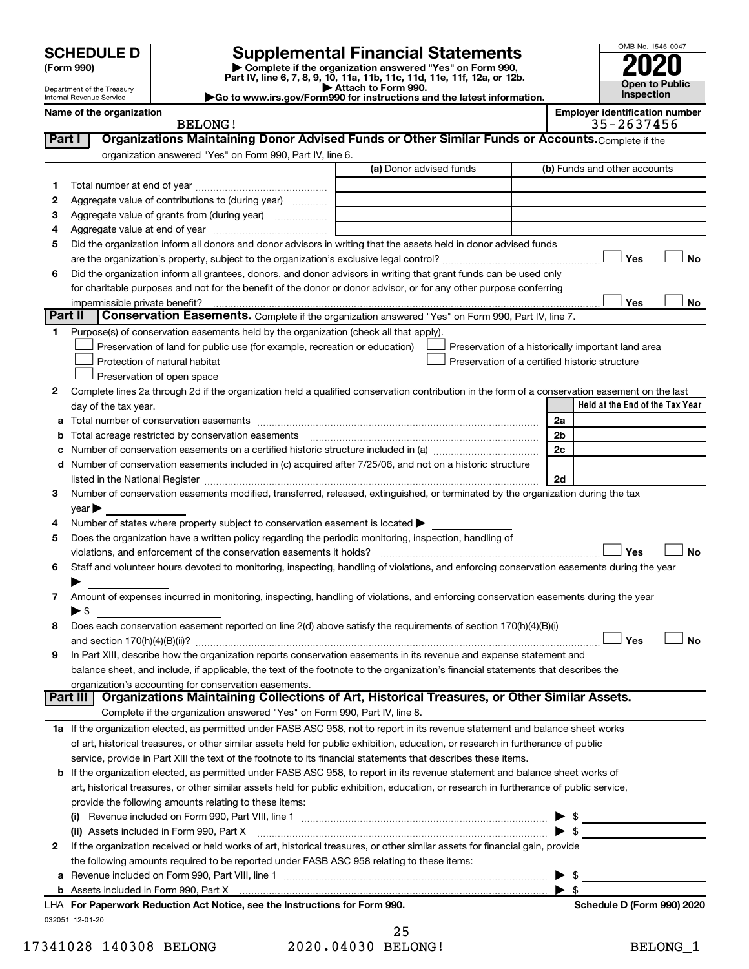| (Form 990) |  |
|------------|--|
|------------|--|

# **SCHEDULE D Supplemental Financial Statements**<br> **Form 990 2020**<br> **Part IV** line 6.7.8.9.10, 11a, 11b, 11d, 11d, 11d, 11d, 11d, 12a, 0r, 12b

**(Form 990) | Complete if the organization answered "Yes" on Form 990, Part IV, line 6, 7, 8, 9, 10, 11a, 11b, 11c, 11d, 11e, 11f, 12a, or 12b.**

**| Attach to Form 990. |Go to www.irs.gov/Form990 for instructions and the latest information.**



Department of the Treasury Internal Revenue Service

**Name of the organization Employer identification number** BELONG! 35-2637456

| Part I  | Organizations Maintaining Donor Advised Funds or Other Similar Funds or Accounts. Complete if the                                              |                         |                                                    |
|---------|------------------------------------------------------------------------------------------------------------------------------------------------|-------------------------|----------------------------------------------------|
|         | organization answered "Yes" on Form 990, Part IV, line 6.                                                                                      |                         |                                                    |
|         |                                                                                                                                                | (a) Donor advised funds | (b) Funds and other accounts                       |
| 1.      |                                                                                                                                                |                         |                                                    |
| 2       | Aggregate value of contributions to (during year)                                                                                              |                         |                                                    |
| з       | Aggregate value of grants from (during year)                                                                                                   |                         |                                                    |
| 4       |                                                                                                                                                |                         |                                                    |
| 5       | Did the organization inform all donors and donor advisors in writing that the assets held in donor advised funds                               |                         |                                                    |
|         |                                                                                                                                                |                         | Yes<br>No                                          |
| 6       | Did the organization inform all grantees, donors, and donor advisors in writing that grant funds can be used only                              |                         |                                                    |
|         | for charitable purposes and not for the benefit of the donor or donor advisor, or for any other purpose conferring                             |                         |                                                    |
|         | impermissible private benefit?                                                                                                                 |                         | Yes<br>No                                          |
| Part II | Conservation Easements. Complete if the organization answered "Yes" on Form 990, Part IV, line 7.                                              |                         |                                                    |
| 1.      | Purpose(s) of conservation easements held by the organization (check all that apply).                                                          |                         |                                                    |
|         | Preservation of land for public use (for example, recreation or education)                                                                     |                         | Preservation of a historically important land area |
|         | Protection of natural habitat                                                                                                                  |                         | Preservation of a certified historic structure     |
|         | Preservation of open space                                                                                                                     |                         |                                                    |
| 2       | Complete lines 2a through 2d if the organization held a qualified conservation contribution in the form of a conservation easement on the last |                         |                                                    |
|         | day of the tax year.                                                                                                                           |                         | Held at the End of the Tax Year                    |
| a       |                                                                                                                                                |                         | 2a                                                 |
| b       | Total acreage restricted by conservation easements                                                                                             |                         | 2b                                                 |
| с       |                                                                                                                                                |                         | 2c                                                 |
| d       | Number of conservation easements included in (c) acquired after 7/25/06, and not on a historic structure                                       |                         |                                                    |
|         |                                                                                                                                                |                         | 2d                                                 |
| 3       | Number of conservation easements modified, transferred, released, extinguished, or terminated by the organization during the tax               |                         |                                                    |
|         | year                                                                                                                                           |                         |                                                    |
|         | Number of states where property subject to conservation easement is located >                                                                  |                         |                                                    |
| 5       | Does the organization have a written policy regarding the periodic monitoring, inspection, handling of                                         |                         |                                                    |
|         | violations, and enforcement of the conservation easements it holds?                                                                            |                         | Yes<br>No                                          |
| 6       | Staff and volunteer hours devoted to monitoring, inspecting, handling of violations, and enforcing conservation easements during the year      |                         |                                                    |
|         |                                                                                                                                                |                         |                                                    |
| 7       | Amount of expenses incurred in monitoring, inspecting, handling of violations, and enforcing conservation easements during the year            |                         |                                                    |
|         | $\blacktriangleright$ \$                                                                                                                       |                         |                                                    |
| 8       | Does each conservation easement reported on line 2(d) above satisfy the requirements of section 170(h)(4)(B)(i)                                |                         |                                                    |
|         |                                                                                                                                                |                         | Yes<br><b>No</b>                                   |
| 9       | In Part XIII, describe how the organization reports conservation easements in its revenue and expense statement and                            |                         |                                                    |
|         | balance sheet, and include, if applicable, the text of the footnote to the organization's financial statements that describes the              |                         |                                                    |
|         | organization's accounting for conservation easements.                                                                                          |                         |                                                    |
|         | Organizations Maintaining Collections of Art, Historical Treasures, or Other Similar Assets.<br>Part III                                       |                         |                                                    |
|         | Complete if the organization answered "Yes" on Form 990, Part IV, line 8.                                                                      |                         |                                                    |
|         | 1a If the organization elected, as permitted under FASB ASC 958, not to report in its revenue statement and balance sheet works                |                         |                                                    |
|         | of art, historical treasures, or other similar assets held for public exhibition, education, or research in furtherance of public              |                         |                                                    |
|         | service, provide in Part XIII the text of the footnote to its financial statements that describes these items.                                 |                         |                                                    |
|         | <b>b</b> If the organization elected, as permitted under FASB ASC 958, to report in its revenue statement and balance sheet works of           |                         |                                                    |
|         | art, historical treasures, or other similar assets held for public exhibition, education, or research in furtherance of public service,        |                         |                                                    |
|         | provide the following amounts relating to these items:                                                                                         |                         |                                                    |
|         | (i)                                                                                                                                            |                         | \$                                                 |
|         | (ii) Assets included in Form 990, Part X [11] [2000] [2010] Assets included in Form 990, Part X                                                |                         | $\blacktriangleright$ s                            |
| 2       | If the organization received or held works of art, historical treasures, or other similar assets for financial gain, provide                   |                         |                                                    |
|         | the following amounts required to be reported under FASB ASC 958 relating to these items:                                                      |                         |                                                    |
| а       | Revenue included on Form 990, Part VIII, line 1 [2000] [2000] [2000] [2000] [3000] [3000] [3000] [3000] [3000                                  |                         | \$                                                 |
|         |                                                                                                                                                |                         | \$                                                 |
|         | LHA For Paperwork Reduction Act Notice, see the Instructions for Form 990.                                                                     |                         | Schedule D (Form 990) 2020                         |
|         | 032051 12-01-20                                                                                                                                |                         |                                                    |

|                    | 25 |
|--------------------|----|
| 2020.04030 BELONG! |    |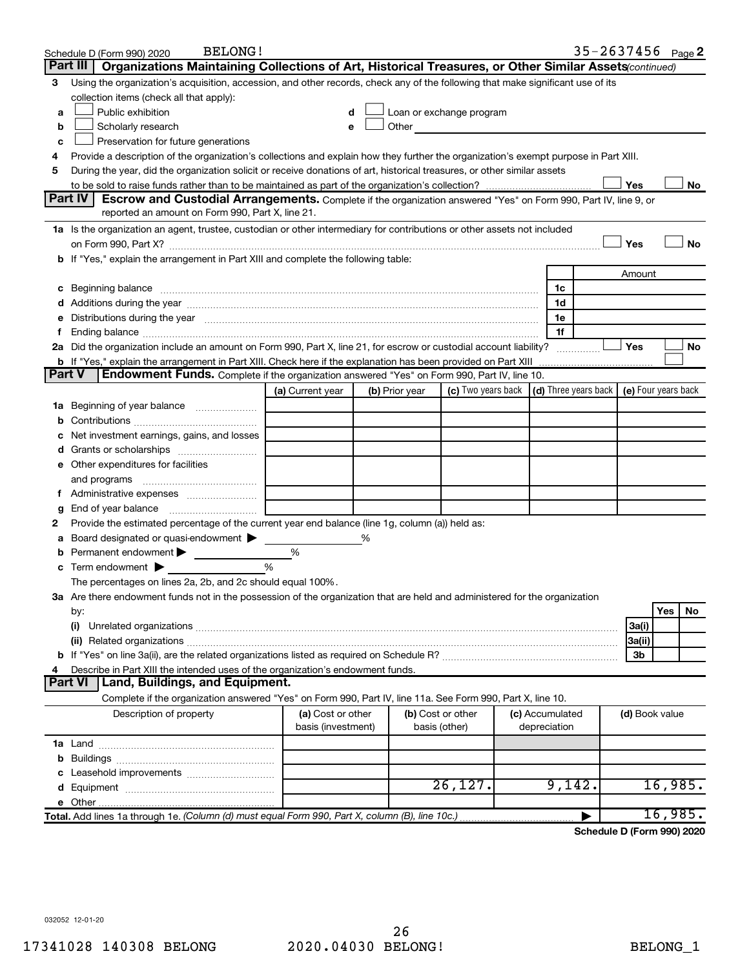|        | <b>BELONG!</b><br>Schedule D (Form 990) 2020                                                                                                                                                                                                                                                                                                     |                                         |                |                                    |                                                                                                                                                                                                                               |                 |              |  | $35 - 2637456$ Page 2                             |         |           |
|--------|--------------------------------------------------------------------------------------------------------------------------------------------------------------------------------------------------------------------------------------------------------------------------------------------------------------------------------------------------|-----------------------------------------|----------------|------------------------------------|-------------------------------------------------------------------------------------------------------------------------------------------------------------------------------------------------------------------------------|-----------------|--------------|--|---------------------------------------------------|---------|-----------|
|        | Part III  <br>Organizations Maintaining Collections of Art, Historical Treasures, or Other Similar Assets (continued)                                                                                                                                                                                                                            |                                         |                |                                    |                                                                                                                                                                                                                               |                 |              |  |                                                   |         |           |
| З      | Using the organization's acquisition, accession, and other records, check any of the following that make significant use of its                                                                                                                                                                                                                  |                                         |                |                                    |                                                                                                                                                                                                                               |                 |              |  |                                                   |         |           |
|        | collection items (check all that apply):                                                                                                                                                                                                                                                                                                         |                                         |                |                                    |                                                                                                                                                                                                                               |                 |              |  |                                                   |         |           |
| a      | Public exhibition                                                                                                                                                                                                                                                                                                                                |                                         | d              |                                    | Loan or exchange program                                                                                                                                                                                                      |                 |              |  |                                                   |         |           |
| b      | Scholarly research                                                                                                                                                                                                                                                                                                                               |                                         |                |                                    | Other and the contract of the contract of the contract of the contract of the contract of the contract of the contract of the contract of the contract of the contract of the contract of the contract of the contract of the |                 |              |  |                                                   |         |           |
| с      | Preservation for future generations                                                                                                                                                                                                                                                                                                              |                                         |                |                                    |                                                                                                                                                                                                                               |                 |              |  |                                                   |         |           |
| 4      | Provide a description of the organization's collections and explain how they further the organization's exempt purpose in Part XIII.                                                                                                                                                                                                             |                                         |                |                                    |                                                                                                                                                                                                                               |                 |              |  |                                                   |         |           |
| 5      | During the year, did the organization solicit or receive donations of art, historical treasures, or other similar assets                                                                                                                                                                                                                         |                                         |                |                                    |                                                                                                                                                                                                                               |                 |              |  |                                                   |         |           |
|        |                                                                                                                                                                                                                                                                                                                                                  |                                         |                |                                    |                                                                                                                                                                                                                               |                 |              |  | Yes                                               |         | No        |
|        | Part IV<br><b>Escrow and Custodial Arrangements.</b> Complete if the organization answered "Yes" on Form 990, Part IV, line 9, or                                                                                                                                                                                                                |                                         |                |                                    |                                                                                                                                                                                                                               |                 |              |  |                                                   |         |           |
|        | reported an amount on Form 990, Part X, line 21.                                                                                                                                                                                                                                                                                                 |                                         |                |                                    |                                                                                                                                                                                                                               |                 |              |  |                                                   |         |           |
|        | 1a Is the organization an agent, trustee, custodian or other intermediary for contributions or other assets not included                                                                                                                                                                                                                         |                                         |                |                                    |                                                                                                                                                                                                                               |                 |              |  |                                                   |         |           |
|        | on Form 990, Part X? [11] matter contracts and contracts and contracts are contracted and contracts are contracted and contract of the set of the set of the set of the set of the set of the set of the set of the set of the                                                                                                                   |                                         |                |                                    |                                                                                                                                                                                                                               |                 |              |  | Yes                                               |         | <b>No</b> |
|        | b If "Yes," explain the arrangement in Part XIII and complete the following table:                                                                                                                                                                                                                                                               |                                         |                |                                    |                                                                                                                                                                                                                               |                 |              |  |                                                   |         |           |
|        |                                                                                                                                                                                                                                                                                                                                                  |                                         |                |                                    |                                                                                                                                                                                                                               |                 |              |  | Amount                                            |         |           |
|        | c Beginning balance measurements and the contract of the contract of the contract of the contract of the contract of the contract of the contract of the contract of the contract of the contract of the contract of the contr                                                                                                                   |                                         |                |                                    |                                                                                                                                                                                                                               |                 | 1c           |  |                                                   |         |           |
|        | d Additions during the year manufactured and an intervention of a distribution of the year manufactured and a distribution of the year manufactured and a distribution of the year manufactured and a distribution of the year<br>e Distributions during the year manufactured and continuum control of the control of the control of the set of |                                         |                |                                    |                                                                                                                                                                                                                               |                 | 1d<br>1e     |  |                                                   |         |           |
|        | f Ending balance measurements and the contract of the contract of the contract of the contract of the contract of the contract of the contract of the contract of the contract of the contract of the contract of the contract                                                                                                                   |                                         |                |                                    |                                                                                                                                                                                                                               |                 | 1f           |  |                                                   |         |           |
|        | 2a Did the organization include an amount on Form 990, Part X, line 21, for escrow or custodial account liability?                                                                                                                                                                                                                               |                                         |                |                                    |                                                                                                                                                                                                                               |                 |              |  | <b>」Yes</b>                                       |         | No        |
|        | <b>b</b> If "Yes," explain the arrangement in Part XIII. Check here if the explanation has been provided on Part XIII                                                                                                                                                                                                                            |                                         |                |                                    |                                                                                                                                                                                                                               |                 |              |  |                                                   |         |           |
| Part V | Endowment Funds. Complete if the organization answered "Yes" on Form 990, Part IV, line 10.                                                                                                                                                                                                                                                      |                                         |                |                                    |                                                                                                                                                                                                                               |                 |              |  |                                                   |         |           |
|        |                                                                                                                                                                                                                                                                                                                                                  | (a) Current year                        | (b) Prior year |                                    | (c) Two years back                                                                                                                                                                                                            |                 |              |  | $(d)$ Three years back $\mid$ (e) Four years back |         |           |
|        | 1a Beginning of year balance                                                                                                                                                                                                                                                                                                                     |                                         |                |                                    |                                                                                                                                                                                                                               |                 |              |  |                                                   |         |           |
| b      |                                                                                                                                                                                                                                                                                                                                                  |                                         |                |                                    |                                                                                                                                                                                                                               |                 |              |  |                                                   |         |           |
|        | Net investment earnings, gains, and losses                                                                                                                                                                                                                                                                                                       |                                         |                |                                    |                                                                                                                                                                                                                               |                 |              |  |                                                   |         |           |
|        |                                                                                                                                                                                                                                                                                                                                                  |                                         |                |                                    |                                                                                                                                                                                                                               |                 |              |  |                                                   |         |           |
|        | e Other expenditures for facilities                                                                                                                                                                                                                                                                                                              |                                         |                |                                    |                                                                                                                                                                                                                               |                 |              |  |                                                   |         |           |
|        | and programs                                                                                                                                                                                                                                                                                                                                     |                                         |                |                                    |                                                                                                                                                                                                                               |                 |              |  |                                                   |         |           |
|        |                                                                                                                                                                                                                                                                                                                                                  |                                         |                |                                    |                                                                                                                                                                                                                               |                 |              |  |                                                   |         |           |
| g      | End of year balance <i>manually contained</i>                                                                                                                                                                                                                                                                                                    |                                         |                |                                    |                                                                                                                                                                                                                               |                 |              |  |                                                   |         |           |
| 2      | Provide the estimated percentage of the current year end balance (line 1g, column (a)) held as:                                                                                                                                                                                                                                                  |                                         |                |                                    |                                                                                                                                                                                                                               |                 |              |  |                                                   |         |           |
| а      | Board designated or quasi-endowment                                                                                                                                                                                                                                                                                                              |                                         | %              |                                    |                                                                                                                                                                                                                               |                 |              |  |                                                   |         |           |
|        | <b>b</b> Permanent endowment $\blacktriangleright$                                                                                                                                                                                                                                                                                               | %                                       |                |                                    |                                                                                                                                                                                                                               |                 |              |  |                                                   |         |           |
|        | $\mathbf c$ Term endowment $\blacktriangleright$                                                                                                                                                                                                                                                                                                 | %                                       |                |                                    |                                                                                                                                                                                                                               |                 |              |  |                                                   |         |           |
|        | The percentages on lines 2a, 2b, and 2c should equal 100%.                                                                                                                                                                                                                                                                                       |                                         |                |                                    |                                                                                                                                                                                                                               |                 |              |  |                                                   |         |           |
|        | 3a Are there endowment funds not in the possession of the organization that are held and administered for the organization                                                                                                                                                                                                                       |                                         |                |                                    |                                                                                                                                                                                                                               |                 |              |  |                                                   |         |           |
|        | by:                                                                                                                                                                                                                                                                                                                                              |                                         |                |                                    |                                                                                                                                                                                                                               |                 |              |  |                                                   | Yes     | No        |
|        | (i)                                                                                                                                                                                                                                                                                                                                              |                                         |                |                                    |                                                                                                                                                                                                                               |                 |              |  | 3a(i)                                             |         |           |
|        |                                                                                                                                                                                                                                                                                                                                                  |                                         |                |                                    |                                                                                                                                                                                                                               |                 |              |  | 3a(ii)<br>3b                                      |         |           |
| 4      | Describe in Part XIII the intended uses of the organization's endowment funds.                                                                                                                                                                                                                                                                   |                                         |                |                                    |                                                                                                                                                                                                                               |                 |              |  |                                                   |         |           |
|        | Land, Buildings, and Equipment.<br><b>Part VI</b>                                                                                                                                                                                                                                                                                                |                                         |                |                                    |                                                                                                                                                                                                                               |                 |              |  |                                                   |         |           |
|        | Complete if the organization answered "Yes" on Form 990, Part IV, line 11a. See Form 990, Part X, line 10.                                                                                                                                                                                                                                       |                                         |                |                                    |                                                                                                                                                                                                                               |                 |              |  |                                                   |         |           |
|        | Description of property                                                                                                                                                                                                                                                                                                                          | (a) Cost or other<br>basis (investment) |                | (b) Cost or other<br>basis (other) |                                                                                                                                                                                                                               | (c) Accumulated | depreciation |  | (d) Book value                                    |         |           |
|        |                                                                                                                                                                                                                                                                                                                                                  |                                         |                |                                    |                                                                                                                                                                                                                               |                 |              |  |                                                   |         |           |
| b      |                                                                                                                                                                                                                                                                                                                                                  |                                         |                |                                    |                                                                                                                                                                                                                               |                 |              |  |                                                   |         |           |
|        |                                                                                                                                                                                                                                                                                                                                                  |                                         |                |                                    |                                                                                                                                                                                                                               |                 |              |  |                                                   |         |           |
|        |                                                                                                                                                                                                                                                                                                                                                  |                                         |                |                                    | 26, 127.                                                                                                                                                                                                                      |                 | 9,142.       |  |                                                   | 16,985. |           |
|        |                                                                                                                                                                                                                                                                                                                                                  |                                         |                |                                    |                                                                                                                                                                                                                               |                 |              |  |                                                   |         |           |
|        | Total. Add lines 1a through 1e. (Column (d) must equal Form 990, Part X, column (B), line 10c.)                                                                                                                                                                                                                                                  |                                         |                |                                    |                                                                                                                                                                                                                               |                 |              |  |                                                   | 16,985. |           |
|        |                                                                                                                                                                                                                                                                                                                                                  |                                         |                |                                    |                                                                                                                                                                                                                               |                 |              |  |                                                   |         |           |

**Schedule D (Form 990) 2020**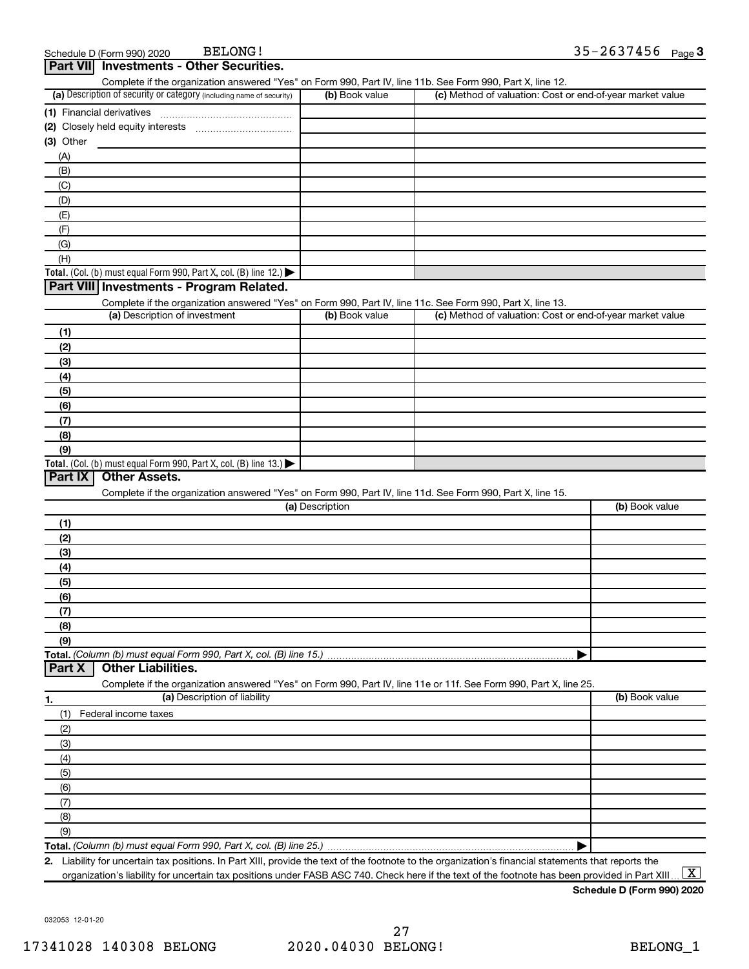| Complete if the organization answered "Yes" on Form 990, Part IV, line 11b. See Form 990, Part X, line 12.                                        |                 |                                                           |                |
|---------------------------------------------------------------------------------------------------------------------------------------------------|-----------------|-----------------------------------------------------------|----------------|
| (a) Description of security or category (including name of security)                                                                              | (b) Book value  | (c) Method of valuation: Cost or end-of-year market value |                |
|                                                                                                                                                   |                 |                                                           |                |
|                                                                                                                                                   |                 |                                                           |                |
| $(3)$ Other                                                                                                                                       |                 |                                                           |                |
| (A)                                                                                                                                               |                 |                                                           |                |
| (B)                                                                                                                                               |                 |                                                           |                |
| (C)                                                                                                                                               |                 |                                                           |                |
| (D)                                                                                                                                               |                 |                                                           |                |
| (E)                                                                                                                                               |                 |                                                           |                |
| (F)                                                                                                                                               |                 |                                                           |                |
| (G)                                                                                                                                               |                 |                                                           |                |
| (H)                                                                                                                                               |                 |                                                           |                |
| Total. (Col. (b) must equal Form 990, Part X, col. (B) line 12.)                                                                                  |                 |                                                           |                |
| Part VIII Investments - Program Related.                                                                                                          |                 |                                                           |                |
| Complete if the organization answered "Yes" on Form 990, Part IV, line 11c. See Form 990, Part X, line 13.                                        |                 |                                                           |                |
| (a) Description of investment                                                                                                                     | (b) Book value  | (c) Method of valuation: Cost or end-of-year market value |                |
| (1)                                                                                                                                               |                 |                                                           |                |
| (2)                                                                                                                                               |                 |                                                           |                |
| (3)                                                                                                                                               |                 |                                                           |                |
|                                                                                                                                                   |                 |                                                           |                |
| (4)                                                                                                                                               |                 |                                                           |                |
| (5)                                                                                                                                               |                 |                                                           |                |
| (6)                                                                                                                                               |                 |                                                           |                |
| (7)                                                                                                                                               |                 |                                                           |                |
| (8)                                                                                                                                               |                 |                                                           |                |
| (9)                                                                                                                                               |                 |                                                           |                |
| Total. (Col. (b) must equal Form 990, Part X, col. (B) line 13.)<br>Part IX<br><b>Other Assets.</b>                                               |                 |                                                           |                |
|                                                                                                                                                   |                 |                                                           |                |
| Complete if the organization answered "Yes" on Form 990, Part IV, line 11d. See Form 990, Part X, line 15.                                        | (a) Description |                                                           | (b) Book value |
|                                                                                                                                                   |                 |                                                           |                |
| (1)                                                                                                                                               |                 |                                                           |                |
| (2)                                                                                                                                               |                 |                                                           |                |
| (3)                                                                                                                                               |                 |                                                           |                |
| (4)                                                                                                                                               |                 |                                                           |                |
| (5)                                                                                                                                               |                 |                                                           |                |
| (6)                                                                                                                                               |                 |                                                           |                |
| (7)                                                                                                                                               |                 |                                                           |                |
| (8)                                                                                                                                               |                 |                                                           |                |
| (9)                                                                                                                                               |                 |                                                           |                |
| Total. (Column (b) must equal Form 990, Part X, col. (B) line 15.)                                                                                |                 |                                                           |                |
| <b>Other Liabilities.</b><br>Part X                                                                                                               |                 |                                                           |                |
| Complete if the organization answered "Yes" on Form 990, Part IV, line 11e or 11f. See Form 990, Part X, line 25.<br>(a) Description of liability |                 |                                                           |                |
| 1.                                                                                                                                                |                 |                                                           | (b) Book value |
| (1)<br>Federal income taxes                                                                                                                       |                 |                                                           |                |
| (2)                                                                                                                                               |                 |                                                           |                |
| (3)                                                                                                                                               |                 |                                                           |                |
| (4)                                                                                                                                               |                 |                                                           |                |
| (5)                                                                                                                                               |                 |                                                           |                |
| (6)                                                                                                                                               |                 |                                                           |                |
| (7)                                                                                                                                               |                 |                                                           |                |
| (8)                                                                                                                                               |                 |                                                           |                |
| (9)                                                                                                                                               |                 |                                                           |                |

**Total.**  *(Column (b) must equal Form 990, Part X, col. (B) line 25.)*

**2.** Liability for uncertain tax positions. In Part XIII, provide the text of the footnote to the organization's financial statements that reports the organization's liability for uncertain tax positions under FASB ASC 740. Check here if the text of the footnote has been provided in Part XIII ...  $\fbox{\bf X}$ 

|

**Schedule D (Form 990) 2020**

032053 12-01-20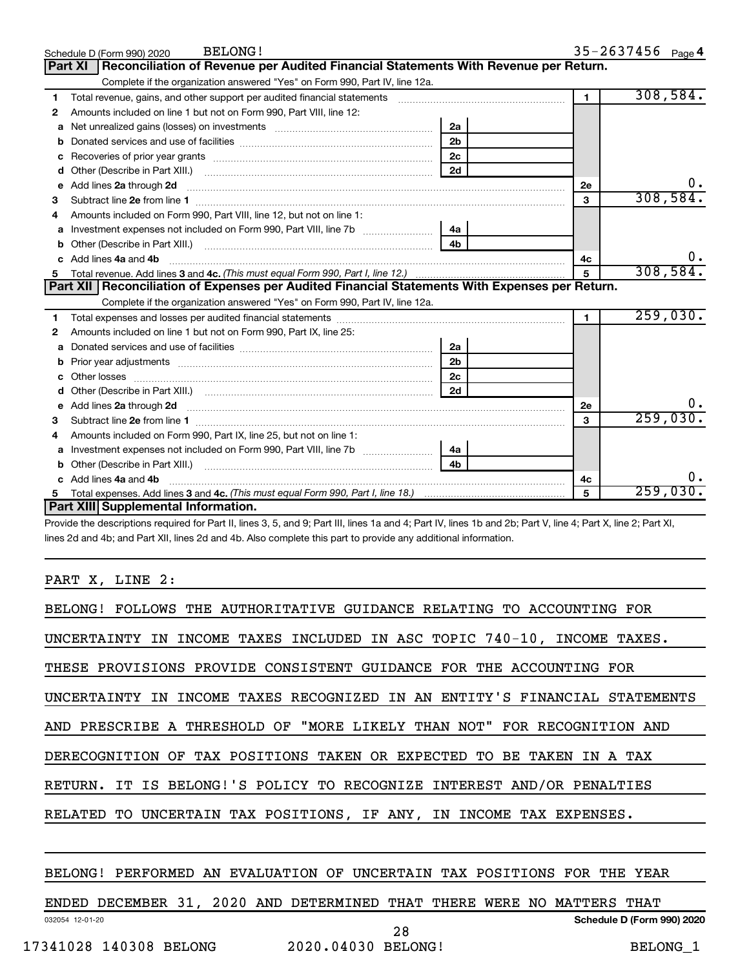|    | <b>BELONG!</b><br>Schedule D (Form 990) 2020                                                                                                                                                                                        |                |                | $35 - 2637456$ Page 4 |
|----|-------------------------------------------------------------------------------------------------------------------------------------------------------------------------------------------------------------------------------------|----------------|----------------|-----------------------|
|    | Reconciliation of Revenue per Audited Financial Statements With Revenue per Return.<br>Part XI                                                                                                                                      |                |                |                       |
|    | Complete if the organization answered "Yes" on Form 990, Part IV, line 12a.                                                                                                                                                         |                |                |                       |
| 1  | Total revenue, gains, and other support per audited financial statements [111] [11] Total revenue, gains, and other support per audited financial statements                                                                        | $\mathbf{1}$   | 308,584.       |                       |
| 2  | Amounts included on line 1 but not on Form 990, Part VIII, line 12:                                                                                                                                                                 |                |                |                       |
| a  | Net unrealized gains (losses) on investments [111] Net unrealized mains (losses) on investments [11] Metamana                                                                                                                       |                |                |                       |
| b  |                                                                                                                                                                                                                                     |                |                |                       |
| c  |                                                                                                                                                                                                                                     | 2 <sub>c</sub> |                |                       |
| d  |                                                                                                                                                                                                                                     | 2d             |                |                       |
| е  |                                                                                                                                                                                                                                     |                | 2e             | 0.                    |
| З  |                                                                                                                                                                                                                                     |                | 3              | 308,584.              |
| 4  | Amounts included on Form 990, Part VIII, line 12, but not on line 1:                                                                                                                                                                |                |                |                       |
|    |                                                                                                                                                                                                                                     | 4a             |                |                       |
| b  |                                                                                                                                                                                                                                     | 4 <sub>b</sub> |                |                       |
| c. | Add lines 4a and 4b                                                                                                                                                                                                                 | 4c             | υ.             |                       |
| 5  |                                                                                                                                                                                                                                     | 5              | 308,584.       |                       |
|    |                                                                                                                                                                                                                                     |                |                |                       |
|    | Part XII   Reconciliation of Expenses per Audited Financial Statements With Expenses per Return.                                                                                                                                    |                |                |                       |
|    | Complete if the organization answered "Yes" on Form 990, Part IV, line 12a.                                                                                                                                                         |                |                |                       |
| 1  |                                                                                                                                                                                                                                     |                | $\blacksquare$ | 259,030.              |
| 2  | Amounts included on line 1 but not on Form 990, Part IX, line 25:                                                                                                                                                                   |                |                |                       |
| a  |                                                                                                                                                                                                                                     | 2a             |                |                       |
| b  | Prior year adjustments expressional contracts and prior year adjustments and the contract of the contract of the contract of the contract of the contract of the contract of the contract of the contract of the contract of t      | 2b             |                |                       |
| c  |                                                                                                                                                                                                                                     | 2c             |                |                       |
|    |                                                                                                                                                                                                                                     | 2d             |                |                       |
| е  | Add lines 2a through 2d <b>contained a contained a contained a contained a</b> contained a contact the set of the set of the set of the set of the set of the set of the set of the set of the set of the set of the set of the set |                | 2e             | 0.                    |
| З  |                                                                                                                                                                                                                                     |                | 3              | 259,030.              |
| 4  | Amounts included on Form 990, Part IX, line 25, but not on line 1:                                                                                                                                                                  |                |                |                       |
| a  | Investment expenses not included on Form 990, Part VIII, line 7b [11, 111, 120]                                                                                                                                                     | 4a             |                |                       |
| b  |                                                                                                                                                                                                                                     | 4h.            |                |                       |
|    | Add lines 4a and 4b                                                                                                                                                                                                                 |                | 4c             | 0.                    |
| 5  | Part XIII Supplemental Information.                                                                                                                                                                                                 |                | 5              | 259,030.              |

Provide the descriptions required for Part II, lines 3, 5, and 9; Part III, lines 1a and 4; Part IV, lines 1b and 2b; Part V, line 4; Part X, line 2; Part XI, lines 2d and 4b; and Part XII, lines 2d and 4b. Also complete this part to provide any additional information.

### PART X, LINE 2:

| BELONG! FOLLOWS THE AUTHORITATIVE GUIDANCE RELATING TO ACCOUNTING FOR      |
|----------------------------------------------------------------------------|
| UNCERTAINTY IN INCOME TAXES INCLUDED IN ASC TOPIC 740-10, INCOME TAXES.    |
| THESE PROVISIONS PROVIDE CONSISTENT GUIDANCE FOR THE ACCOUNTING FOR        |
| UNCERTAINTY IN INCOME TAXES RECOGNIZED IN AN ENTITY'S FINANCIAL STATEMENTS |
| AND PRESCRIBE A THRESHOLD OF "MORE LIKELY THAN NOT" FOR RECOGNITION AND    |
| DERECOGNITION OF TAX POSITIONS TAKEN OR EXPECTED TO BE TAKEN IN A TAX      |
| RETURN. IT IS BELONG!'S POLICY TO RECOGNIZE INTEREST AND/OR PENALTIES      |
| RELATED TO UNCERTAIN TAX POSITIONS, IF ANY, IN INCOME TAX EXPENSES.        |
|                                                                            |

### BELONG! PERFORMED AN EVALUATION OF UNCERTAIN TAX POSITIONS FOR THE YEAR

032054 12-01-20 **Schedule D (Form 990) 2020** ENDED DECEMBER 31, 2020 AND DETERMINED THAT THERE WERE NO MATTERS THAT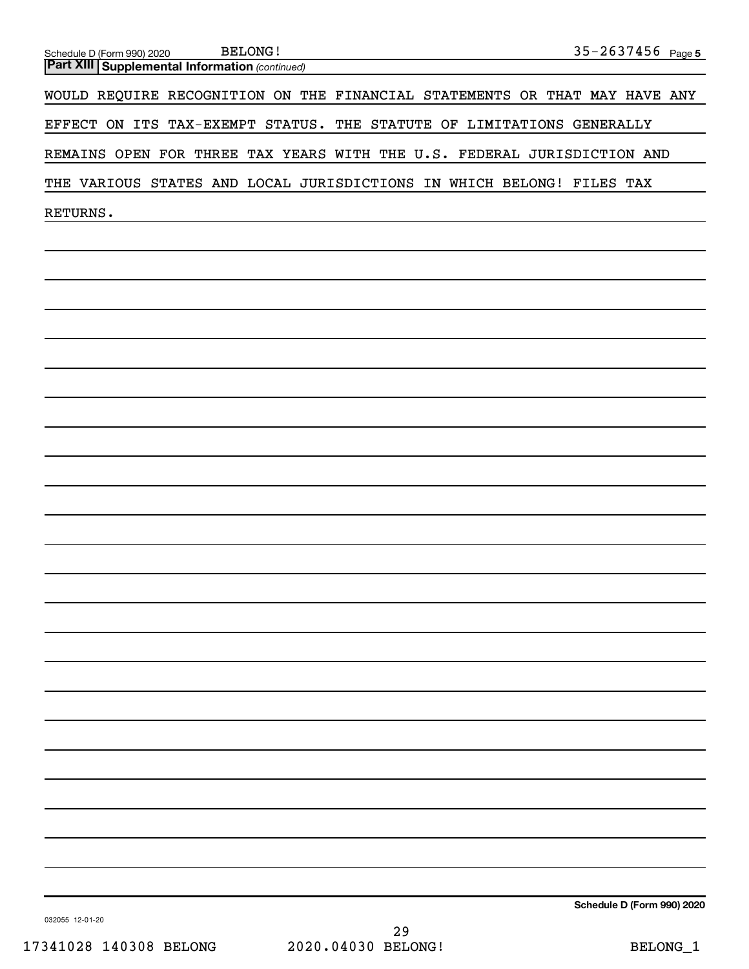| <b>Part XIII   Supplemental Information (continued)</b>                    |
|----------------------------------------------------------------------------|
| WOULD REQUIRE RECOGNITION ON THE FINANCIAL STATEMENTS OR THAT MAY HAVE ANY |
| EFFECT ON ITS TAX-EXEMPT STATUS. THE STATUTE OF LIMITATIONS GENERALLY      |
| REMAINS OPEN FOR THREE TAX YEARS WITH THE U.S. FEDERAL JURISDICTION AND    |
| THE VARIOUS STATES AND LOCAL JURISDICTIONS IN WHICH BELONG! FILES TAX      |
| RETURNS.                                                                   |
|                                                                            |
|                                                                            |
|                                                                            |
|                                                                            |
|                                                                            |
|                                                                            |
|                                                                            |
|                                                                            |
|                                                                            |
|                                                                            |
|                                                                            |
|                                                                            |
|                                                                            |
|                                                                            |
|                                                                            |
|                                                                            |
|                                                                            |
|                                                                            |
|                                                                            |
|                                                                            |
|                                                                            |
|                                                                            |
|                                                                            |

Schedule D (Form 990) 2020 Page

**5** BELONG! 35-2637456

032055 12-01-20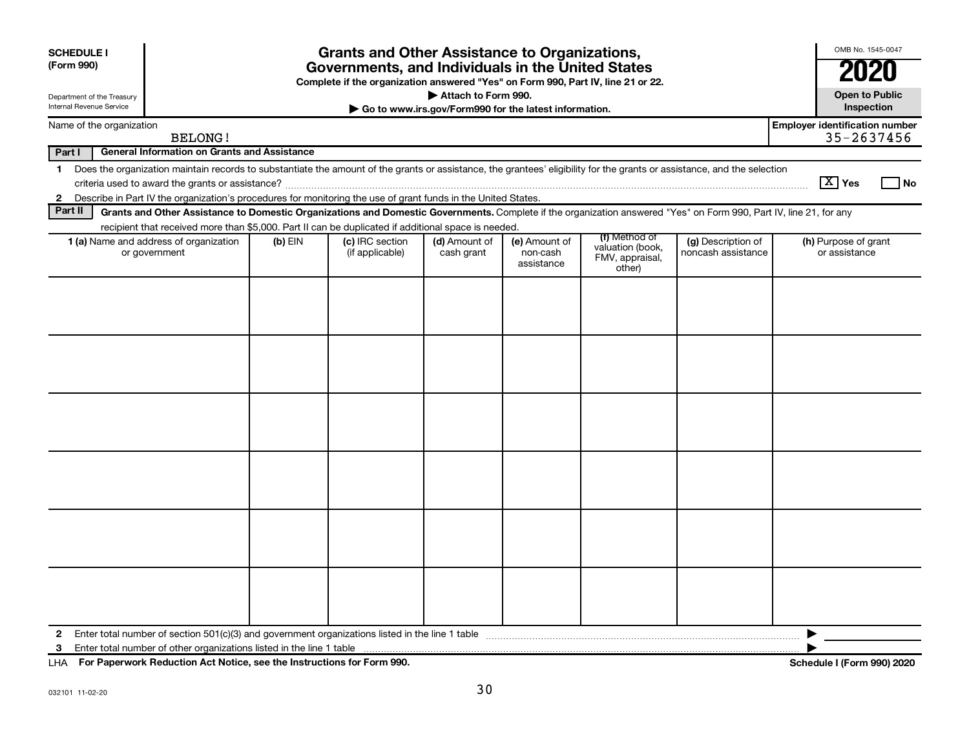| <b>SCHEDULE I</b><br>(Form 990)                                                                                                        | <b>Grants and Other Assistance to Organizations,</b><br>Governments, and Individuals in the United States<br>Complete if the organization answered "Yes" on Form 990, Part IV, line 21 or 22.                                                                                                 |           |                                    |                             |                                         | OMB No. 1545-0047                                              |                                                     |                                       |    |
|----------------------------------------------------------------------------------------------------------------------------------------|-----------------------------------------------------------------------------------------------------------------------------------------------------------------------------------------------------------------------------------------------------------------------------------------------|-----------|------------------------------------|-----------------------------|-----------------------------------------|----------------------------------------------------------------|-----------------------------------------------------|---------------------------------------|----|
| Attach to Form 990.<br>Department of the Treasury<br>Internal Revenue Service<br>Go to www.irs.gov/Form990 for the latest information. |                                                                                                                                                                                                                                                                                               |           |                                    |                             |                                         | <b>Open to Public</b><br>Inspection                            |                                                     |                                       |    |
| Name of the organization<br><b>BELONG!</b>                                                                                             |                                                                                                                                                                                                                                                                                               |           |                                    |                             |                                         |                                                                | <b>Employer identification number</b><br>35-2637456 |                                       |    |
| Part I                                                                                                                                 | <b>General Information on Grants and Assistance</b>                                                                                                                                                                                                                                           |           |                                    |                             |                                         |                                                                |                                                     |                                       |    |
|                                                                                                                                        | 1 Does the organization maintain records to substantiate the amount of the grants or assistance, the grantees' eligibility for the grants or assistance, and the selection<br>2 Describe in Part IV the organization's procedures for monitoring the use of grant funds in the United States. |           |                                    |                             |                                         |                                                                |                                                     | $\boxed{\text{X}}$ Yes                | No |
| Part II                                                                                                                                | Grants and Other Assistance to Domestic Organizations and Domestic Governments. Complete if the organization answered "Yes" on Form 990, Part IV, line 21, for any                                                                                                                            |           |                                    |                             |                                         |                                                                |                                                     |                                       |    |
|                                                                                                                                        | recipient that received more than \$5,000. Part II can be duplicated if additional space is needed.                                                                                                                                                                                           |           |                                    |                             |                                         |                                                                |                                                     |                                       |    |
|                                                                                                                                        | 1 (a) Name and address of organization<br>or government                                                                                                                                                                                                                                       | $(b)$ EIN | (c) IRC section<br>(if applicable) | (d) Amount of<br>cash grant | (e) Amount of<br>non-cash<br>assistance | (f) Method of<br>valuation (book,<br>FMV, appraisal,<br>other) | (g) Description of<br>noncash assistance            | (h) Purpose of grant<br>or assistance |    |
|                                                                                                                                        |                                                                                                                                                                                                                                                                                               |           |                                    |                             |                                         |                                                                |                                                     |                                       |    |
|                                                                                                                                        |                                                                                                                                                                                                                                                                                               |           |                                    |                             |                                         |                                                                |                                                     |                                       |    |
|                                                                                                                                        |                                                                                                                                                                                                                                                                                               |           |                                    |                             |                                         |                                                                |                                                     |                                       |    |
|                                                                                                                                        |                                                                                                                                                                                                                                                                                               |           |                                    |                             |                                         |                                                                |                                                     |                                       |    |
|                                                                                                                                        |                                                                                                                                                                                                                                                                                               |           |                                    |                             |                                         |                                                                |                                                     |                                       |    |
|                                                                                                                                        |                                                                                                                                                                                                                                                                                               |           |                                    |                             |                                         |                                                                |                                                     |                                       |    |
| $\mathbf{2}$<br>3                                                                                                                      | Enter total number of other organizations listed in the line 1 table                                                                                                                                                                                                                          |           |                                    |                             |                                         |                                                                |                                                     | ▶                                     |    |

**For Paperwork Reduction Act Notice, see the Instructions for Form 990. Schedule I (Form 990) 2020** LHA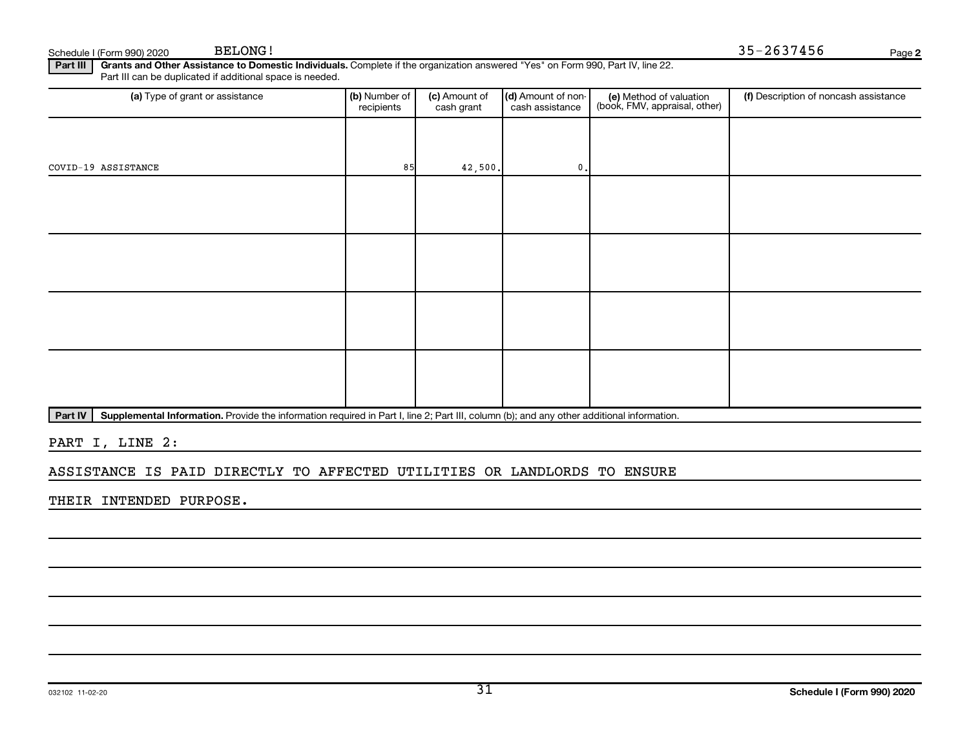**2** BELONG! 35-2637456

Part III | Grants and Other Assistance to Domestic Individuals. Complete if the organization answered "Yes" on Form 990, Part IV, line 22. Schedule I (Form 990) 2020 BELONG!<br>Part III Grants and Other Assistance to Dome Part III can be duplicated if additional space is needed.

| recipients | (c) Amount of<br>cash grant | cash assistance     | (e) Method of valuation<br>(book, FMV, appraisal, other) | (f) Description of noncash assistance |
|------------|-----------------------------|---------------------|----------------------------------------------------------|---------------------------------------|
|            |                             |                     |                                                          |                                       |
|            |                             | $\mathfrak{o}$ .    |                                                          |                                       |
|            |                             |                     |                                                          |                                       |
|            |                             |                     |                                                          |                                       |
|            |                             |                     |                                                          |                                       |
|            |                             |                     |                                                          |                                       |
|            |                             |                     |                                                          |                                       |
|            |                             |                     |                                                          |                                       |
|            |                             |                     |                                                          |                                       |
|            |                             |                     |                                                          |                                       |
|            |                             | (b) Number of<br>85 | 42,500.                                                  | (d) Amount of non-                    |

Part IV | Supplemental Information. Provide the information required in Part I, line 2; Part III, column (b); and any other additional information.

PART I, LINE 2:

ASSISTANCE IS PAID DIRECTLY TO AFFECTED UTILITIES OR LANDLORDS TO ENSURE

THEIR INTENDED PURPOSE.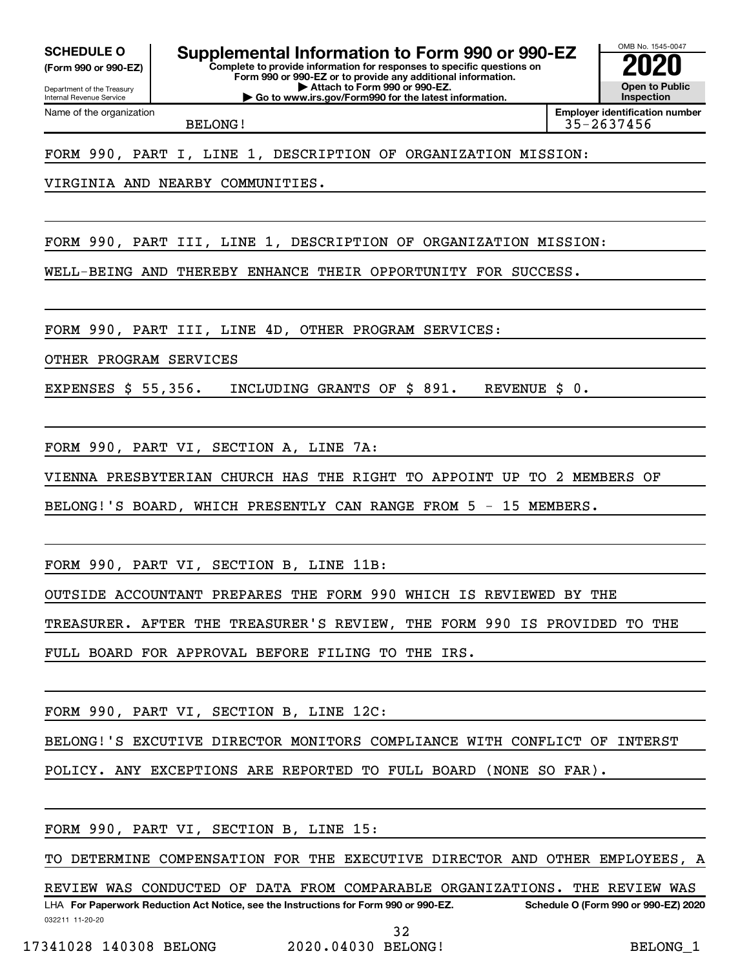**(Form 990 or 990-EZ)**

Department of the Treasury Internal Revenue Service

Name of the organization

**Complete to provide information for responses to specific questions on Form 990 or 990-EZ or to provide any additional information. | Attach to Form 990 or 990-EZ. SCHEDULE O Supplemental Information to Form 990 or 990-EZ 2020**<br>(Form 990 or 990-EZ) Complete to provide information for responses to specific questions on

**| Go to www.irs.gov/Form990 for the latest information.**

OMB No. 1545-0047 **Open to Public Inspection**

**Employer identification number**

BELONG! 35-2637456

FORM 990, PART I, LINE 1, DESCRIPTION OF ORGANIZATION MISSION:

VIRGINIA AND NEARBY COMMUNITIES.

FORM 990, PART III, LINE 1, DESCRIPTION OF ORGANIZATION MISSION:

WELL-BEING AND THEREBY ENHANCE THEIR OPPORTUNITY FOR SUCCESS.

FORM 990, PART III, LINE 4D, OTHER PROGRAM SERVICES:

OTHER PROGRAM SERVICES

EXPENSES \$ 55,356. INCLUDING GRANTS OF \$ 891. REVENUE \$ 0.

FORM 990, PART VI, SECTION A, LINE 7A:

VIENNA PRESBYTERIAN CHURCH HAS THE RIGHT TO APPOINT UP TO 2 MEMBERS OF

BELONG!'S BOARD, WHICH PRESENTLY CAN RANGE FROM 5 - 15 MEMBERS.

FORM 990, PART VI, SECTION B, LINE 11B:

OUTSIDE ACCOUNTANT PREPARES THE FORM 990 WHICH IS REVIEWED BY THE

TREASURER. AFTER THE TREASURER'S REVIEW, THE FORM 990 IS PROVIDED TO THE

FULL BOARD FOR APPROVAL BEFORE FILING TO THE IRS.

FORM 990, PART VI, SECTION B, LINE 12C:

BELONG!'S EXCUTIVE DIRECTOR MONITORS COMPLIANCE WITH CONFLICT OF INTERST

POLICY. ANY EXCEPTIONS ARE REPORTED TO FULL BOARD (NONE SO FAR).

FORM 990, PART VI, SECTION B, LINE 15:

TO DETERMINE COMPENSATION FOR THE EXECUTIVE DIRECTOR AND OTHER EMPLOYEES, A

032211 11-20-20 **For Paperwork Reduction Act Notice, see the Instructions for Form 990 or 990-EZ. Schedule O (Form 990 or 990-EZ) 2020** LHA REVIEW WAS CONDUCTED OF DATA FROM COMPARABLE ORGANIZATIONS. THE REVIEW WAS